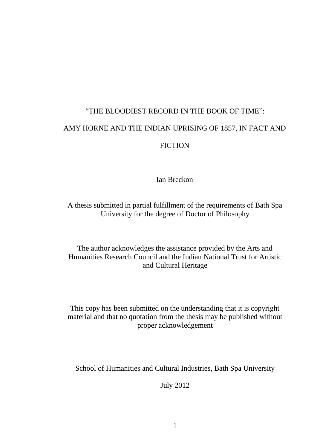# "THE BLOODIEST RECORD IN THE BOOK OF TIME": AMY HORNE AND THE INDIAN UPRISING OF 1857, IN FACT AND **FICTION**

Ian Breckon

A thesis submitted in partial fulfillment of the requirements of Bath Spa University for the degree of Doctor of Philosophy

The author acknowledges the assistance provided by the Arts and Humanities Research Council and the Indian National Trust for Artistic and Cultural Heritage

This copy has been submitted on the understanding that it is copyright material and that no quotation from the thesis may be published without proper acknowledgement

School of Humanities and Cultural Industries, Bath Spa University

July 2012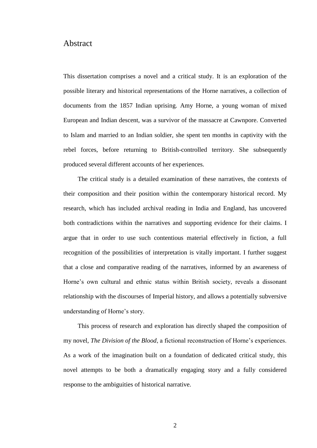### Abstract

This dissertation comprises a novel and a critical study. It is an exploration of the possible literary and historical representations of the Horne narratives, a collection of documents from the 1857 Indian uprising. Amy Horne, a young woman of mixed European and Indian descent, was a survivor of the massacre at Cawnpore. Converted to Islam and married to an Indian soldier, she spent ten months in captivity with the rebel forces, before returning to British-controlled territory. She subsequently produced several different accounts of her experiences.

The critical study is a detailed examination of these narratives, the contexts of their composition and their position within the contemporary historical record. My research, which has included archival reading in India and England, has uncovered both contradictions within the narratives and supporting evidence for their claims. I argue that in order to use such contentious material effectively in fiction, a full recognition of the possibilities of interpretation is vitally important. I further suggest that a close and comparative reading of the narratives, informed by an awareness of Horne's own cultural and ethnic status within British society, reveals a dissonant relationship with the discourses of Imperial history, and allows a potentially subversive understanding of Horne's story.

This process of research and exploration has directly shaped the composition of my novel, *The Division of the Blood*, a fictional reconstruction of Horne's experiences. As a work of the imagination built on a foundation of dedicated critical study, this novel attempts to be both a dramatically engaging story and a fully considered response to the ambiguities of historical narrative.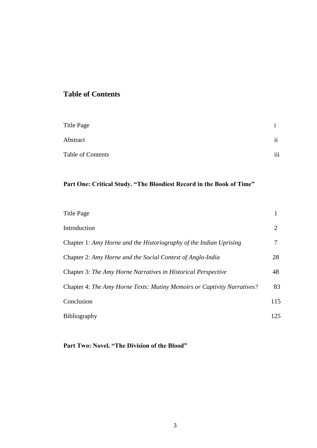## **Table of Contents**

| Title Page        |               |
|-------------------|---------------|
| Abstract          | $\mathbf{ii}$ |
| Table of Contents | iii           |

# **Part One: Critical Study. "The Bloodiest Record in the Book of Time"**

| Title Page                                                              |     |
|-------------------------------------------------------------------------|-----|
| Introduction                                                            | 2   |
| Chapter 1: Amy Horne and the Historiography of the Indian Uprising      |     |
| Chapter 2: Amy Horne and the Social Context of Anglo-India              | 28  |
| Chapter 3: The Amy Horne Narratives in Historical Perspective           | 48  |
| Chapter 4: The Amy Horne Texts: Mutiny Memoirs or Captivity Narratives? | 83  |
| Conclusion                                                              | 115 |
| <b>Bibliography</b>                                                     | 125 |

## **Part Two: Novel. "The Division of the Blood"**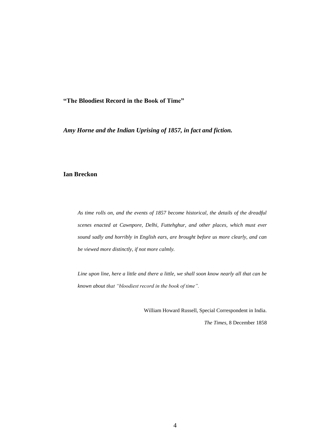**"The Bloodiest Record in the Book of Time"**

*Amy Horne and the Indian Uprising of 1857, in fact and fiction.*

#### **Ian Breckon**

*As time rolls on, and the events of 1857 become historical, the details of the dreadful scenes enacted at Cawnpore, Delhi, Futtehghur, and other places, which must ever sound sadly and horribly in English ears, are brought before us more clearly, and can be viewed more distinctly, if not more calmly.*

*Line upon line, here a little and there a little, we shall soon know nearly all that can be known about that "bloodiest record in the book of time".*

William Howard Russell, Special Correspondent in India.

*The Times*, 8 December 1858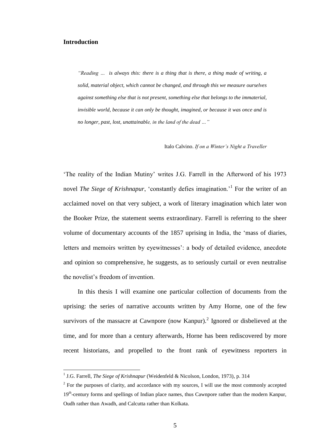#### **Introduction**

 $\overline{a}$ 

*"Reading … is always this: there is a thing that is there, a thing made of writing, a solid, material object, which cannot be changed, and through this we measure ourselves against something else that is not present, something else that belongs to the immaterial, invisible world, because it can only be thought, imagined, or because it was once and is no longer, past, lost, unattainable, in the land of the dead …"*

Italo Calvino. *If on a Winter's Night a Traveller* 

'The reality of the Indian Mutiny' writes J.G. Farrell in the Afterword of his 1973 novel *The Siege of Krishnapur*, 'constantly defies imagination.'<sup>1</sup> For the writer of an acclaimed novel on that very subject, a work of literary imagination which later won the Booker Prize, the statement seems extraordinary. Farrell is referring to the sheer volume of documentary accounts of the 1857 uprising in India, the 'mass of diaries, letters and memoirs written by eyewitnesses': a body of detailed evidence, anecdote and opinion so comprehensive, he suggests, as to seriously curtail or even neutralise the novelist's freedom of invention.

In this thesis I will examine one particular collection of documents from the uprising: the series of narrative accounts written by Amy Horne, one of the few survivors of the massacre at Cawnpore (now Kanpur).<sup>2</sup> Ignored or disbelieved at the time, and for more than a century afterwards, Horne has been rediscovered by more recent historians, and propelled to the front rank of eyewitness reporters in

<sup>&</sup>lt;sup>1</sup> J.G. Farrell, *The Siege of Krishnapur* (Weidenfeld & Nicolson, London, 1973), p. 314

 $2^2$  For the purposes of clarity, and accordance with my sources, I will use the most commonly accepted 19<sup>th</sup>-century forms and spellings of Indian place names, thus Cawnpore rather than the modern Kanpur, Oudh rather than Awadh, and Calcutta rather than Kolkata.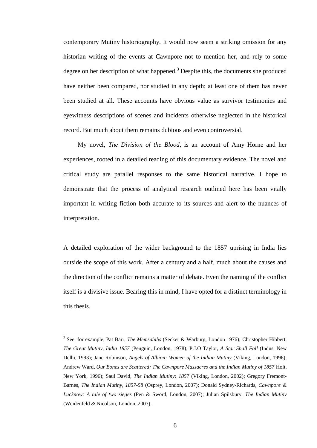contemporary Mutiny historiography. It would now seem a striking omission for any historian writing of the events at Cawnpore not to mention her, and rely to some degree on her description of what happened.<sup>3</sup> Despite this, the documents she produced have neither been compared, nor studied in any depth; at least one of them has never been studied at all. These accounts have obvious value as survivor testimonies and eyewitness descriptions of scenes and incidents otherwise neglected in the historical record. But much about them remains dubious and even controversial.

My novel, *The Division of the Blood*, is an account of Amy Horne and her experiences, rooted in a detailed reading of this documentary evidence. The novel and critical study are parallel responses to the same historical narrative. I hope to demonstrate that the process of analytical research outlined here has been vitally important in writing fiction both accurate to its sources and alert to the nuances of interpretation.

A detailed exploration of the wider background to the 1857 uprising in India lies outside the scope of this work. After a century and a half, much about the causes and the direction of the conflict remains a matter of debate. Even the naming of the conflict itself is a divisive issue. Bearing this in mind, I have opted for a distinct terminology in this thesis.

<sup>3</sup> See, for example, Pat Barr, *The Memsahibs* (Secker & Warburg, London 1976); Christopher Hibbert, *The Great Mutiny, India 1857* (Penguin, London, 1978); P.J.O Taylor, *A Star Shall Fall* (Indus, New Delhi, 1993); Jane Robinson, *Angels of Albion: Women of the Indian Mutiny* (Viking, London, 1996); Andrew Ward, *Our Bones are Scattered: The Cawnpore Massacres and the Indian Mutiny of 1857* Holt, New York, 1996); Saul David, *The Indian Mutiny: 1857* (Viking, London, 2002); Gregory Fremont-Barnes, *The Indian Mutiny, 1857-58* (Osprey, London, 2007); Donald Sydney-Richards, *Cawnpore & Lucknow: A tale of two sieges* (Pen & Sword, London, 2007); Julian Spilsbury, *The Indian Mutiny* (Weidenfeld & Nicolson, London, 2007).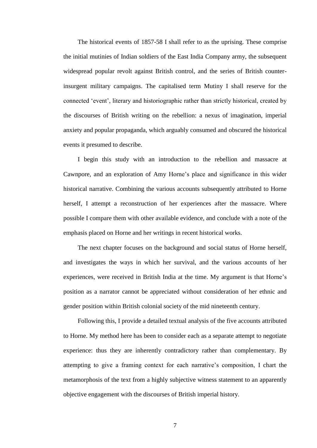The historical events of 1857-58 I shall refer to as the uprising. These comprise the initial mutinies of Indian soldiers of the East India Company army, the subsequent widespread popular revolt against British control, and the series of British counterinsurgent military campaigns. The capitalised term Mutiny I shall reserve for the connected 'event', literary and historiographic rather than strictly historical, created by the discourses of British writing on the rebellion: a nexus of imagination, imperial anxiety and popular propaganda, which arguably consumed and obscured the historical events it presumed to describe.

I begin this study with an introduction to the rebellion and massacre at Cawnpore, and an exploration of Amy Horne's place and significance in this wider historical narrative. Combining the various accounts subsequently attributed to Horne herself, I attempt a reconstruction of her experiences after the massacre. Where possible I compare them with other available evidence, and conclude with a note of the emphasis placed on Horne and her writings in recent historical works.

The next chapter focuses on the background and social status of Horne herself, and investigates the ways in which her survival, and the various accounts of her experiences, were received in British India at the time. My argument is that Horne's position as a narrator cannot be appreciated without consideration of her ethnic and gender position within British colonial society of the mid nineteenth century.

Following this, I provide a detailed textual analysis of the five accounts attributed to Horne. My method here has been to consider each as a separate attempt to negotiate experience: thus they are inherently contradictory rather than complementary. By attempting to give a framing context for each narrative's composition, I chart the metamorphosis of the text from a highly subjective witness statement to an apparently objective engagement with the discourses of British imperial history.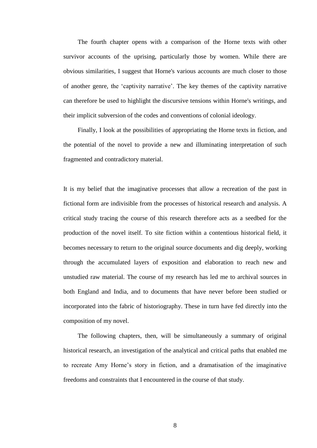The fourth chapter opens with a comparison of the Horne texts with other survivor accounts of the uprising, particularly those by women. While there are obvious similarities, I suggest that Horne's various accounts are much closer to those of another genre, the 'captivity narrative'. The key themes of the captivity narrative can therefore be used to highlight the discursive tensions within Horne's writings, and their implicit subversion of the codes and conventions of colonial ideology.

Finally, I look at the possibilities of appropriating the Horne texts in fiction, and the potential of the novel to provide a new and illuminating interpretation of such fragmented and contradictory material.

It is my belief that the imaginative processes that allow a recreation of the past in fictional form are indivisible from the processes of historical research and analysis. A critical study tracing the course of this research therefore acts as a seedbed for the production of the novel itself. To site fiction within a contentious historical field, it becomes necessary to return to the original source documents and dig deeply, working through the accumulated layers of exposition and elaboration to reach new and unstudied raw material. The course of my research has led me to archival sources in both England and India, and to documents that have never before been studied or incorporated into the fabric of historiography. These in turn have fed directly into the composition of my novel.

The following chapters, then, will be simultaneously a summary of original historical research, an investigation of the analytical and critical paths that enabled me to recreate Amy Horne's story in fiction, and a dramatisation of the imaginative freedoms and constraints that I encountered in the course of that study.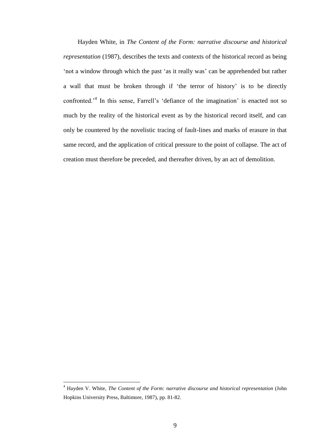Hayden White, in *The Content of the Form: narrative discourse and historical representation* (1987), describes the texts and contexts of the historical record as being 'not a window through which the past 'as it really was' can be apprehended but rather a wall that must be broken through if 'the terror of history' is to be directly confronted.'<sup>4</sup> In this sense, Farrell's 'defiance of the imagination' is enacted not so much by the reality of the historical event as by the historical record itself, and can only be countered by the novelistic tracing of fault-lines and marks of erasure in that same record, and the application of critical pressure to the point of collapse. The act of creation must therefore be preceded, and thereafter driven, by an act of demolition.

<sup>4</sup> Hayden V. White, *The Content of the Form: narrative discourse and historical representation* (John Hopkins University Press, Baltimore, 1987), pp. 81-82.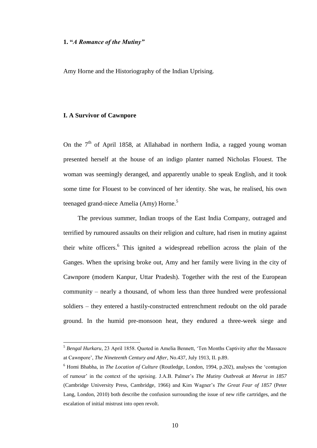#### **1. "***A Romance of the Mutiny"*

Amy Horne and the Historiography of the Indian Uprising.

#### **I. A Survivor of Cawnpore**

 $\overline{a}$ 

On the  $7<sup>th</sup>$  of April 1858, at Allahabad in northern India, a ragged young woman presented herself at the house of an indigo planter named Nicholas Flouest. The woman was seemingly deranged, and apparently unable to speak English, and it took some time for Flouest to be convinced of her identity. She was, he realised, his own teenaged grand-niece Amelia (Amy) Horne.<sup>5</sup>

The previous summer, Indian troops of the East India Company, outraged and terrified by rumoured assaults on their religion and culture, had risen in mutiny against their white officers.<sup>6</sup> This ignited a widespread rebellion across the plain of the Ganges. When the uprising broke out, Amy and her family were living in the city of Cawnpore (modern Kanpur, Uttar Pradesh). Together with the rest of the European community – nearly a thousand, of whom less than three hundred were professional soldiers – they entered a hastily-constructed entrenchment redoubt on the old parade ground. In the humid pre-monsoon heat, they endured a three-week siege and

<sup>5</sup> *Bengal Hurkaru*, 23 April 1858. Quoted in Amelia Bennett, 'Ten Months Captivity after the Massacre at Cawnpore', *The Nineteenth Century and After*, No.437, July 1913, II. p.89.

<sup>6</sup> Homi Bhabha, in *The Location of Culture* (Routledge, London, 1994, p.202), analyses the 'contagion of rumour' in the context of the uprising. J.A.B. Palmer's *The Mutiny Outbreak at Meerut in 1857* (Cambridge University Press, Cambridge, 1966) and Kim Wagner's *The Great Fear of 1857* (Peter Lang, London, 2010) both describe the confusion surrounding the issue of new rifle cartridges, and the escalation of initial mistrust into open revolt.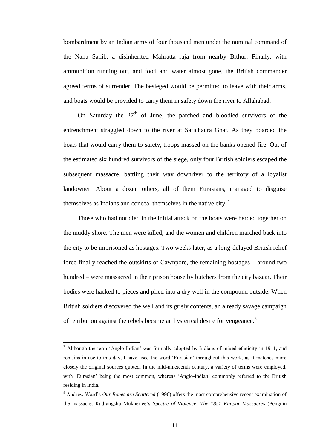bombardment by an Indian army of four thousand men under the nominal command of the Nana Sahib, a disinherited Mahratta raja from nearby Bithur. Finally, with ammunition running out, and food and water almost gone, the British commander agreed terms of surrender. The besieged would be permitted to leave with their arms, and boats would be provided to carry them in safety down the river to Allahabad.

On Saturday the  $27<sup>th</sup>$  of June, the parched and bloodied survivors of the entrenchment straggled down to the river at Satichaura Ghat. As they boarded the boats that would carry them to safety, troops massed on the banks opened fire. Out of the estimated six hundred survivors of the siege, only four British soldiers escaped the subsequent massacre, battling their way downriver to the territory of a loyalist landowner. About a dozen others, all of them Eurasians, managed to disguise themselves as Indians and conceal themselves in the native city.<sup>7</sup>

Those who had not died in the initial attack on the boats were herded together on the muddy shore. The men were killed, and the women and children marched back into the city to be imprisoned as hostages. Two weeks later, as a long-delayed British relief force finally reached the outskirts of Cawnpore, the remaining hostages – around two hundred – were massacred in their prison house by butchers from the city bazaar. Their bodies were hacked to pieces and piled into a dry well in the compound outside. When British soldiers discovered the well and its grisly contents, an already savage campaign of retribution against the rebels became an hysterical desire for vengeance.<sup>8</sup>

 $\frac{7}{1}$  Although the term 'Anglo-Indian' was formally adopted by Indians of mixed ethnicity in 1911, and remains in use to this day, I have used the word 'Eurasian' throughout this work, as it matches more closely the original sources quoted. In the mid-nineteenth century, a variety of terms were employed, with 'Eurasian' being the most common, whereas 'Anglo-Indian' commonly referred to the British residing in India.

<sup>8</sup> Andrew Ward's *Our Bones are Scattered* (1996) offers the most comprehensive recent examination of the massacre. Rudrangshu Mukherjee's *Spectre of Violence: The 1857 Kanpur Massacres* (Penguin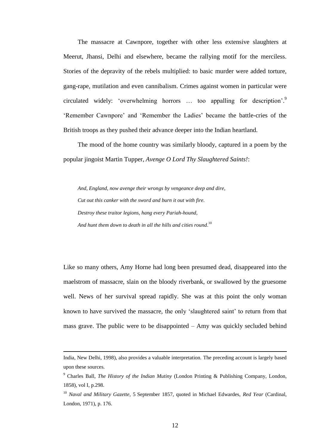The massacre at Cawnpore, together with other less extensive slaughters at Meerut, Jhansi, Delhi and elsewhere, became the rallying motif for the merciless. Stories of the depravity of the rebels multiplied: to basic murder were added torture, gang-rape, mutilation and even cannibalism. Crimes against women in particular were circulated widely: 'overwhelming horrors ... too appalling for description'.<sup>9</sup> 'Remember Cawnpore' and 'Remember the Ladies' became the battle-cries of the British troops as they pushed their advance deeper into the Indian heartland.

The mood of the home country was similarly bloody, captured in a poem by the popular jingoist Martin Tupper, *Avenge O Lord Thy Slaughtered Saints!*:

*And, England, now avenge their wrongs by vengeance deep and dire, Cut out this canker with the sword and burn it out with fire. Destroy these traitor legions, hang every Pariah-hound, And hunt them down to death in all the hills and cities round*. 10

Like so many others, Amy Horne had long been presumed dead, disappeared into the maelstrom of massacre, slain on the bloody riverbank, or swallowed by the gruesome well. News of her survival spread rapidly. She was at this point the only woman known to have survived the massacre, the only 'slaughtered saint' to return from that mass grave. The public were to be disappointed – Amy was quickly secluded behind

India, New Delhi, 1998), also provides a valuable interpretation. The preceding account is largely based upon these sources.

<sup>9</sup> Charles Ball, *The History of the Indian Mutiny* (London Printing & Publishing Company, London, 1858), vol I, p.298.

<sup>10</sup> *Naval and Military Gazette*, 5 September 1857, quoted in Michael Edwardes, *Red Year* (Cardinal, London, 1971), p. 176.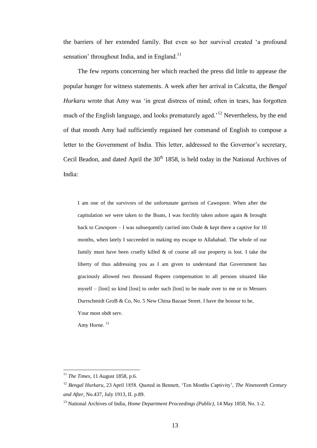the barriers of her extended family. But even so her survival created 'a profound sensation' throughout India, and in England.<sup>11</sup>

The few reports concerning her which reached the press did little to appease the popular hunger for witness statements. A week after her arrival in Calcutta, the *Bengal Hurkaru* wrote that Amy was 'in great distress of mind; often in tears, has forgotten much of the English language, and looks prematurely aged.<sup>12</sup> Nevertheless, by the end of that month Amy had sufficiently regained her command of English to compose a letter to the Government of India. This letter, addressed to the Governor's secretary, Cecil Beadon, and dated April the  $30<sup>th</sup> 1858$ , is held today in the National Archives of India:

I am one of the survivors of the unfortunate garrison of Cawnpore. When after the capitulation we were taken to the Boats, I was forcibly taken ashore again & brought back to Cawnpore – I was subsequently carried into Oude  $\&$  kept there a captive for 10 months, when lately I succeeded in making my escape to Allahabad. The whole of our family must have been cruelly killed  $\&$  of course all our property is lost. I take the liberty of thus addressing you as I am given to understand that Government has graciously allowed two thousand Rupees compensation to all persons situated like myself – [lost] so kind [lost] to order such [lost] to be made over to me or to Messers Durrschmidt GroB & Co, No. 5 New China Bazaar Street. I have the honour to be, Your most obdt serv.

Amy Horne.<sup>13</sup>

<sup>11</sup> *The Times*, 11 August 1858, p.6.

<sup>12</sup> *Bengal Hurkaru*, 23 April 1858. Quoted in Bennett, 'Ten Months Captivity', *The Nineteenth Century and After*, No.437, July 1913, II. p.89.

<sup>13</sup> National Archives of India, *Home Department Proceedings (Public),* 14 May 1858, No. 1-2.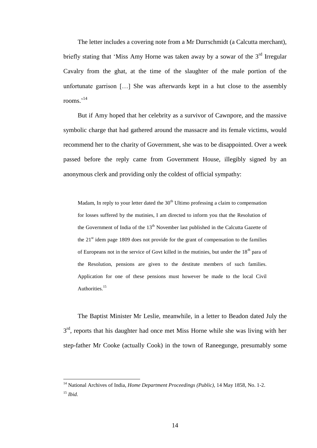The letter includes a covering note from a Mr Durrschmidt (a Calcutta merchant), briefly stating that 'Miss Amy Horne was taken away by a sowar of the  $3<sup>rd</sup>$  Irregular Cavalry from the ghat, at the time of the slaughter of the male portion of the unfortunate garrison […] She was afterwards kept in a hut close to the assembly rooms.' 14

But if Amy hoped that her celebrity as a survivor of Cawnpore, and the massive symbolic charge that had gathered around the massacre and its female victims, would recommend her to the charity of Government, she was to be disappointed. Over a week passed before the reply came from Government House, illegibly signed by an anonymous clerk and providing only the coldest of official sympathy:

Madam, In reply to your letter dated the  $30<sup>th</sup>$  Ultimo professing a claim to compensation for losses suffered by the mutinies, I am directed to inform you that the Resolution of the Government of India of the  $13<sup>th</sup>$  November last published in the Calcutta Gazette of the  $21<sup>st</sup>$  idem page 1809 does not provide for the grant of compensation to the families of Europeans not in the service of Govt killed in the mutinies, but under the  $18<sup>th</sup>$  para of the Resolution, pensions are given to the destitute members of such families. Application for one of these pensions must however be made to the local Civil Authorities.<sup>15</sup>

The Baptist Minister Mr Leslie, meanwhile, in a letter to Beadon dated July the 3<sup>rd</sup>, reports that his daughter had once met Miss Horne while she was living with her step-father Mr Cooke (actually Cook) in the town of Raneegunge, presumably some

<sup>14</sup> National Archives of India, *Home Department Proceedings (Public),* 14 May 1858, No. 1-2. <sup>15</sup> *Ibid.*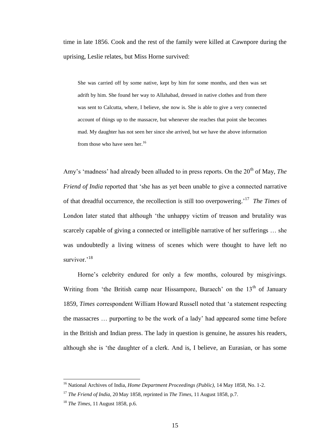time in late 1856. Cook and the rest of the family were killed at Cawnpore during the uprising, Leslie relates, but Miss Horne survived:

She was carried off by some native, kept by him for some months, and then was set adrift by him. She found her way to Allahabad, dressed in native clothes and from there was sent to Calcutta, where, I believe, she now is. She is able to give a very connected account of things up to the massacre, but whenever she reaches that point she becomes mad. My daughter has not seen her since she arrived, but we have the above information from those who have seen her.<sup>16</sup>

Amy's 'madness' had already been alluded to in press reports. On the 20<sup>th</sup> of May, *The Friend of India* reported that 'she has as yet been unable to give a connected narrative of that dreadful occurrence, the recollection is still too overpowering.' 17 *The Times* of London later stated that although 'the unhappy victim of treason and brutality was scarcely capable of giving a connected or intelligible narrative of her sufferings … she was undoubtedly a living witness of scenes which were thought to have left no survivor $^{18}$ 

Horne's celebrity endured for only a few months, coloured by misgivings. Writing from 'the British camp near Hissampore, Buraech' on the  $13<sup>th</sup>$  of January 1859, *Times* correspondent William Howard Russell noted that 'a statement respecting the massacres … purporting to be the work of a lady' had appeared some time before in the British and Indian press. The lady in question is genuine, he assures his readers, although she is 'the daughter of a clerk. And is, I believe, an Eurasian, or has some

<sup>16</sup> National Archives of India, *Home Department Proceedings (Public),* 14 May 1858, No. 1-2.

<sup>17</sup> *The Friend of India*, 20 May 1858, reprinted in *The Times*, 11 August 1858, p.7.

<sup>18</sup> *The Times*, 11 August 1858, p.6.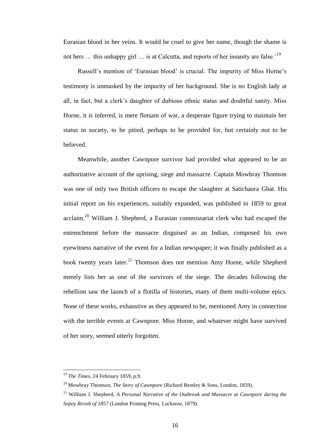Eurasian blood in her veins. It would be cruel to give her name, though the shame is not hers ... this unhappy girl ... is at Calcutta, and reports of her insanity are false.<sup>'19</sup>

Russell's mention of 'Eurasian blood' is crucial. The impurity of Miss Horne's testimony is unmasked by the impurity of her background. She is no English lady at all, in fact, but a clerk's daughter of dubious ethnic status and doubtful sanity. Miss Horne, it is inferred, is mere flotsam of war, a desperate figure trying to maintain her status in society, to be pitied, perhaps to be provided for, but certainly not to be believed.

Meanwhile, another Cawnpore survivor had provided what appeared to be an authoritative account of the uprising, siege and massacre. Captain Mowbray Thomson was one of only two British officers to escape the slaughter at Satichaura Ghat. His initial report on his experiences, suitably expanded, was published in 1859 to great acclaim.<sup>20</sup> William J. Shepherd, a Eurasian commissariat clerk who had escaped the entrenchment before the massacre disguised as an Indian, composed his own eyewitness narrative of the event for a Indian newspaper; it was finally published as a book twenty years later.<sup>21</sup> Thomson does not mention Amy Horne, while Shepherd merely lists her as one of the survivors of the siege. The decades following the rebellion saw the launch of a flotilla of histories, many of them multi-volume epics. None of these works, exhaustive as they appeared to be, mentioned Amy in connection with the terrible events at Cawnpore. Miss Horne, and whatever might have survived of her story, seemed utterly forgotten.

<sup>19</sup> *The Times*, 24 February 1859, p.9.

<sup>20</sup> Mowbray Thomson, *The Story of Cawnpore* (Richard Bentley & Sons, London, 1859).

<sup>21</sup> William J. Shepherd, *A Personal Narrative of the Outbreak and Massacre at Cawnpore during the Sepoy Revolt of 1857* (London Printing Press, Lucknow, 1879).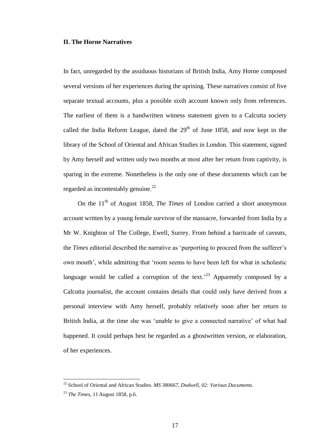#### **II. The Horne Narratives**

In fact, unregarded by the assiduous historians of British India, Amy Horne composed several versions of her experiences during the uprising. These narratives consist of five separate textual accounts, plus a possible sixth account known only from references. The earliest of them is a handwritten witness statement given to a Calcutta society called the India Reform League, dated the  $29<sup>th</sup>$  of June 1858, and now kept in the library of the School of Oriental and African Studies in London. This statement, signed by Amy herself and written only two months at most after her return from captivity, is sparing in the extreme. Nonetheless is the only one of these documents which can be regarded as incontestably genuine.<sup>22</sup>

On the 11<sup>th</sup> of August 1858, *The Times* of London carried a short anonymous account written by a young female survivor of the massacre, forwarded from India by a Mr W. Knighton of The College, Ewell, Surrey. From behind a barricade of caveats, the *Times* editorial described the narrative as 'purporting to proceed from the sufferer's own mouth', while admitting that 'room seems to have been left for what in scholastic language would be called a corruption of the text.<sup>23</sup> Apparently composed by a Calcutta journalist, the account contains details that could only have derived from a personal interview with Amy herself, probably relatively soon after her return to British India, at the time she was 'unable to give a connected narrative' of what had happened. It could perhaps best be regarded as a ghostwritten version, or elaboration, of her experiences.

<sup>22</sup> School of Oriental and African Studies. *MS 380667, Dodwell, 02: Various Documents*.

<sup>23</sup> *The Times*, 11 August 1858, p.6.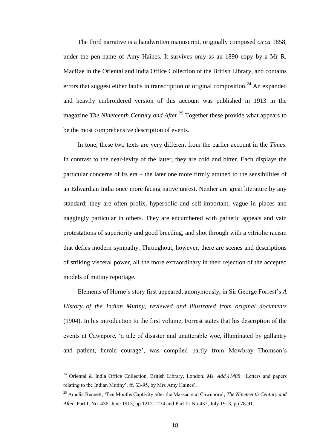The third narrative is a handwritten manuscript, originally composed *circa* 1858, under the pen-name of Amy Haines. It survives only as an 1890 copy by a Mr R. MacRae in the Oriental and India Office Collection of the British Library, and contains errors that suggest either faults in transcription or original composition.<sup>24</sup> An expanded and heavily embroidered version of this account was published in 1913 in the magazine *The Nineteenth Century and After*. <sup>25</sup> Together these provide what appears to be the most comprehensive description of events.

In tone, these two texts are very different from the earlier account in the *Times*. In contrast to the near-levity of the latter, they are cold and bitter. Each displays the particular concerns of its era – the later one more firmly attuned to the sensibilities of an Edwardian India once more facing native unrest. Neither are great literature by any standard; they are often prolix, hyperbolic and self-important, vague in places and naggingly particular in others. They are encumbered with pathetic appeals and vain protestations of superiority and good breeding, and shot through with a vitriolic racism that defies modern sympathy. Throughout, however, there are scenes and descriptions of striking visceral power, all the more extraordinary in their rejection of the accepted models of mutiny reportage.

Elements of Horne's story first appeared, anonymously, in Sir George Forrest's *A History of the Indian Mutiny, reviewed and illustrated from original documents* (1904). In his introduction to the first volume, Forrest states that his description of the events at Cawnpore, 'a tale of disaster and unutterable woe, illuminated by gallantry and patient, heroic courage', was compiled partly from Mowbray Thomson's

<sup>24</sup> Oriental & India Office Collection, British Library, London. *Ms. Add.41488*: 'Letters and papers relating to the Indian Mutiny', ff. 53-95, by Mrs Amy Haines'.

<sup>25</sup> Amelia Bennett, 'Ten Months Captivity after the Massacre at Cawnpore', *The Nineteenth Century and After*. Part I: No. 436, June 1913, pp 1212-1234 and Part II: No.437, July 1913, pp 78-91.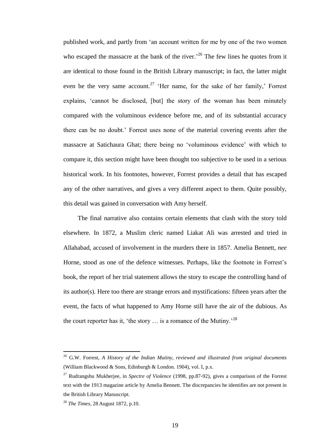published work, and partly from 'an account written for me by one of the two women who escaped the massacre at the bank of the river.<sup>26</sup> The few lines he quotes from it are identical to those found in the British Library manuscript; in fact, the latter might even be the very same account.<sup>27</sup> 'Her name, for the sake of her family,' Forrest explains, 'cannot be disclosed, [but] the story of the woman has been minutely compared with the voluminous evidence before me, and of its substantial accuracy there can be no doubt.' Forrest uses none of the material covering events after the massacre at Satichaura Ghat; there being no 'voluminous evidence' with which to compare it, this section might have been thought too subjective to be used in a serious historical work. In his footnotes, however, Forrest provides a detail that has escaped any of the other narratives, and gives a very different aspect to them. Quite possibly, this detail was gained in conversation with Amy herself.

The final narrative also contains certain elements that clash with the story told elsewhere. In 1872, a Muslim cleric named Liakat Ali was arrested and tried in Allahabad, accused of involvement in the murders there in 1857. Amelia Bennett, *nee* Horne, stood as one of the defence witnesses. Perhaps, like the footnote in Forrest's book, the report of her trial statement allows the story to escape the controlling hand of its author(s). Here too there are strange errors and mystifications: fifteen years after the event, the facts of what happened to Amy Horne still have the air of the dubious. As the court reporter has it, 'the story  $\ldots$  is a romance of the Mutiny.'<sup>28</sup>

<sup>26</sup> G.W. Forrest, *A History of the Indian Mutiny, reviewed and illustrated from original documents*  (William Blackwood & Sons, Edinburgh & London. 1904), vol. I, p.x.

<sup>27</sup> Rudrangshu Mukherjee, in *Spectre of Violence* (1998, pp.87-92), gives a comparison of the Forrest text with the 1913 magazine article by Amelia Bennett. The discrepancies he identifies are not present in the British Library Manuscript.

<sup>28</sup> *The Times*, 28 August 1872, p.10.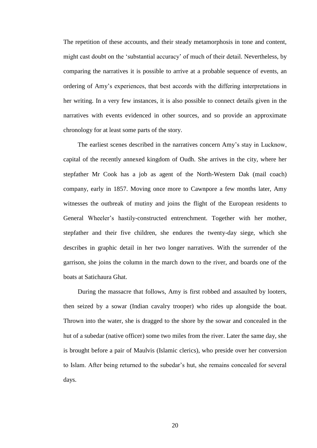The repetition of these accounts, and their steady metamorphosis in tone and content, might cast doubt on the 'substantial accuracy' of much of their detail. Nevertheless, by comparing the narratives it is possible to arrive at a probable sequence of events, an ordering of Amy's experiences, that best accords with the differing interpretations in her writing. In a very few instances, it is also possible to connect details given in the narratives with events evidenced in other sources, and so provide an approximate chronology for at least some parts of the story.

The earliest scenes described in the narratives concern Amy's stay in Lucknow, capital of the recently annexed kingdom of Oudh. She arrives in the city, where her stepfather Mr Cook has a job as agent of the North-Western Dak (mail coach) company, early in 1857. Moving once more to Cawnpore a few months later, Amy witnesses the outbreak of mutiny and joins the flight of the European residents to General Wheeler's hastily-constructed entrenchment. Together with her mother, stepfather and their five children, she endures the twenty-day siege, which she describes in graphic detail in her two longer narratives. With the surrender of the garrison, she joins the column in the march down to the river, and boards one of the boats at Satichaura Ghat.

During the massacre that follows, Amy is first robbed and assaulted by looters, then seized by a sowar (Indian cavalry trooper) who rides up alongside the boat. Thrown into the water, she is dragged to the shore by the sowar and concealed in the hut of a subedar (native officer) some two miles from the river. Later the same day, she is brought before a pair of Maulvis (Islamic clerics), who preside over her conversion to Islam. After being returned to the subedar's hut, she remains concealed for several days.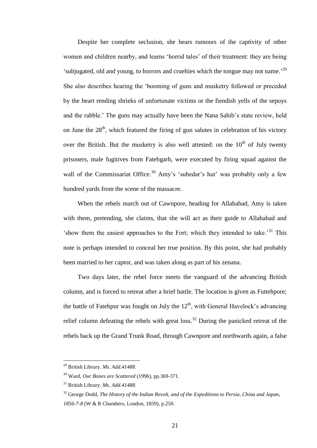Despite her complete seclusion, she hears rumours of the captivity of other women and children nearby, and learns 'horrid tales' of their treatment: they are being 'subjugated, old and young, to horrors and cruelties which the tongue may not name.'<sup>29</sup> She also describes hearing the 'booming of guns and musketry followed or preceded by the heart rending shrieks of unfortunate victims or the fiendish yells of the sepoys and the rabble.' The guns may actually have been the Nana Sahib's state review, held on June the  $28<sup>th</sup>$ , which featured the firing of gun salutes in celebration of his victory over the British. But the musketry is also well attested: on the  $10<sup>th</sup>$  of July twenty prisoners, male fugitives from Fatehgarh, were executed by firing squad against the wall of the Commissariat Office.<sup>30</sup> Amy's 'subedar's hut' was probably only a few hundred yards from the scene of the massacre.

When the rebels march out of Cawnpore, heading for Allahabad, Amy is taken with them, pretending, she claims, that she will act as their guide to Allahabad and 'show them the easiest approaches to the Fort; which they intended to take.<sup>31</sup> This note is perhaps intended to conceal her true position. By this point, she had probably been married to her captor, and was taken along as part of his zenana.

Two days later, the rebel force meets the vanguard of the advancing British column, and is forced to retreat after a brief battle. The location is given as Futtehpore; the battle of Fatehpur was fought on July the  $12<sup>th</sup>$ , with General Havelock's advancing relief column defeating the rebels with great loss.<sup>32</sup> During the panicked retreat of the rebels back up the Grand Trunk Road, through Cawnpore and northwards again, a false

<sup>29</sup> British Library. *Ms. Add.41488.*

<sup>30</sup> Ward, *Our Bones are Scattered* (1996), pp.369-371.

<sup>31</sup> British Library. *Ms. Add.41488.*

<sup>32</sup> George Dodd, *The History of the Indian Revolt, and of the Expeditions to Persia, China and Japan, 1856-7-8* (W & R Chambers, London, 1859), p.250.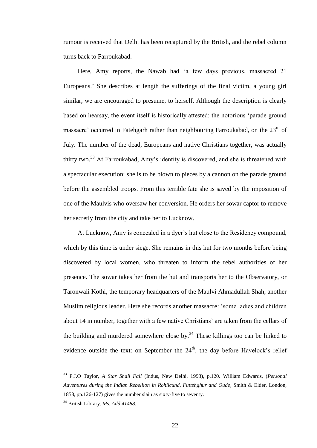rumour is received that Delhi has been recaptured by the British, and the rebel column turns back to Farroukabad.

Here, Amy reports, the Nawab had 'a few days previous, massacred 21 Europeans.' She describes at length the sufferings of the final victim, a young girl similar, we are encouraged to presume, to herself. Although the description is clearly based on hearsay, the event itself is historically attested: the notorious 'parade ground massacre' occurred in Fatehgarh rather than neighbouring Farroukabad, on the  $23<sup>rd</sup>$  of July. The number of the dead, Europeans and native Christians together, was actually thirty two.<sup>33</sup> At Farroukabad, Amy's identity is discovered, and she is threatened with a spectacular execution: she is to be blown to pieces by a cannon on the parade ground before the assembled troops. From this terrible fate she is saved by the imposition of one of the Maulvis who oversaw her conversion. He orders her sowar captor to remove her secretly from the city and take her to Lucknow.

At Lucknow, Amy is concealed in a dyer's hut close to the Residency compound, which by this time is under siege. She remains in this hut for two months before being discovered by local women, who threaten to inform the rebel authorities of her presence. The sowar takes her from the hut and transports her to the Observatory, or Taronwali Kothi, the temporary headquarters of the Maulvi Ahmadullah Shah, another Muslim religious leader. Here she records another massacre: 'some ladies and children about 14 in number, together with a few native Christians' are taken from the cellars of the building and murdered somewhere close by.<sup>34</sup> These killings too can be linked to evidence outside the text: on September the  $24<sup>th</sup>$ , the day before Havelock's relief

<sup>33</sup> P.J.O Taylor, *A Star Shall Fall* (Indus, New Delhi, 1993), p.120. William Edwards, (*Personal Adventures during the Indian Rebellion in Rohilcund, Futtehghur and Oude*, Smith & Elder, London, 1858, pp.126-127) gives the number slain as sixty-five to seventy.

<sup>34</sup> British Library. *Ms. Add.41488.*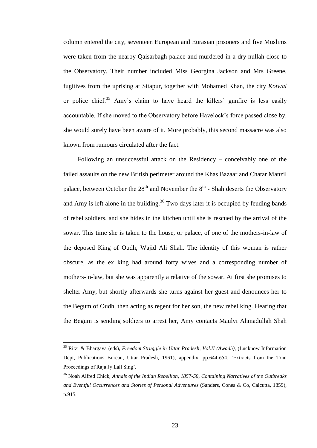column entered the city, seventeen European and Eurasian prisoners and five Muslims were taken from the nearby Qaisarbagh palace and murdered in a dry nullah close to the Observatory. Their number included Miss Georgina Jackson and Mrs Greene, fugitives from the uprising at Sitapur, together with Mohamed Khan, the city *Kotwal* or police chief.<sup>35</sup> Amy's claim to have heard the killers' gunfire is less easily accountable. If she moved to the Observatory before Havelock's force passed close by, she would surely have been aware of it. More probably, this second massacre was also known from rumours circulated after the fact.

Following an unsuccessful attack on the Residency – conceivably one of the failed assaults on the new British perimeter around the Khas Bazaar and Chatar Manzil palace, between October the  $28<sup>th</sup>$  and November the  $8<sup>th</sup>$  - Shah deserts the Observatory and Amy is left alone in the building.<sup>36</sup> Two days later it is occupied by feuding bands of rebel soldiers, and she hides in the kitchen until she is rescued by the arrival of the sowar. This time she is taken to the house, or palace, of one of the mothers-in-law of the deposed King of Oudh, Wajid Ali Shah. The identity of this woman is rather obscure, as the ex king had around forty wives and a corresponding number of mothers-in-law, but she was apparently a relative of the sowar. At first she promises to shelter Amy, but shortly afterwards she turns against her guest and denounces her to the Begum of Oudh, then acting as regent for her son, the new rebel king. Hearing that the Begum is sending soldiers to arrest her, Amy contacts Maulvi Ahmadullah Shah

<sup>35</sup> Ritzi & Bhargava (eds), *Freedom Struggle in Uttar Pradesh*, *Vol.II (Awadh),* (Lucknow Information Dept, Publications Bureau, Uttar Pradesh, 1961), appendix, pp.644-654, 'Extracts from the Trial Proceedings of Raja Jy Lall Sing'.

<sup>36</sup> Noah Alfred Chick, *Annals of the Indian Rebellion, 1857-58, Containing Narratives of the Outbreaks and Eventful Occurrences and Stories of Personal Adventures* (Sanders, Cones & Co, Calcutta, 1859), p.915.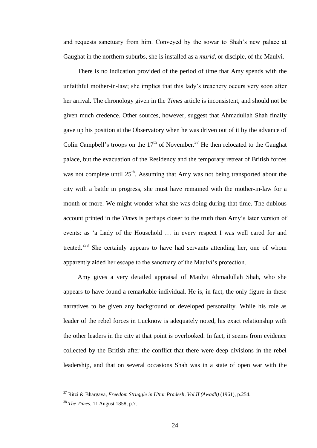and requests sanctuary from him. Conveyed by the sowar to Shah's new palace at Gaughat in the northern suburbs, she is installed as a *murid*, or disciple, of the Maulvi.

There is no indication provided of the period of time that Amy spends with the unfaithful mother-in-law; she implies that this lady's treachery occurs very soon after her arrival. The chronology given in the *Times* article is inconsistent, and should not be given much credence. Other sources, however, suggest that Ahmadullah Shah finally gave up his position at the Observatory when he was driven out of it by the advance of Colin Campbell's troops on the  $17<sup>th</sup>$  of November.<sup>37</sup> He then relocated to the Gaughat palace, but the evacuation of the Residency and the temporary retreat of British forces was not complete until  $25<sup>th</sup>$ . Assuming that Amy was not being transported about the city with a battle in progress, she must have remained with the mother-in-law for a month or more. We might wonder what she was doing during that time. The dubious account printed in the *Times* is perhaps closer to the truth than Amy's later version of events: as 'a Lady of the Household … in every respect I was well cared for and treated.<sup>38</sup> She certainly appears to have had servants attending her, one of whom apparently aided her escape to the sanctuary of the Maulvi's protection.

Amy gives a very detailed appraisal of Maulvi Ahmadullah Shah, who she appears to have found a remarkable individual. He is, in fact, the only figure in these narratives to be given any background or developed personality. While his role as leader of the rebel forces in Lucknow is adequately noted, his exact relationship with the other leaders in the city at that point is overlooked. In fact, it seems from evidence collected by the British after the conflict that there were deep divisions in the rebel leadership, and that on several occasions Shah was in a state of open war with the

<sup>37</sup> Ritzi & Bhargava, *Freedom Struggle in Uttar Pradesh, Vol.II (Awadh)* (1961), p.254.

<sup>38</sup> *The Times*, 11 August 1858, p.7.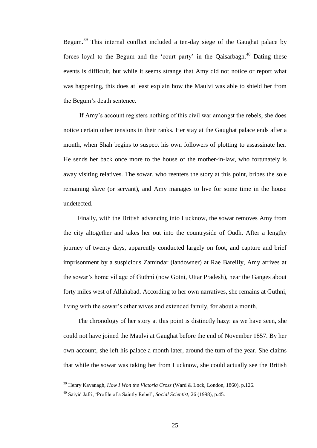Begum.<sup>39</sup> This internal conflict included a ten-day siege of the Gaughat palace by forces loyal to the Begum and the 'court party' in the Qaisarbagh.<sup>40</sup> Dating these events is difficult, but while it seems strange that Amy did not notice or report what was happening, this does at least explain how the Maulvi was able to shield her from the Begum's death sentence.

If Amy's account registers nothing of this civil war amongst the rebels, she does notice certain other tensions in their ranks. Her stay at the Gaughat palace ends after a month, when Shah begins to suspect his own followers of plotting to assassinate her. He sends her back once more to the house of the mother-in-law, who fortunately is away visiting relatives. The sowar, who reenters the story at this point, bribes the sole remaining slave (or servant), and Amy manages to live for some time in the house undetected.

Finally, with the British advancing into Lucknow, the sowar removes Amy from the city altogether and takes her out into the countryside of Oudh. After a lengthy journey of twenty days, apparently conducted largely on foot, and capture and brief imprisonment by a suspicious Zamindar (landowner) at Rae Bareilly, Amy arrives at the sowar's home village of Guthni (now Gotni, Uttar Pradesh), near the Ganges about forty miles west of Allahabad. According to her own narratives, she remains at Guthni, living with the sowar's other wives and extended family, for about a month.

The chronology of her story at this point is distinctly hazy: as we have seen, she could not have joined the Maulvi at Gaughat before the end of November 1857. By her own account, she left his palace a month later, around the turn of the year. She claims that while the sowar was taking her from Lucknow, she could actually see the British

<sup>39</sup> Henry Kavanagh, *How I Won the Victoria Cross* (Ward & Lock, London, 1860), p.126.

<sup>40</sup> Saiyid Jafri, 'Profile of a Saintly Rebel', *Social Scientist*, 26 (1998), p.45.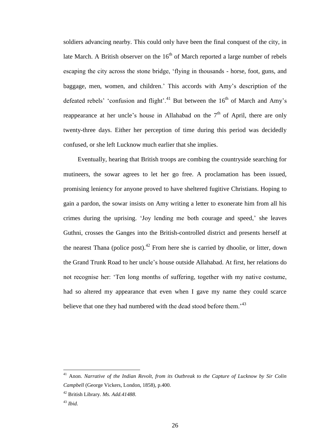soldiers advancing nearby. This could only have been the final conquest of the city, in late March. A British observer on the  $16<sup>th</sup>$  of March reported a large number of rebels escaping the city across the stone bridge, 'flying in thousands - horse, foot, guns, and baggage, men, women, and children.' This accords with Amy's description of the defeated rebels' 'confusion and flight'.<sup>41</sup> But between the  $16<sup>th</sup>$  of March and Amy's reappearance at her uncle's house in Allahabad on the  $7<sup>th</sup>$  of April, there are only twenty-three days. Either her perception of time during this period was decidedly confused, or she left Lucknow much earlier that she implies.

Eventually, hearing that British troops are combing the countryside searching for mutineers, the sowar agrees to let her go free. A proclamation has been issued, promising leniency for anyone proved to have sheltered fugitive Christians. Hoping to gain a pardon, the sowar insists on Amy writing a letter to exonerate him from all his crimes during the uprising. 'Joy lending me both courage and speed,' she leaves Guthni, crosses the Ganges into the British-controlled district and presents herself at the nearest Thana (police post).<sup>42</sup> From here she is carried by dhoolie, or litter, down the Grand Trunk Road to her uncle's house outside Allahabad. At first, her relations do not recognise her: 'Ten long months of suffering, together with my native costume, had so altered my appearance that even when I gave my name they could scarce believe that one they had numbered with the dead stood before them.<sup>43</sup>

<sup>&</sup>lt;sup>41</sup> Anon. *Narrative of the Indian Revolt, from its Outbreak to the Capture of Lucknow by Sir Colin Campbell* (George Vickers, London, 1858), p.400.

<sup>42</sup> British Library. *Ms. Add.41488.*

<sup>43</sup> *Ibid.*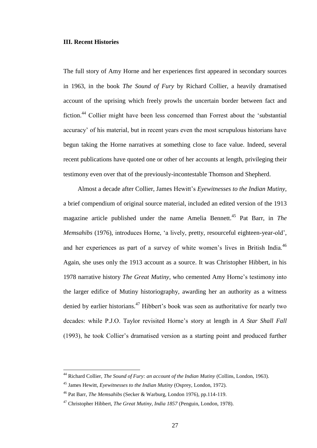#### **III. Recent Histories**

The full story of Amy Horne and her experiences first appeared in secondary sources in 1963, in the book *The Sound of Fury* by Richard Collier, a heavily dramatised account of the uprising which freely prowls the uncertain border between fact and fiction.<sup>44</sup> Collier might have been less concerned than Forrest about the 'substantial accuracy' of his material, but in recent years even the most scrupulous historians have begun taking the Horne narratives at something close to face value. Indeed, several recent publications have quoted one or other of her accounts at length, privileging their testimony even over that of the previously-incontestable Thomson and Shepherd.

Almost a decade after Collier, James Hewitt's *Eyewitnesses to the Indian Mutiny*, a brief compendium of original source material, included an edited version of the 1913 magazine article published under the name Amelia Bennett.<sup>45</sup> Pat Barr, in *The Memsahibs* (1976), introduces Horne, 'a lively, pretty, resourceful eighteen-year-old', and her experiences as part of a survey of white women's lives in British India.<sup>46</sup> Again, she uses only the 1913 account as a source. It was Christopher Hibbert, in his 1978 narrative history *The Great Mutiny*, who cemented Amy Horne's testimony into the larger edifice of Mutiny historiography, awarding her an authority as a witness denied by earlier historians.<sup>47</sup> Hibbert's book was seen as authoritative for nearly two decades: while P.J.O. Taylor revisited Horne's story at length in *A Star Shall Fall* (1993), he took Collier's dramatised version as a starting point and produced further

<sup>44</sup> Richard Collier, *The Sound of Fury: an account of the Indian Mutiny* (Collins, London, 1963).

<sup>45</sup> James Hewitt, *Eyewitnesses to the Indian Mutiny* (Osprey, London, 1972).

<sup>46</sup> Pat Barr, *The Memsahibs* (Secker & Warburg, London 1976), pp.114-119.

<sup>47</sup> Christopher Hibbert, *The Great Mutiny, India 1857* (Penguin, London, 1978).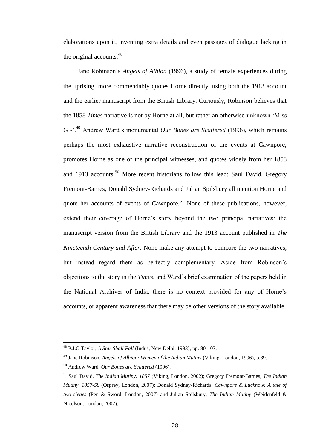elaborations upon it, inventing extra details and even passages of dialogue lacking in the original accounts.<sup>48</sup>

Jane Robinson's *Angels of Albion* (1996), a study of female experiences during the uprising, more commendably quotes Horne directly, using both the 1913 account and the earlier manuscript from the British Library. Curiously, Robinson believes that the 1858 *Times* narrative is not by Horne at all, but rather an otherwise-unknown 'Miss G <sup>-</sup>.<sup>49</sup> Andrew Ward's monumental *Our Bones are Scattered* (1996), which remains perhaps the most exhaustive narrative reconstruction of the events at Cawnpore, promotes Horne as one of the principal witnesses, and quotes widely from her 1858 and 1913 accounts.<sup>50</sup> More recent historians follow this lead: Saul David, Gregory Fremont-Barnes, Donald Sydney-Richards and Julian Spilsbury all mention Horne and quote her accounts of events of Cawnpore.<sup>51</sup> None of these publications, however, extend their coverage of Horne's story beyond the two principal narratives: the manuscript version from the British Library and the 1913 account published in *The Nineteenth Century and After*. None make any attempt to compare the two narratives, but instead regard them as perfectly complementary. Aside from Robinson's objections to the story in the *Times*, and Ward's brief examination of the papers held in the National Archives of India, there is no context provided for any of Horne's accounts, or apparent awareness that there may be other versions of the story available.

<sup>48</sup> P.J.O Taylor, *A Star Shall Fall* (Indus, New Delhi, 1993), pp. 80-107.

<sup>49</sup> Jane Robinson, *Angels of Albion: Women of the Indian Mutiny* (Viking, London, 1996), p.89.

<sup>50</sup> Andrew Ward, *Our Bones are Scattered* (1996).

<sup>51</sup> Saul David, *The Indian Mutiny: 1857* (Viking, London, 2002); Gregory Fremont-Barnes, *The Indian Mutiny, 1857-58* (Osprey, London, 2007); Donald Sydney-Richards, *Cawnpore & Lucknow: A tale of two sieges* (Pen & Sword, London, 2007) and Julian Spilsbury, *The Indian Mutiny* (Weidenfeld & Nicolson, London, 2007).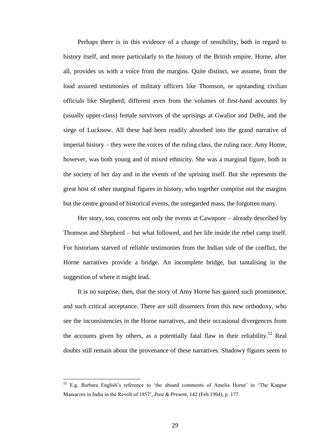Perhaps there is in this evidence of a change of sensibility, both in regard to history itself, and more particularly to the history of the British empire. Horne, after all, provides us with a voice from the margins. Quite distinct, we assume, from the loud assured testimonies of military officers like Thomson, or upstanding civilian officials like Shepherd; different even from the volumes of first-hand accounts by (usually upper-class) female survivors of the uprisings at Gwalior and Delhi, and the siege of Lucknow. All these had been readily absorbed into the grand narrative of imperial history – they were the voices of the ruling class, the ruling race. Amy Horne, however, was both young and of mixed ethnicity. She was a marginal figure, both in the society of her day and in the events of the uprising itself. But she represents the great host of other marginal figures in history, who together comprise not the margins but the centre ground of historical events, the unregarded mass, the forgotten many.

Her story, too, concerns not only the events at Cawnpore – already described by Thomson and Shepherd – but what followed, and her life inside the rebel camp itself. For historians starved of reliable testimonies from the Indian side of the conflict, the Horne narratives provide a bridge. An incomplete bridge, but tantalising in the suggestion of where it might lead.

It is no surprise, then, that the story of Amy Horne has gained such prominence, and such critical acceptance. There are still dissenters from this new orthodoxy, who see the inconsistencies in the Horne narratives, and their occasional divergences from the accounts given by others, as a potentially fatal flaw in their reliability.<sup>52</sup> Real doubts still remain about the provenance of these narratives. Shadowy figures seem to

<sup>52</sup> E.g. Barbara English's reference to 'the absurd comments of Amelia Horne' in 'The Kanpur Massacres in India in the Revolt of 1857', *Past & Present*, 142 (Feb 1994), p. 177.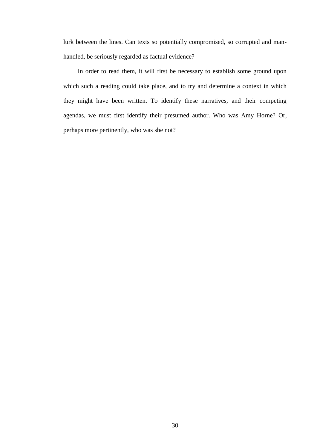lurk between the lines. Can texts so potentially compromised, so corrupted and manhandled, be seriously regarded as factual evidence?

In order to read them, it will first be necessary to establish some ground upon which such a reading could take place, and to try and determine a context in which they might have been written. To identify these narratives, and their competing agendas, we must first identify their presumed author. Who was Amy Horne? Or, perhaps more pertinently, who was she not?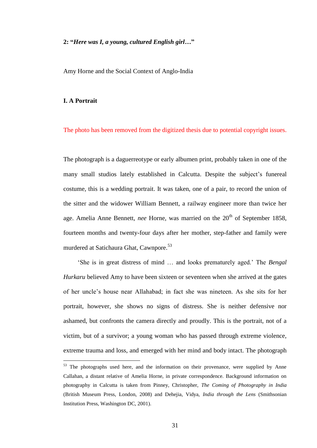#### **2: "***Here was I, a young, cultured English girl***…"**

Amy Horne and the Social Context of Anglo-India

#### **I. A Portrait**

 $\overline{a}$ 

The photo has been removed from the digitized thesis due to potential copyright issues.

The photograph is a daguerreotype or early albumen print, probably taken in one of the many small studios lately established in Calcutta. Despite the subject's funereal costume, this is a wedding portrait. It was taken, one of a pair, to record the union of the sitter and the widower William Bennett, a railway engineer more than twice her age. Amelia Anne Bennett, *nee* Horne, was married on the 20<sup>th</sup> of September 1858, fourteen months and twenty-four days after her mother, step-father and family were murdered at Satichaura Ghat, Cawnpore.<sup>53</sup>

'She is in great distress of mind … and looks prematurely aged.' The *Bengal Hurkaru* believed Amy to have been sixteen or seventeen when she arrived at the gates of her uncle's house near Allahabad; in fact she was nineteen. As she sits for her portrait, however, she shows no signs of distress. She is neither defensive nor ashamed, but confronts the camera directly and proudly. This is the portrait, not of a victim, but of a survivor; a young woman who has passed through extreme violence, extreme trauma and loss, and emerged with her mind and body intact. The photograph

<sup>&</sup>lt;sup>53</sup> The photographs used here, and the information on their provenance, were supplied by Anne Callahan, a distant relative of Amelia Horne, in private correspondence. Background information on photography in Calcutta is taken from Pinney, Christopher, *The Coming of Photography in India* (British Museum Press, London, 2008) and Dehejia, Vidya, *India through the Lens* (Smithsonian Institution Press, Washington DC, 2001).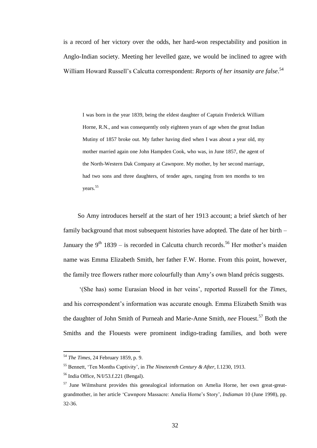is a record of her victory over the odds, her hard-won respectability and position in Anglo-Indian society. Meeting her levelled gaze, we would be inclined to agree with William Howard Russell's Calcutta correspondent: *Reports of her insanity are false*. 54

I was born in the year 1839, being the eldest daughter of Captain Frederick William Horne, R.N., and was consequently only eighteen years of age when the great Indian Mutiny of 1857 broke out. My father having died when I was about a year old, my mother married again one John Hampden Cook, who was, in June 1857, the agent of the North-Western Dak Company at Cawnpore. My mother, by her second marriage, had two sons and three daughters, of tender ages, ranging from ten months to ten years.<sup>55</sup>

So Amy introduces herself at the start of her 1913 account; a brief sketch of her family background that most subsequent histories have adopted. The date of her birth – January the  $9<sup>th</sup> 1839 -$  is recorded in Calcutta church records.<sup>56</sup> Her mother's maiden name was Emma Elizabeth Smith, her father F.W. Horne. From this point, however, the family tree flowers rather more colourfully than Amy's own bland précis suggests.

'(She has) some Eurasian blood in her veins', reported Russell for the *Times*, and his correspondent's information was accurate enough. Emma Elizabeth Smith was the daughter of John Smith of Purneah and Marie-Anne Smith, *nee* Flouest.<sup>57</sup> Both the Smiths and the Flouests were prominent indigo-trading families, and both were

<sup>54</sup> *The Times*, 24 February 1859, p. 9.

<sup>55</sup> Bennett, 'Ten Months Captivity', in *The Nineteenth Century & After*, I.1230, 1913.

 $<sup>56</sup>$  India Office, N/I/53.f.221 (Bengal).</sup>

 $57$  June Wilmshurst provides this genealogical information on Amelia Horne, her own great-greatgrandmother, in her article 'Cawnpore Massacre: Amelia Horne's Story', *Indiaman* 10 (June 1998), pp. 32-36.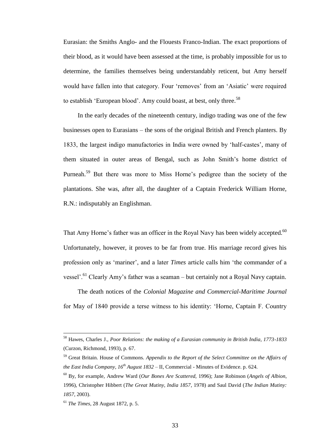Eurasian: the Smiths Anglo- and the Flouests Franco-Indian. The exact proportions of their blood, as it would have been assessed at the time, is probably impossible for us to determine, the families themselves being understandably reticent, but Amy herself would have fallen into that category. Four 'removes' from an 'Asiatic' were required to establish 'European blood'. Amy could boast, at best, only three.<sup>58</sup>

In the early decades of the nineteenth century, indigo trading was one of the few businesses open to Eurasians – the sons of the original British and French planters. By 1833, the largest indigo manufactories in India were owned by 'half-castes', many of them situated in outer areas of Bengal, such as John Smith's home district of Purneah.<sup>59</sup> But there was more to Miss Horne's pedigree than the society of the plantations. She was, after all, the daughter of a Captain Frederick William Horne, R.N.: indisputably an Englishman.

That Amy Horne's father was an officer in the Royal Navy has been widely accepted.<sup>60</sup> Unfortunately, however, it proves to be far from true. His marriage record gives his profession only as 'mariner', and a later *Times* article calls him 'the commander of a vessel'.<sup>61</sup> Clearly Amy's father was a seaman – but certainly not a Royal Navy captain.

The death notices of the *Colonial Magazine and Commercial-Maritime Journal* for May of 1840 provide a terse witness to his identity: 'Horne, Captain F. Country

<sup>58</sup> Hawes, Charles J., *Poor Relations: the making of a Eurasian community in British India, 1773-1833* (Curzon, Richmond, 1993), p. 67.

<sup>59</sup> Great Britain. House of Commons. *Appendix to the Report of the Select Committee on the Affairs of the East India Company, 16th August 1832* – II, Commercial - Minutes of Evidence. p. 624.

<sup>60</sup> By, for example, Andrew Ward (*Our Bones Are Scattered,* 1996); Jane Robinson (*Angels of Albion*, 1996), Christopher Hibbert (*The Great Mutiny, India 1857*, 1978) and Saul David (*The Indian Mutiny: 1857*, 2003).

<sup>61</sup> *The Times*, 28 August 1872, p. 5.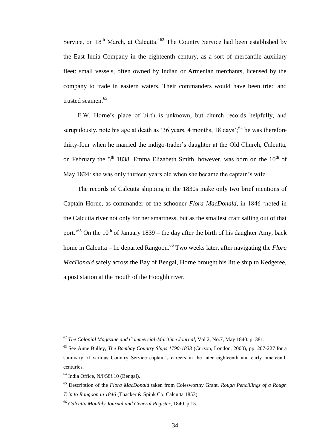Service, on  $18<sup>th</sup>$  March, at Calcutta.<sup>52</sup> The Country Service had been established by the East India Company in the eighteenth century, as a sort of mercantile auxiliary fleet: small vessels, often owned by Indian or Armenian merchants, licensed by the company to trade in eastern waters. Their commanders would have been tried and trusted seamen. 63

F.W. Horne's place of birth is unknown, but church records helpfully, and scrupulously, note his age at death as '36 years, 4 months,  $18 \text{ days}$ ;<sup>64</sup> he was therefore thirty-four when he married the indigo-trader's daughter at the Old Church, Calcutta, on February the  $5<sup>th</sup>$  1838. Emma Elizabeth Smith, however, was born on the  $10<sup>th</sup>$  of May 1824: she was only thirteen years old when she became the captain's wife.

The records of Calcutta shipping in the 1830s make only two brief mentions of Captain Horne, as commander of the schooner *Flora MacDonald*, in 1846 'noted in the Calcutta river not only for her smartness, but as the smallest craft sailing out of that port.<sup>55</sup> On the 10<sup>th</sup> of January 1839 – the day after the birth of his daughter Amy, back home in Calcutta – he departed Rangoon.<sup>66</sup> Two weeks later, after navigating the *Flora MacDonald* safely across the Bay of Bengal, Horne brought his little ship to Kedgeree, a post station at the mouth of the Hooghli river.

<sup>62</sup> *The Colonial Magazine and Commercial-Maritime Journal*, Vol 2, No.7, May 1840. p. 381.

<sup>63</sup> See Anne Bulley, *The Bombay Country Ships 1790-1833* (Curzon, London, 2000), pp. 207-227 for a summary of various Country Service captain's careers in the later eighteenth and early nineteenth centuries.

 $<sup>64</sup>$  India Office, N/I/58f.10 (Bengal).</sup>

<sup>65</sup> Description of the *Flora MacDonald* taken from Colesworthy Grant, *Rough Pencillings of a Rough Trip to Rangoon in 1846* (Thacker & Spink Co. Calcutta 1853).

<sup>66</sup> *Calcutta Monthly Journal and General Register*, 1840. p.15.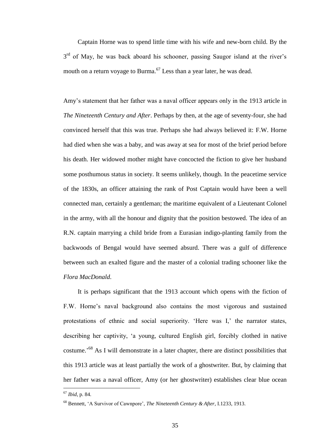Captain Horne was to spend little time with his wife and new-born child. By the 3<sup>rd</sup> of May, he was back aboard his schooner, passing Saugor island at the river's mouth on a return voyage to Burma.<sup>67</sup> Less than a year later, he was dead.

Amy's statement that her father was a naval officer appears only in the 1913 article in *The Nineteenth Century and After*. Perhaps by then, at the age of seventy-four, she had convinced herself that this was true. Perhaps she had always believed it: F.W. Horne had died when she was a baby, and was away at sea for most of the brief period before his death. Her widowed mother might have concocted the fiction to give her husband some posthumous status in society. It seems unlikely, though. In the peacetime service of the 1830s, an officer attaining the rank of Post Captain would have been a well connected man, certainly a gentleman; the maritime equivalent of a Lieutenant Colonel in the army, with all the honour and dignity that the position bestowed. The idea of an R.N. captain marrying a child bride from a Eurasian indigo-planting family from the backwoods of Bengal would have seemed absurd. There was a gulf of difference between such an exalted figure and the master of a colonial trading schooner like the *Flora MacDonald*.

It is perhaps significant that the 1913 account which opens with the fiction of F.W. Horne's naval background also contains the most vigorous and sustained protestations of ethnic and social superiority. 'Here was I,' the narrator states, describing her captivity, 'a young, cultured English girl, forcibly clothed in native costume.<sup>'68</sup> As I will demonstrate in a later chapter, there are distinct possibilities that this 1913 article was at least partially the work of a ghostwriter. But, by claiming that her father was a naval officer, Amy (or her ghostwriter) establishes clear blue ocean

<sup>67</sup> *Ibid*, p. 84.

<sup>68</sup> Bennett, 'A Survivor of Cawnpore', *The Nineteenth Century & After*, I.1233, 1913.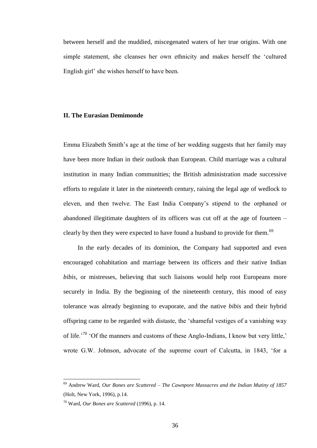between herself and the muddied, miscegenated waters of her true origins. With one simple statement, she cleanses her own ethnicity and makes herself the 'cultured English girl' she wishes herself to have been.

#### **II. The Eurasian Demimonde**

Emma Elizabeth Smith's age at the time of her wedding suggests that her family may have been more Indian in their outlook than European. Child marriage was a cultural institution in many Indian communities; the British administration made successive efforts to regulate it later in the nineteenth century, raising the legal age of wedlock to eleven, and then twelve. The East India Company's stipend to the orphaned or abandoned illegitimate daughters of its officers was cut off at the age of fourteen – clearly by then they were expected to have found a husband to provide for them.<sup>69</sup>

In the early decades of its dominion, the Company had supported and even encouraged cohabitation and marriage between its officers and their native Indian *bibis*, or mistresses, believing that such liaisons would help root Europeans more securely in India. By the beginning of the nineteenth century, this mood of easy tolerance was already beginning to evaporate, and the native *bibis* and their hybrid offspring came to be regarded with distaste, the 'shameful vestiges of a vanishing way of life.<sup>'70</sup> 'Of the manners and customs of these Anglo-Indians, I know but very little,' wrote G.W. Johnson, advocate of the supreme court of Calcutta, in 1843, 'for a

<sup>69</sup> Andrew Ward, *Our Bones are Scattered – The Cawnpore Massacres and the Indian Mutiny of 1857* (Holt, New York, 1996), p.14.

<sup>70</sup> Ward, *Our Bones are Scattered* (1996), p. 14.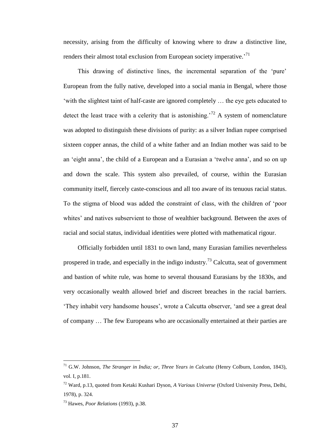necessity, arising from the difficulty of knowing where to draw a distinctive line, renders their almost total exclusion from European society imperative.<sup>71</sup>

This drawing of distinctive lines, the incremental separation of the 'pure' European from the fully native, developed into a social mania in Bengal, where those 'with the slightest taint of half-caste are ignored completely … the eye gets educated to detect the least trace with a celerity that is astonishing.<sup>72</sup> A system of nomenclature was adopted to distinguish these divisions of purity: as a silver Indian rupee comprised sixteen copper annas, the child of a white father and an Indian mother was said to be an 'eight anna', the child of a European and a Eurasian a 'twelve anna', and so on up and down the scale. This system also prevailed, of course, within the Eurasian community itself, fiercely caste-conscious and all too aware of its tenuous racial status. To the stigma of blood was added the constraint of class, with the children of 'poor whites' and natives subservient to those of wealthier background. Between the axes of racial and social status, individual identities were plotted with mathematical rigour.

Officially forbidden until 1831 to own land, many Eurasian families nevertheless prospered in trade, and especially in the indigo industry.<sup>73</sup> Calcutta, seat of government and bastion of white rule, was home to several thousand Eurasians by the 1830s, and very occasionally wealth allowed brief and discreet breaches in the racial barriers. 'They inhabit very handsome houses', wrote a Calcutta observer, 'and see a great deal of company … The few Europeans who are occasionally entertained at their parties are

<sup>71</sup> G.W. Johnson, *The Stranger in India; or, Three Years in Calcutta* (Henry Colburn, London, 1843), vol. I, p.181.

<sup>72</sup> Ward, p.13, quoted from Ketaki Kushari Dyson, *A Various Universe* (Oxford University Press, Delhi, 1978), p. 324.

<sup>73</sup> Hawes, *Poor Relations* (1993), p.38.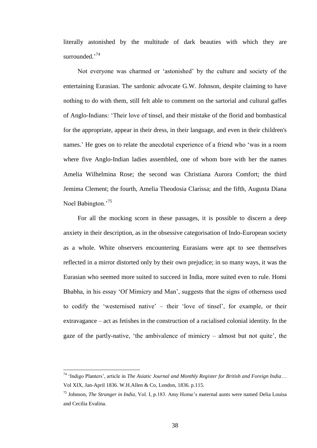literally astonished by the multitude of dark beauties with which they are surrounded.'<sup>74</sup>

Not everyone was charmed or 'astonished' by the culture and society of the entertaining Eurasian. The sardonic advocate G.W. Johnson, despite claiming to have nothing to do with them, still felt able to comment on the sartorial and cultural gaffes of Anglo-Indians: 'Their love of tinsel, and their mistake of the florid and bombastical for the appropriate, appear in their dress, in their language, and even in their children's names.' He goes on to relate the anecdotal experience of a friend who 'was in a room where five Anglo-Indian ladies assembled, one of whom bore with her the names Amelia Wilhelmina Rose; the second was Christiana Aurora Comfort; the third Jemima Clement; the fourth, Amelia Theodosia Clarissa; and the fifth, Augusta Diana Noel Babington.<sup>75</sup>

For all the mocking scorn in these passages, it is possible to discern a deep anxiety in their description, as in the obsessive categorisation of Indo-European society as a whole. White observers encountering Eurasians were apt to see themselves reflected in a mirror distorted only by their own prejudice; in so many ways, it was the Eurasian who seemed more suited to succeed in India, more suited even to rule. Homi Bhabha, in his essay 'Of Mimicry and Man', suggests that the signs of otherness used to codify the 'westernised native' – their 'love of tinsel', for example, or their extravagance – act as fetishes in the construction of a racialised colonial identity. In the gaze of the partly-native, 'the ambivalence of mimicry – almost but not quite', the

<sup>74</sup> 'Indigo Planters', article in *The Asiatic Journal and Monthly Register for British and Foreign India*… Vol XIX, Jan-April 1836. W.H.Allen & Co, London, 1836. p.115.

<sup>75</sup> Johnson, *The Stranger in India*, Vol. I, p.183. Amy Horne's maternal aunts were named Delia Louisa and Cecilia Evalina.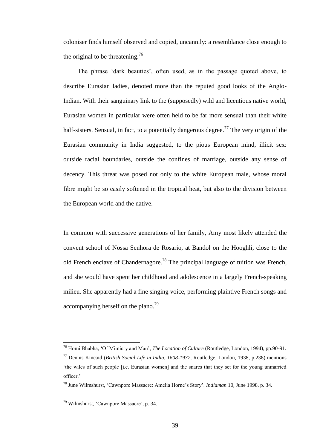coloniser finds himself observed and copied, uncannily: a resemblance close enough to the original to be threatening.<sup>76</sup>

The phrase 'dark beauties', often used, as in the passage quoted above, to describe Eurasian ladies, denoted more than the reputed good looks of the Anglo-Indian. With their sanguinary link to the (supposedly) wild and licentious native world, Eurasian women in particular were often held to be far more sensual than their white half-sisters. Sensual, in fact, to a potentially dangerous degree.<sup>77</sup> The very origin of the Eurasian community in India suggested, to the pious European mind, illicit sex: outside racial boundaries, outside the confines of marriage, outside any sense of decency. This threat was posed not only to the white European male, whose moral fibre might be so easily softened in the tropical heat, but also to the division between the European world and the native.

In common with successive generations of her family, Amy most likely attended the convent school of Nossa Senhora de Rosario, at Bandol on the Hooghli, close to the old French enclave of Chandernagore.<sup>78</sup> The principal language of tuition was French, and she would have spent her childhood and adolescence in a largely French-speaking milieu. She apparently had a fine singing voice, performing plaintive French songs and accompanying herself on the piano.<sup>79</sup>

<sup>76</sup> Homi Bhabha, 'Of Mimicry and Man', *The Location of Culture* (Routledge, London, 1994), pp.90-91.

<sup>77</sup> Dennis Kincaid (*British Social Life in India, 1608-1937*, Routledge, London, 1938, p.238) mentions 'the wiles of such people [i.e. Eurasian women] and the snares that they set for the young unmarried officer.'

<sup>78</sup> June Wilmshurst, 'Cawnpore Massacre: Amelia Horne's Story'. *Indiaman* 10, June 1998. p. 34.

<sup>79</sup> Wilmshurst, 'Cawnpore Massacre', p. 34.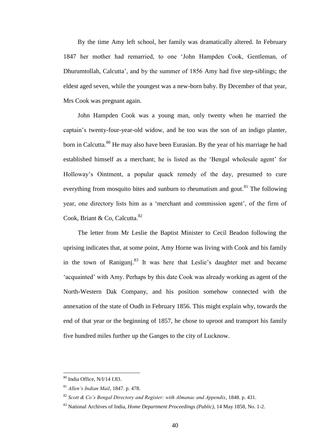By the time Amy left school, her family was dramatically altered. In February 1847 her mother had remarried, to one 'John Hampden Cook, Gentleman, of Dhurumtollah, Calcutta', and by the summer of 1856 Amy had five step-siblings; the eldest aged seven, while the youngest was a new-born baby. By December of that year, Mrs Cook was pregnant again.

John Hampden Cook was a young man, only twenty when he married the captain's twenty-four-year-old widow, and he too was the son of an indigo planter, born in Calcutta.<sup>80</sup> He may also have been Eurasian. By the year of his marriage he had established himself as a merchant; he is listed as the 'Bengal wholesale agent' for Holloway's Ointment, a popular quack remedy of the day, presumed to cure everything from mosquito bites and sunburn to rheumatism and gout.<sup>81</sup> The following year, one directory lists him as a 'merchant and commission agent', of the firm of Cook, Briant & Co, Calcutta.<sup>82</sup>

The letter from Mr Leslie the Baptist Minister to Cecil Beadon following the uprising indicates that, at some point, Amy Horne was living with Cook and his family in the town of Raniguni.<sup>83</sup> It was here that Leslie's daughter met and became 'acquainted' with Amy. Perhaps by this date Cook was already working as agent of the North-Western Dak Company, and his position somehow connected with the annexation of the state of Oudh in February 1856. This might explain why, towards the end of that year or the beginning of 1857, he chose to uproot and transport his family five hundred miles further up the Ganges to the city of Lucknow.

<sup>80</sup> India Office, N/I/14 f.83.

<sup>81</sup> *Allen's Indian Mail*, 1847. p. 478.

<sup>82</sup> *Scott & Co's Bengal Directory and Register: with Almanac and Appendix*, 1848. p. 431.

<sup>83</sup> National Archives of India, *Home Department Proceedings (Public),* 14 May 1858, No. 1-2.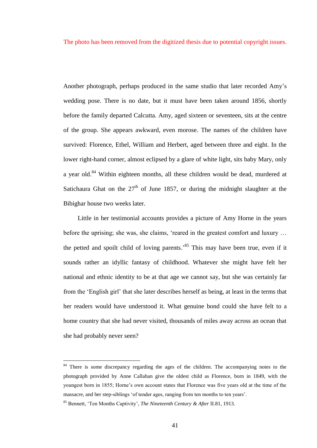The photo has been removed from the digitized thesis due to potential copyright issues.

Another photograph, perhaps produced in the same studio that later recorded Amy's wedding pose. There is no date, but it must have been taken around 1856, shortly before the family departed Calcutta. Amy, aged sixteen or seventeen, sits at the centre of the group. She appears awkward, even morose. The names of the children have survived: Florence, Ethel, William and Herbert, aged between three and eight. In the lower right-hand corner, almost eclipsed by a glare of white light, sits baby Mary, only a year old.<sup>84</sup> Within eighteen months, all these children would be dead, murdered at Satichaura Ghat on the  $27<sup>th</sup>$  of June 1857, or during the midnight slaughter at the Bibighar house two weeks later.

Little in her testimonial accounts provides a picture of Amy Horne in the years before the uprising; she was, she claims, 'reared in the greatest comfort and luxury … the petted and spoilt child of loving parents.' <sup>85</sup> This may have been true, even if it sounds rather an idyllic fantasy of childhood. Whatever she might have felt her national and ethnic identity to be at that age we cannot say, but she was certainly far from the 'English girl' that she later describes herself as being, at least in the terms that her readers would have understood it. What genuine bond could she have felt to a home country that she had never visited, thousands of miles away across an ocean that she had probably never seen?

<sup>&</sup>lt;sup>84</sup> There is some discrepancy regarding the ages of the children. The accompanying notes to the photograph provided by Anne Callahan give the oldest child as Florence, born in 1849, with the youngest born in 1855; Horne's own account states that Florence was five years old at the time of the massacre, and her step-siblings 'of tender ages, ranging from ten months to ten years'.

<sup>85</sup> Bennett, 'Ten Months Captivity', *The Nineteenth Century & After* II.81, 1913.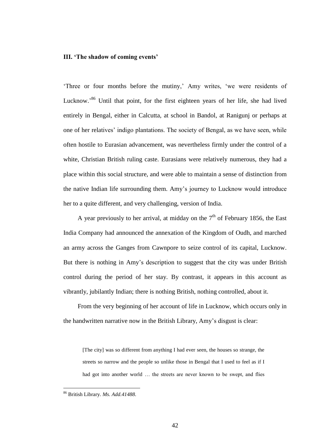#### **III. 'The shadow of coming events'**

'Three or four months before the mutiny,' Amy writes, 'we were residents of Lucknow.<sup>86</sup> Until that point, for the first eighteen years of her life, she had lived entirely in Bengal, either in Calcutta, at school in Bandol, at Ranigunj or perhaps at one of her relatives' indigo plantations. The society of Bengal, as we have seen, while often hostile to Eurasian advancement, was nevertheless firmly under the control of a white, Christian British ruling caste. Eurasians were relatively numerous, they had a place within this social structure, and were able to maintain a sense of distinction from the native Indian life surrounding them. Amy's journey to Lucknow would introduce her to a quite different, and very challenging, version of India.

A year previously to her arrival, at midday on the  $7<sup>th</sup>$  of February 1856, the East India Company had announced the annexation of the Kingdom of Oudh, and marched an army across the Ganges from Cawnpore to seize control of its capital, Lucknow. But there is nothing in Amy's description to suggest that the city was under British control during the period of her stay. By contrast, it appears in this account as vibrantly, jubilantly Indian; there is nothing British, nothing controlled, about it.

From the very beginning of her account of life in Lucknow, which occurs only in the handwritten narrative now in the British Library, Amy's disgust is clear:

[The city] was so different from anything I had ever seen, the houses so strange, the streets so narrow and the people so unlike those in Bengal that I used to feel as if I had got into another world … the streets are never known to be swept, and flies

<sup>86</sup> British Library. *Ms. Add.41488.*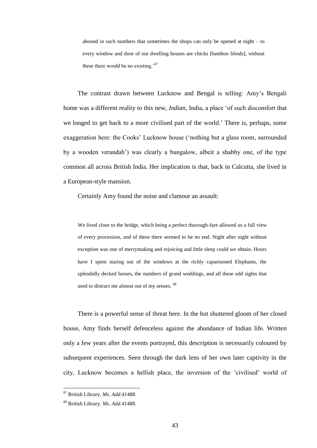abound in such numbers that sometimes the shops can only be opened at night – to every window and door of our dwelling houses are chicks [bamboo blinds], without these there would be no existing.'<sup>87</sup>

The contrast drawn between Lucknow and Bengal is telling: Amy's Bengali home was a different reality to this new, *Indian*, India, a place 'of such discomfort that we longed to get back to a more civilised part of the world.' There is, perhaps, some exaggeration here: the Cooks' Lucknow house ('nothing but a glass room, surrounded by a wooden verandah') was clearly a bungalow, albeit a shabby one, of the type common all across British India. Her implication is that, back in Calcutta, she lived in a European-style mansion.

Certainly Amy found the noise and clamour an assault:

We lived close to the bridge, which being a perfect thorough-fare allowed us a full view of every procession, and of these there seemed to be no end. Night after night without exception was one of merrymaking and rejoicing and little sleep could we obtain. Hours have I spent staring out of the windows at the richly caparisoned Elephants, the splendidly decked horses, the numbers of grand weddings, and all these odd sights that used to distract me almost out of my senses. <sup>88</sup>

There is a powerful sense of threat here. In the hot shuttered gloom of her closed house, Amy finds herself defenceless against the abundance of Indian life. Written only a few years after the events portrayed, this description is necessarily coloured by subsequent experiences. Seen through the dark lens of her own later captivity in the city, Lucknow becomes a hellish place, the inversion of the 'civilised' world of

<sup>87</sup> British Library. *Ms. Add.41488.*

<sup>88</sup> British Library. *Ms. Add.41488.*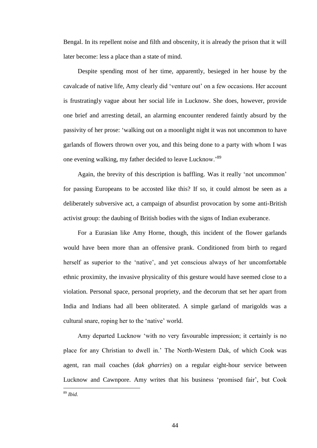Bengal. In its repellent noise and filth and obscenity, it is already the prison that it will later become: less a place than a state of mind.

Despite spending most of her time, apparently, besieged in her house by the cavalcade of native life, Amy clearly did 'venture out' on a few occasions. Her account is frustratingly vague about her social life in Lucknow. She does, however, provide one brief and arresting detail, an alarming encounter rendered faintly absurd by the passivity of her prose: 'walking out on a moonlight night it was not uncommon to have garlands of flowers thrown over you, and this being done to a party with whom I was one evening walking, my father decided to leave Lucknow.'<sup>89</sup>

Again, the brevity of this description is baffling. Was it really 'not uncommon' for passing Europeans to be accosted like this? If so, it could almost be seen as a deliberately subversive act, a campaign of absurdist provocation by some anti-British activist group: the daubing of British bodies with the signs of Indian exuberance.

For a Eurasian like Amy Horne, though, this incident of the flower garlands would have been more than an offensive prank. Conditioned from birth to regard herself as superior to the 'native', and yet conscious always of her uncomfortable ethnic proximity, the invasive physicality of this gesture would have seemed close to a violation. Personal space, personal propriety, and the decorum that set her apart from India and Indians had all been obliterated. A simple garland of marigolds was a cultural snare, roping her to the 'native' world.

Amy departed Lucknow 'with no very favourable impression; it certainly is no place for any Christian to dwell in.' The North-Western Dak, of which Cook was agent, ran mail coaches (*dak gharries*) on a regular eight-hour service between Lucknow and Cawnpore. Amy writes that his business 'promised fair', but Cook  $\overline{a}$ <sup>89</sup> *Ibid.*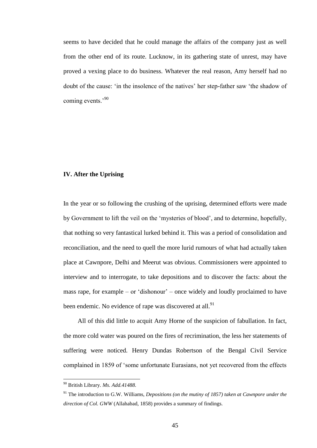seems to have decided that he could manage the affairs of the company just as well from the other end of its route. Lucknow, in its gathering state of unrest, may have proved a vexing place to do business. Whatever the real reason, Amy herself had no doubt of the cause: 'in the insolence of the natives' her step-father saw 'the shadow of coming events.<sup>'90</sup>

## **IV. After the Uprising**

In the year or so following the crushing of the uprising, determined efforts were made by Government to lift the veil on the 'mysteries of blood', and to determine, hopefully, that nothing so very fantastical lurked behind it. This was a period of consolidation and reconciliation, and the need to quell the more lurid rumours of what had actually taken place at Cawnpore, Delhi and Meerut was obvious. Commissioners were appointed to interview and to interrogate, to take depositions and to discover the facts: about the mass rape, for example – or 'dishonour' – once widely and loudly proclaimed to have been endemic. No evidence of rape was discovered at all.<sup>91</sup>

All of this did little to acquit Amy Horne of the suspicion of fabullation. In fact, the more cold water was poured on the fires of recrimination, the less her statements of suffering were noticed. Henry Dundas Robertson of the Bengal Civil Service complained in 1859 of 'some unfortunate Eurasians, not yet recovered from the effects

<sup>90</sup> British Library. *Ms. Add.41488.*

<sup>91</sup> The introduction to G.W. Williams, *Depositions (on the mutiny of 1857) taken at Cawnpore under the direction of Col. GWW* (Allahabad, 1858) provides a summary of findings.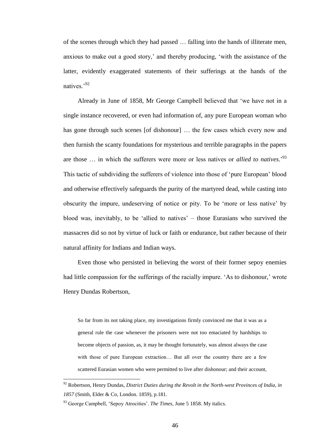of the scenes through which they had passed … falling into the hands of illiterate men, anxious to make out a good story,' and thereby producing, 'with the assistance of the latter, evidently exaggerated statements of their sufferings at the hands of the natives<sup>,92</sup>

Already in June of 1858, Mr George Campbell believed that 'we have not in a single instance recovered, or even had information of, any pure European woman who has gone through such scenes [of dishonour] ... the few cases which every now and then furnish the scanty foundations for mysterious and terrible paragraphs in the papers are those ... in which the sufferers were more or less natives or *allied to natives*.<sup>93</sup> This tactic of subdividing the sufferers of violence into those of 'pure European' blood and otherwise effectively safeguards the purity of the martyred dead, while casting into obscurity the impure, undeserving of notice or pity. To be 'more or less native' by blood was, inevitably, to be 'allied to natives' – those Eurasians who survived the massacres did so not by virtue of luck or faith or endurance, but rather because of their natural affinity for Indians and Indian ways.

Even those who persisted in believing the worst of their former sepoy enemies had little compassion for the sufferings of the racially impure. 'As to dishonour,' wrote Henry Dundas Robertson,

So far from its not taking place, my investigations firmly convinced me that it was as a general rule the case whenever the prisoners were not too emaciated by hardships to become objects of passion, as, it may be thought fortunately, was almost always the case with those of pure European extraction… But all over the country there are a few scattered Eurasian women who were permitted to live after dishonour; and their account,

<sup>92</sup> Robertson, Henry Dundas, *District Duties during the Revolt in the North-west Provinces of India, in 1857* (Smith, Elder & Co, London. 1859), p.181.

<sup>93</sup> George Campbell, 'Sepoy Atrocities'. *The Times*, June 5 1858. My italics.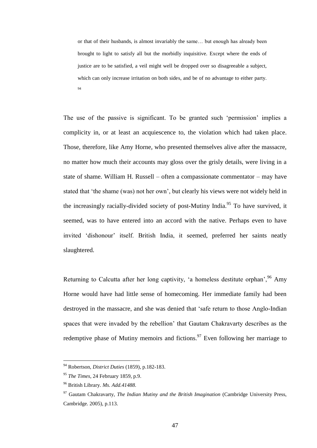or that of their husbands, is almost invariably the same… but enough has already been brought to light to satisfy all but the morbidly inquisitive. Except where the ends of justice are to be satisfied, a veil might well be dropped over so disagreeable a subject, which can only increase irritation on both sides, and be of no advantage to either party. 94

The use of the passive is significant. To be granted such 'permission' implies a complicity in, or at least an acquiescence to, the violation which had taken place. Those, therefore, like Amy Horne, who presented themselves alive after the massacre, no matter how much their accounts may gloss over the grisly details, were living in a state of shame. William H. Russell – often a compassionate commentator – may have stated that 'the shame (was) not her own', but clearly his views were not widely held in the increasingly racially-divided society of post-Mutiny India.<sup>95</sup> To have survived, it seemed, was to have entered into an accord with the native. Perhaps even to have invited 'dishonour' itself. British India, it seemed, preferred her saints neatly slaughtered.

Returning to Calcutta after her long captivity, 'a homeless destitute orphan',  $96$  Amy Horne would have had little sense of homecoming. Her immediate family had been destroyed in the massacre, and she was denied that 'safe return to those Anglo-Indian spaces that were invaded by the rebellion' that Gautam Chakravarty describes as the redemptive phase of Mutiny memoirs and fictions.<sup>97</sup> Even following her marriage to

<sup>94</sup> Robertson, *District Duties* (1859), p.182-183.

<sup>95</sup> *The Times*, 24 February 1859, p.9.

<sup>96</sup> British Library. *Ms. Add.41488.*

<sup>97</sup> Gautam Chakravarty, *The Indian Mutiny and the British Imagination* (Cambridge University Press, Cambridge. 2005), p.113.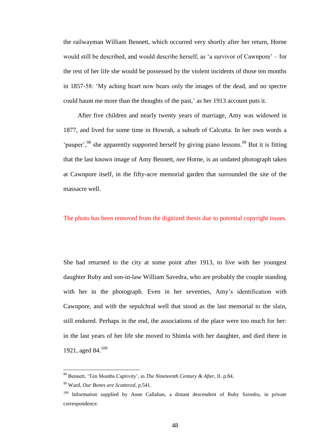the railwayman William Bennett, which occurred very shortly after her return, Horne would still be described, and would describe herself, as 'a survivor of Cawnpore' – for the rest of her life she would be possessed by the violent incidents of those ten months in 1857-58: 'My aching heart now bears only the images of the dead, and no spectre could haunt me more than the thoughts of the past,' as her 1913 account puts it.

After five children and nearly twenty years of marriage, Amy was widowed in 1877, and lived for some time in Howrah, a suburb of Calcutta. In her own words a 'pauper',  $98$  she apparently supported herself by giving piano lessons.  $99$  But it is fitting that the last known image of Amy Bennett, *nee* Horne, is an undated photograph taken at Cawnpore itself, in the fifty-acre memorial garden that surrounded the site of the massacre well.

### The photo has been removed from the digitized thesis due to potential copyright issues.

She had returned to the city at some point after 1913, to live with her youngest daughter Ruby and son-in-law William Savedra, who are probably the couple standing with her in the photograph. Even in her seventies, Amy's identification with Cawnpore, and with the sepulchral well that stood as the last memorial to the slain, still endured. Perhaps in the end, the associations of the place were too much for her: in the last years of her life she moved to Shimla with her daughter, and died there in 1921, aged 84.<sup>100</sup>

<sup>98</sup> Bennett, 'Ten Months Captivity', in *The Nineteenth Century & After*, II. p.84.

<sup>99</sup> Ward, *Our Bones are Scattered*, p.541.

<sup>&</sup>lt;sup>100</sup> Information supplied by Anne Callahan, a distant descendent of Ruby Savedra, in private correspondence.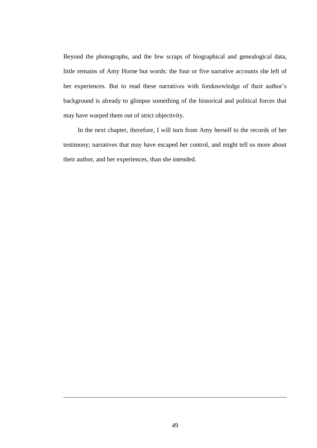Beyond the photographs, and the few scraps of biographical and genealogical data, little remains of Amy Horne but words: the four or five narrative accounts she left of her experiences. But to read these narratives with foreknowledge of their author's background is already to glimpse something of the historical and political forces that may have warped them out of strict objectivity.

In the next chapter, therefore, I will turn from Amy herself to the records of her testimony; narratives that may have escaped her control, and might tell us more about their author, and her experiences, than she intended.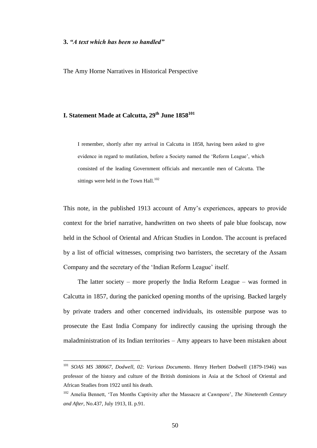#### **3.** *"A text which has been so handled"*

 $\overline{a}$ 

The Amy Horne Narratives in Historical Perspective

## **I. Statement Made at Calcutta, 29th June 1858<sup>101</sup>**

I remember, shortly after my arrival in Calcutta in 1858, having been asked to give evidence in regard to mutilation, before a Society named the 'Reform League', which consisted of the leading Government officials and mercantile men of Calcutta. The sittings were held in the Town Hall. $^{102}$ 

This note, in the published 1913 account of Amy's experiences, appears to provide context for the brief narrative, handwritten on two sheets of pale blue foolscap, now held in the School of Oriental and African Studies in London. The account is prefaced by a list of official witnesses, comprising two barristers, the secretary of the Assam Company and the secretary of the 'Indian Reform League' itself.

The latter society – more properly the India Reform League – was formed in Calcutta in 1857, during the panicked opening months of the uprising. Backed largely by private traders and other concerned individuals, its ostensible purpose was to prosecute the East India Company for indirectly causing the uprising through the maladministration of its Indian territories – Amy appears to have been mistaken about

<sup>101</sup> *SOAS MS 380667, Dodwell, 02: Various Documents*. Henry Herbert Dodwell (1879-1946) was professor of the history and culture of the British dominions in Asia at the School of Oriental and African Studies from 1922 until his death.

<sup>102</sup> Amelia Bennett, 'Ten Months Captivity after the Massacre at Cawnpore', *The Nineteenth Century and After*, No.437, July 1913, II. p.91.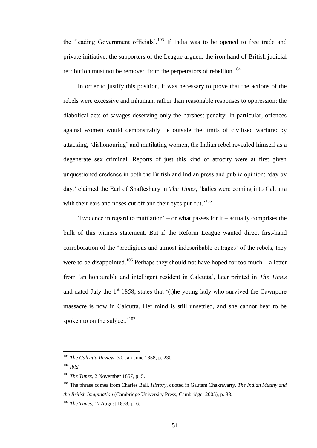the 'leading Government officials'.<sup>103</sup> If India was to be opened to free trade and private initiative, the supporters of the League argued, the iron hand of British judicial retribution must not be removed from the perpetrators of rebellion.<sup>104</sup>

In order to justify this position, it was necessary to prove that the actions of the rebels were excessive and inhuman, rather than reasonable responses to oppression: the diabolical acts of savages deserving only the harshest penalty. In particular, offences against women would demonstrably lie outside the limits of civilised warfare: by attacking, 'dishonouring' and mutilating women, the Indian rebel revealed himself as a degenerate sex criminal. Reports of just this kind of atrocity were at first given unquestioned credence in both the British and Indian press and public opinion: 'day by day,' claimed the Earl of Shaftesbury in *The Times*, 'ladies were coming into Calcutta with their ears and noses cut off and their eyes put out.<sup>'105</sup>

'Evidence in regard to mutilation' – or what passes for it – actually comprises the bulk of this witness statement. But if the Reform League wanted direct first-hand corroboration of the 'prodigious and almost indescribable outrages' of the rebels, they were to be disappointed.<sup>106</sup> Perhaps they should not have hoped for too much – a letter from 'an honourable and intelligent resident in Calcutta', later printed in *The Times* and dated July the  $1<sup>st</sup>$  1858, states that '(t)he young lady who survived the Cawnpore massacre is now in Calcutta. Her mind is still unsettled, and she cannot bear to be spoken to on the subject.<sup> $107$ </sup>

<sup>103</sup> *The Calcutta Review*, 30, Jan-June 1858, p. 230.

<sup>104</sup> *Ibid.*

<sup>105</sup> *The Times*, 2 November 1857, p. 5.

<sup>106</sup> The phrase comes from Charles Ball, *History*, quoted in Gautam Chakravarty, *The Indian Mutiny and the British Imagination* (Cambridge University Press, Cambridge, 2005), p. 38.

<sup>107</sup> *The Times*, 17 August 1858, p. 6.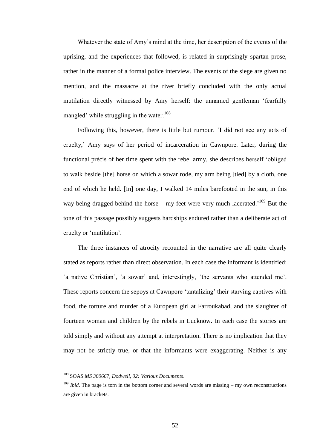Whatever the state of Amy's mind at the time, her description of the events of the uprising, and the experiences that followed, is related in surprisingly spartan prose, rather in the manner of a formal police interview. The events of the siege are given no mention, and the massacre at the river briefly concluded with the only actual mutilation directly witnessed by Amy herself: the unnamed gentleman 'fearfully mangled' while struggling in the water.<sup>108</sup>

Following this, however, there is little but rumour. 'I did not see any acts of cruelty,' Amy says of her period of incarceration in Cawnpore. Later, during the functional précis of her time spent with the rebel army, she describes herself 'obliged to walk beside [the] horse on which a sowar rode, my arm being [tied] by a cloth, one end of which he held. [In] one day, I walked 14 miles barefooted in the sun, in this way being dragged behind the horse  $-$  my feet were very much lacerated.<sup>109</sup> But the tone of this passage possibly suggests hardships endured rather than a deliberate act of cruelty or 'mutilation'.

The three instances of atrocity recounted in the narrative are all quite clearly stated as reports rather than direct observation. In each case the informant is identified: 'a native Christian', 'a sowar' and, interestingly, 'the servants who attended me'. These reports concern the sepoys at Cawnpore 'tantalizing' their starving captives with food, the torture and murder of a European girl at Farroukabad, and the slaughter of fourteen woman and children by the rebels in Lucknow. In each case the stories are told simply and without any attempt at interpretation. There is no implication that they may not be strictly true, or that the informants were exaggerating. Neither is any

<sup>108</sup> SOAS *MS 380667, Dodwell, 02: Various Documents*.

<sup>&</sup>lt;sup>109</sup> *Ibid*. The page is torn in the bottom corner and several words are missing – my own reconstructions are given in brackets.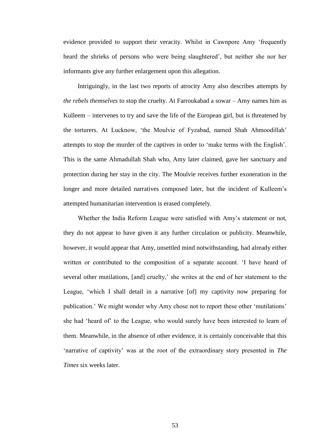evidence provided to support their veracity. Whilst in Cawnpore Amy 'frequently heard the shrieks of persons who were being slaughtered', but neither she nor her informants give any further enlargement upon this allegation.

Intriguingly, in the last two reports of atrocity Amy also describes attempts *by the rebels themselves* to stop the cruelty. At Farroukabad a sowar – Amy names him as Kulleem – intervenes to try and save the life of the European girl, but is threatened by the torturers. At Lucknow, 'the Moulvie of Fyzabad, named Shah Ahmoodillah' attempts to stop the murder of the captives in order to 'make terms with the English'. This is the same Ahmadullah Shah who, Amy later claimed, gave her sanctuary and protection during her stay in the city. The Moulvie receives further exoneration in the longer and more detailed narratives composed later, but the incident of Kulleem's attempted humanitarian intervention is erased completely.

Whether the India Reform League were satisfied with Amy's statement or not, they do not appear to have given it any further circulation or publicity. Meanwhile, however, it would appear that Amy, unsettled mind notwithstanding, had already either written or contributed to the composition of a separate account. 'I have heard of several other mutilations, [and] cruelty,' she writes at the end of her statement to the League, 'which I shall detail in a narrative [of] my captivity now preparing for publication.' We might wonder why Amy chose not to report these other 'mutilations' she had 'heard of' to the League, who would surely have been interested to learn of them. Meanwhile, in the absence of other evidence, it is certainly conceivable that this 'narrative of captivity' was at the root of the extraordinary story presented in *The Times* six weeks later.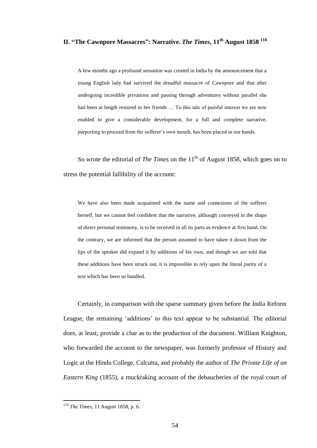## **II. "The Cawnpore Massacres": Narrative.** *The Times***, 11th August 1858 <sup>110</sup>**

A few months ago a profound sensation was created in India by the announcement that a young English lady had survived the dreadful massacre of Cawnpore and that after undergoing incredible privations and passing through adventures without parallel she had been at length restored to her friends … To this tale of painful interest we are now enabled to give a considerable development, for a full and complete narrative, purporting to proceed from the sufferer's own mouth, has been placed in our hands.

So wrote the editorial of *The Times* on the 11<sup>th</sup> of August 1858, which goes on to stress the potential fallibility of the account:

We have also been made acquainted with the name and connexions of the sufferer herself, but we cannot feel confident that the narrative, although conveyed in the shape of direct personal testimony, is to be received in all its parts as evidence at first hand. On the contrary, we are informed that the person assumed to have taken it down from the lips of the speaker did expand it by additions of his own, and though we are told that these additions have been struck out, it is impossible to rely upon the literal purity of a text which has been so handled.

Certainly, in comparison with the sparse summary given before the India Reform League, the remaining 'additions' to this text appear to be substantial. The editorial does, at least, provide a clue as to the production of the document. William Knighton, who forwarded the account to the newspaper, was formerly professor of History and Logic at the Hindu College, Calcutta, and probably the author of *The Private Life of an Eastern King* (1855), a muckraking account of the debaucheries of the royal court of

<sup>110</sup> *The Times*, 11 August 1858, p. 6.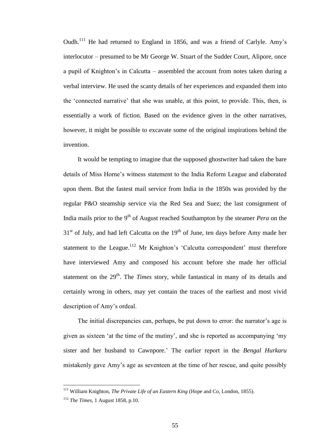Oudh.<sup>111</sup> He had returned to England in 1856, and was a friend of Carlyle. Amy's interlocutor – presumed to be Mr George W. Stuart of the Sudder Court, Alipore, once a pupil of Knighton's in Calcutta – assembled the account from notes taken during a verbal interview. He used the scanty details of her experiences and expanded them into the 'connected narrative' that she was unable, at this point, to provide. This, then, is essentially a work of fiction. Based on the evidence given in the other narratives, however, it might be possible to excavate some of the original inspirations behind the invention.

It would be tempting to imagine that the supposed ghostwriter had taken the bare details of Miss Horne's witness statement to the India Reform League and elaborated upon them. But the fastest mail service from India in the 1850s was provided by the regular P&O steamship service via the Red Sea and Suez; the last consignment of India mails prior to the 9<sup>th</sup> of August reached Southampton by the steamer *Pera* on the  $31<sup>st</sup>$  of July, and had left Calcutta on the  $19<sup>th</sup>$  of June, ten days before Amy made her statement to the League.<sup>112</sup> Mr Knighton's 'Calcutta correspondent' must therefore have interviewed Amy and composed his account before she made her official statement on the 29<sup>th</sup>. The *Times* story, while fantastical in many of its details and certainly wrong in others, may yet contain the traces of the earliest and most vivid description of Amy's ordeal.

The initial discrepancies can, perhaps, be put down to error: the narrator's age is given as sixteen 'at the time of the mutiny', and she is reported as accompanying 'my sister and her husband to Cawnpore.' The earlier report in the *Bengal Hurkaru* mistakenly gave Amy's age as seventeen at the time of her rescue, and quite possibly

<sup>111</sup> William Knighton, *The Private Life of an Eastern King* (Hope and Co, London, 1855).

<sup>112</sup> *The Times*, 1 August 1858, p.10.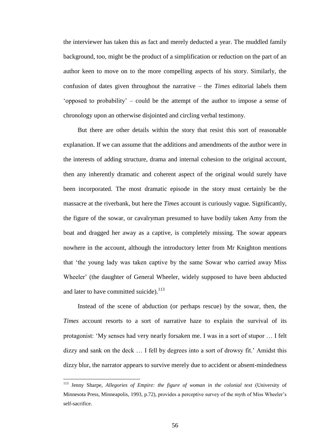the interviewer has taken this as fact and merely deducted a year. The muddled family background, too, might be the product of a simplification or reduction on the part of an author keen to move on to the more compelling aspects of his story. Similarly, the confusion of dates given throughout the narrative – the *Times* editorial labels them 'opposed to probability' – could be the attempt of the author to impose a sense of chronology upon an otherwise disjointed and circling verbal testimony.

But there are other details within the story that resist this sort of reasonable explanation. If we can assume that the additions and amendments of the author were in the interests of adding structure, drama and internal cohesion to the original account, then any inherently dramatic and coherent aspect of the original would surely have been incorporated. The most dramatic episode in the story must certainly be the massacre at the riverbank, but here the *Times* account is curiously vague. Significantly, the figure of the sowar, or cavalryman presumed to have bodily taken Amy from the boat and dragged her away as a captive, is completely missing. The sowar appears nowhere in the account, although the introductory letter from Mr Knighton mentions that 'the young lady was taken captive by the same Sowar who carried away Miss Wheeler' (the daughter of General Wheeler, widely supposed to have been abducted and later to have committed suicide).<sup>113</sup>

Instead of the scene of abduction (or perhaps rescue) by the sowar, then, the *Times* account resorts to a sort of narrative haze to explain the survival of its protagonist: 'My senses had very nearly forsaken me. I was in a sort of stupor … I felt dizzy and sank on the deck … I fell by degrees into a sort of drowsy fit.' Amidst this dizzy blur, the narrator appears to survive merely due to accident or absent-mindedness

<sup>113</sup> Jenny Sharpe, *Allegories of Empire: the figure of woman in the colonial text* (University of Minnesota Press, Minneapolis, 1993, p.72), provides a perceptive survey of the myth of Miss Wheeler's self-sacrifice.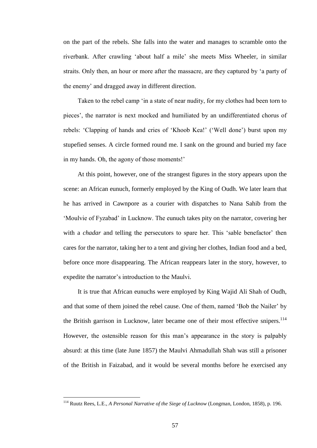on the part of the rebels. She falls into the water and manages to scramble onto the riverbank. After crawling 'about half a mile' she meets Miss Wheeler, in similar straits. Only then, an hour or more after the massacre, are they captured by 'a party of the enemy' and dragged away in different direction.

Taken to the rebel camp 'in a state of near nudity, for my clothes had been torn to pieces', the narrator is next mocked and humiliated by an undifferentiated chorus of rebels: 'Clapping of hands and cries of 'Khoob Kea!' ('Well done') burst upon my stupefied senses. A circle formed round me. I sank on the ground and buried my face in my hands. Oh, the agony of those moments!'

At this point, however, one of the strangest figures in the story appears upon the scene: an African eunuch, formerly employed by the King of Oudh. We later learn that he has arrived in Cawnpore as a courier with dispatches to Nana Sahib from the 'Moulvie of Fyzabad' in Lucknow. The eunuch takes pity on the narrator, covering her with a *chadar* and telling the persecutors to spare her. This 'sable benefactor' then cares for the narrator, taking her to a tent and giving her clothes, Indian food and a bed, before once more disappearing. The African reappears later in the story, however, to expedite the narrator's introduction to the Maulvi.

It is true that African eunuchs were employed by King Wajid Ali Shah of Oudh, and that some of them joined the rebel cause. One of them, named 'Bob the Nailer' by the British garrison in Lucknow, later became one of their most effective snipers.<sup>114</sup> However, the ostensible reason for this man's appearance in the story is palpably absurd: at this time (late June 1857) the Maulvi Ahmadullah Shah was still a prisoner of the British in Faizabad, and it would be several months before he exercised any

<sup>114</sup> Ruutz Rees, L.E., *A Personal Narrative of the Siege of Lucknow* (Longman, London, 1858), p. 196.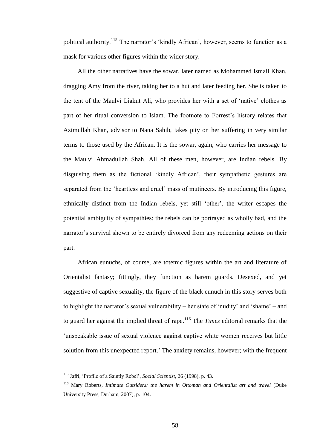political authority.<sup>115</sup> The narrator's 'kindly African', however, seems to function as a mask for various other figures within the wider story.

All the other narratives have the sowar, later named as Mohammed Ismail Khan, dragging Amy from the river, taking her to a hut and later feeding her. She is taken to the tent of the Maulvi Liakut Ali, who provides her with a set of 'native' clothes as part of her ritual conversion to Islam. The footnote to Forrest's history relates that Azimullah Khan, advisor to Nana Sahib, takes pity on her suffering in very similar terms to those used by the African. It is the sowar, again, who carries her message to the Maulvi Ahmadullah Shah. All of these men, however, are Indian rebels. By disguising them as the fictional 'kindly African', their sympathetic gestures are separated from the 'heartless and cruel' mass of mutineers. By introducing this figure, ethnically distinct from the Indian rebels, yet still 'other', the writer escapes the potential ambiguity of sympathies: the rebels can be portrayed as wholly bad, and the narrator's survival shown to be entirely divorced from any redeeming actions on their part.

African eunuchs, of course, are totemic figures within the art and literature of Orientalist fantasy; fittingly, they function as harem guards. Desexed, and yet suggestive of captive sexuality, the figure of the black eunuch in this story serves both to highlight the narrator's sexual vulnerability – her state of 'nudity' and 'shame' – and to guard her against the implied threat of rape.<sup>116</sup> The *Times* editorial remarks that the 'unspeakable issue of sexual violence against captive white women receives but little solution from this unexpected report.' The anxiety remains, however; with the frequent

<sup>115</sup> Jafri, 'Profile of a Saintly Rebel', *Social Scientist*, 26 (1998), p. 43.

<sup>116</sup> Mary Roberts, *Intimate Outsiders: the harem in Ottoman and Orientalist art and travel* (Duke University Press, Durham, 2007), p. 104.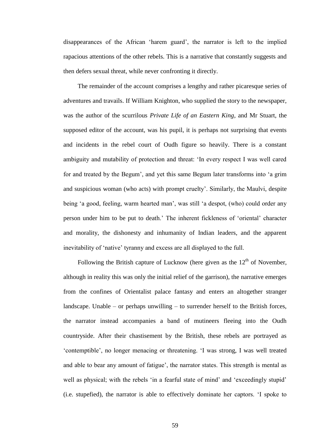disappearances of the African 'harem guard', the narrator is left to the implied rapacious attentions of the other rebels. This is a narrative that constantly suggests and then defers sexual threat, while never confronting it directly.

The remainder of the account comprises a lengthy and rather picaresque series of adventures and travails. If William Knighton, who supplied the story to the newspaper, was the author of the scurrilous *Private Life of an Eastern King*, and Mr Stuart, the supposed editor of the account, was his pupil, it is perhaps not surprising that events and incidents in the rebel court of Oudh figure so heavily. There is a constant ambiguity and mutability of protection and threat: 'In every respect I was well cared for and treated by the Begum', and yet this same Begum later transforms into 'a grim and suspicious woman (who acts) with prompt cruelty'. Similarly, the Maulvi, despite being 'a good, feeling, warm hearted man', was still 'a despot, (who) could order any person under him to be put to death.' The inherent fickleness of 'oriental' character and morality, the dishonesty and inhumanity of Indian leaders, and the apparent inevitability of 'native' tyranny and excess are all displayed to the full.

Following the British capture of Lucknow (here given as the  $12<sup>th</sup>$  of November, although in reality this was only the initial relief of the garrison), the narrative emerges from the confines of Orientalist palace fantasy and enters an altogether stranger landscape. Unable – or perhaps unwilling – to surrender herself to the British forces, the narrator instead accompanies a band of mutineers fleeing into the Oudh countryside. After their chastisement by the British, these rebels are portrayed as 'contemptible', no longer menacing or threatening. 'I was strong, I was well treated and able to bear any amount of fatigue', the narrator states. This strength is mental as well as physical; with the rebels 'in a fearful state of mind' and 'exceedingly stupid' (i.e. stupefied), the narrator is able to effectively dominate her captors. 'I spoke to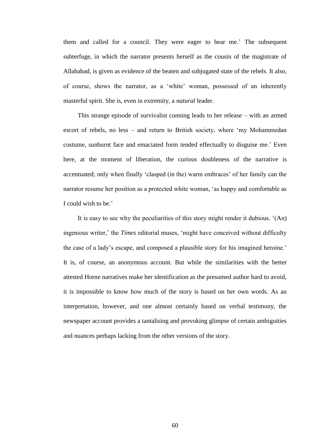them and called for a council. They were eager to hear me.' The subsequent subterfuge, in which the narrator presents herself as the cousin of the magistrate of Allahabad, is given as evidence of the beaten and subjugated state of the rebels. It also, of course, shows the narrator, as a 'white' woman, possessed of an inherently masterful spirit. She is, even in extremity, a *natural* leader.

This strange episode of survivalist cunning leads to her release – with an armed escort of rebels, no less – and return to British society, where 'my Mohammedan costume, sunburnt face and emaciated form tended effectually to disguise me.' Even here, at the moment of liberation, the curious doubleness of the narrative is accentuated; only when finally 'clasped (in the) warm embraces' of her family can the narrator resume her position as a protected white woman, 'as happy and comfortable as I could wish to be.'

It is easy to see why the peculiarities of this story might render it dubious. '(An) ingenious writer,' the *Times* editorial muses, 'might have conceived without difficulty the case of a lady's escape, and composed a plausible story for his imagined heroine.' It is, of course, an anonymous account. But while the similarities with the better attested Horne narratives make her identification as the presumed author hard to avoid, it is impossible to know how much of the story is based on her own words. As an interpretation, however, and one almost certainly based on verbal testimony, the newspaper account provides a tantalising and provoking glimpse of certain ambiguities and nuances perhaps lacking from the other versions of the story.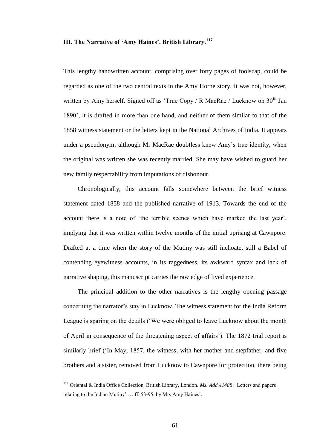## **III. The Narrative of 'Amy Haines'. British Library. 117**

This lengthy handwritten account, comprising over forty pages of foolscap, could be regarded as one of the two central texts in the Amy Horne story. It was not, however, written by Amy herself. Signed off as 'True Copy / R MacRae / Lucknow on  $30<sup>th</sup>$  Jan 1890', it is drafted in more than one hand, and neither of them similar to that of the 1858 witness statement or the letters kept in the National Archives of India. It appears under a pseudonym; although Mr MacRae doubtless knew Amy's true identity, when the original was written she was recently married. She may have wished to guard her new family respectability from imputations of dishonour.

Chronologically, this account falls somewhere between the brief witness statement dated 1858 and the published narrative of 1913. Towards the end of the account there is a note of 'the terrible scenes which have marked the last year', implying that it was written within twelve months of the initial uprising at Cawnpore. Drafted at a time when the story of the Mutiny was still inchoate, still a Babel of contending eyewitness accounts, in its raggedness, its awkward syntax and lack of narrative shaping, this manuscript carries the raw edge of lived experience.

The principal addition to the other narratives is the lengthy opening passage concerning the narrator's stay in Lucknow. The witness statement for the India Reform League is sparing on the details ('We were obliged to leave Lucknow about the month of April in consequence of the threatening aspect of affairs'). The 1872 trial report is similarly brief ('In May, 1857, the witness, with her mother and stepfather, and five brothers and a sister, removed from Lucknow to Cawnpore for protection, there being

<sup>117</sup> Oriental & India Office Collection, British Library, London. *Ms. Add.41488*: 'Letters and papers relating to the Indian Mutiny' … ff. 53-95, by Mrs Amy Haines'.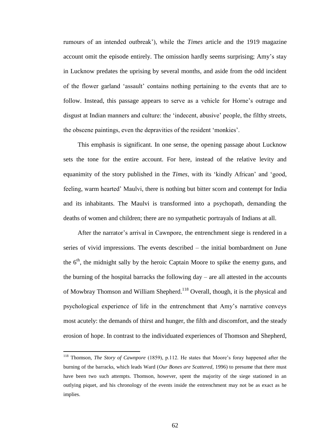rumours of an intended outbreak'), while the *Times* article and the 1919 magazine account omit the episode entirely. The omission hardly seems surprising; Amy's stay in Lucknow predates the uprising by several months, and aside from the odd incident of the flower garland 'assault' contains nothing pertaining to the events that are to follow. Instead, this passage appears to serve as a vehicle for Horne's outrage and disgust at Indian manners and culture: the 'indecent, abusive' people, the filthy streets, the obscene paintings, even the depravities of the resident 'monkies'.

This emphasis is significant. In one sense, the opening passage about Lucknow sets the tone for the entire account. For here, instead of the relative levity and equanimity of the story published in the *Times*, with its 'kindly African' and 'good, feeling, warm hearted' Maulvi, there is nothing but bitter scorn and contempt for India and its inhabitants. The Maulvi is transformed into a psychopath, demanding the deaths of women and children; there are no sympathetic portrayals of Indians at all.

After the narrator's arrival in Cawnpore, the entrenchment siege is rendered in a series of vivid impressions. The events described – the initial bombardment on June the  $6<sup>th</sup>$ , the midnight sally by the heroic Captain Moore to spike the enemy guns, and the burning of the hospital barracks the following day – are all attested in the accounts of Mowbray Thomson and William Shepherd.<sup>118</sup> Overall, though, it is the physical and psychological experience of life in the entrenchment that Amy's narrative conveys most acutely: the demands of thirst and hunger, the filth and discomfort, and the steady erosion of hope. In contrast to the individuated experiences of Thomson and Shepherd,

<sup>118</sup> Thomson, *The Story of Cawnpore* (1859), p.112. He states that Moore's foray happened after the burning of the barracks, which leads Ward (*Our Bones are Scattered*, 1996) to presume that there must have been two such attempts. Thomson, however, spent the majority of the siege stationed in an outlying piquet, and his chronology of the events inside the entrenchment may not be as exact as he implies.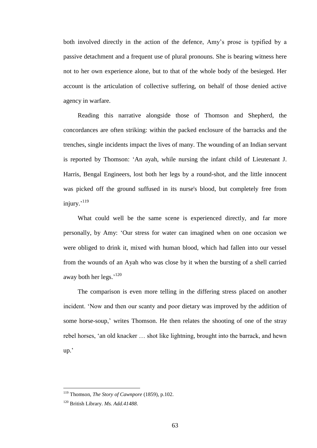both involved directly in the action of the defence, Amy's prose is typified by a passive detachment and a frequent use of plural pronouns. She is bearing witness here not to her own experience alone, but to that of the whole body of the besieged. Her account is the articulation of collective suffering, on behalf of those denied active agency in warfare.

Reading this narrative alongside those of Thomson and Shepherd, the concordances are often striking: within the packed enclosure of the barracks and the trenches, single incidents impact the lives of many. The wounding of an Indian servant is reported by Thomson: 'An ayah, while nursing the infant child of Lieutenant J. Harris, Bengal Engineers, lost both her legs by a round-shot, and the little innocent was picked off the ground suffused in its nurse's blood, but completely free from injury.' 119

What could well be the same scene is experienced directly, and far more personally, by Amy: 'Our stress for water can imagined when on one occasion we were obliged to drink it, mixed with human blood, which had fallen into our vessel from the wounds of an Ayah who was close by it when the bursting of a shell carried away both her legs.'<sup>120</sup>

The comparison is even more telling in the differing stress placed on another incident. 'Now and then our scanty and poor dietary was improved by the addition of some horse-soup,' writes Thomson. He then relates the shooting of one of the stray rebel horses, 'an old knacker … shot like lightning, brought into the barrack, and hewn up.'

<sup>119</sup> Thomson, *The Story of Cawnpore* (1859), p.102.

<sup>120</sup> British Library. *Ms. Add.41488.*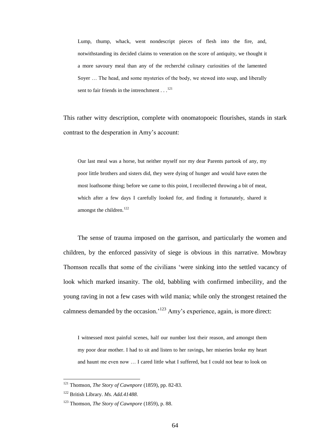Lump, thump, whack, went nondescript pieces of flesh into the fire, and, notwithstanding its decided claims to veneration on the score of antiquity, we thought it a more savoury meal than any of the recherché culinary curiosities of the lamented Soyer … The head, and some mysteries of the body, we stewed into soup, and liberally sent to fair friends in the intrenchment  $\dots$ <sup>121</sup>

This rather witty description, complete with onomatopoeic flourishes, stands in stark contrast to the desperation in Amy's account:

Our last meal was a horse, but neither myself nor my dear Parents partook of any, my poor little brothers and sisters did, they were dying of hunger and would have eaten the most loathsome thing; before we came to this point, I recollected throwing a bit of meat, which after a few days I carefully looked for, and finding it fortunately, shared it amongst the children.<sup>122</sup>

The sense of trauma imposed on the garrison, and particularly the women and children, by the enforced passivity of siege is obvious in this narrative. Mowbray Thomson recalls that some of the civilians 'were sinking into the settled vacancy of look which marked insanity. The old, babbling with confirmed imbecility, and the young raving in not a few cases with wild mania; while only the strongest retained the calmness demanded by the occasion.<sup>123</sup> Amy's experience, again, is more direct:

I witnessed most painful scenes, half our number lost their reason, and amongst them my poor dear mother. I had to sit and listen to her ravings, her miseries broke my heart and haunt me even now … I cared little what I suffered, but I could not bear to look on

<sup>121</sup> Thomson, *The Story of Cawnpore* (1859), pp. 82-83.

<sup>122</sup> British Library. *Ms. Add.41488.*

<sup>123</sup> Thomson, *The Story of Cawnpore* (1859), p. 88.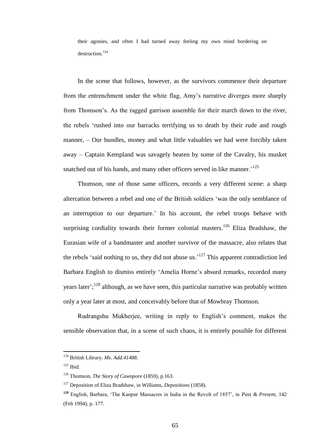their agonies, and often I had turned away feeling my own mind bordering on destruction.<sup>124</sup>

In the scene that follows, however, as the survivors commence their departure from the entrenchment under the white flag, Amy's narrative diverges more sharply from Thomson's. As the ragged garrison assemble for their march down to the river, the rebels 'rushed into our barracks terrifying us to death by their rude and rough manner, – Our bundles, money and what little valuables we had were forcibly taken away – Captain Kempland was savagely beaten by some of the Cavalry, his musket snatched out of his hands, and many other officers served in like manner.<sup>125</sup>

Thomson, one of those same officers, records a very different scene: a sharp altercation between a rebel and one of the British soldiers 'was the only semblance of an interruption to our departure.' In his account, the rebel troops behave with surprising cordiality towards their former colonial masters.<sup>126</sup> Eliza Bradshaw, the Eurasian wife of a bandmaster and another survivor of the massacre, also relates that the rebels 'said nothing to us, they did not abuse us.<sup>127</sup> This apparent contradiction led Barbara English to dismiss entirely 'Amelia Horne's absurd remarks, recorded many years later';<sup>128</sup> although, as we have seen, this particular narrative was probably written only a year later at most, and conceivably before that of Mowbray Thomson.

Rudrangshu Mukherjee, writing in reply to English's comment, makes the sensible observation that, in a scene of such chaos, it is entirely possible for different

<sup>124</sup> British Library. *Ms. Add.41488.*

<sup>125</sup> *Ibid.*

<sup>126</sup> Thomson, *The Story of Cawnpore* (1859), p.163.

<sup>127</sup> Deposition of Eliza Bradshaw, in Williams, *Depositions* (1858).

**<sup>128</sup>** English, Barbara, 'The Kanpur Massacres in India in the Revolt of 1857', in *Past & Present*, 142 (Feb 1994), p. 177.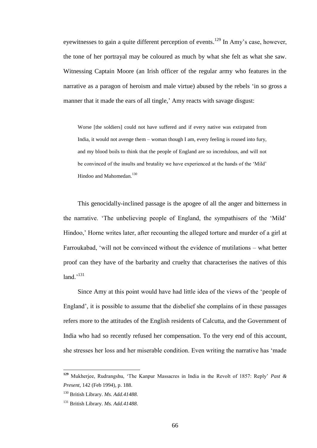eyewitnesses to gain a quite different perception of events.<sup>129</sup> In Amy's case, however, the tone of her portrayal may be coloured as much by what she felt as what she saw. Witnessing Captain Moore (an Irish officer of the regular army who features in the narrative as a paragon of heroism and male virtue) abused by the rebels 'in so gross a manner that it made the ears of all tingle,' Amy reacts with savage disgust:

Worse [the soldiers] could not have suffered and if every native was extirpated from India, it would not avenge them – woman though I am, every feeling is roused into fury, and my blood boils to think that the people of England are so incredulous, and will not be convinced of the insults and brutality we have experienced at the hands of the 'Mild' Hindoo and Mahomedan.<sup>130</sup>

This genocidally-inclined passage is the apogee of all the anger and bitterness in the narrative. 'The unbelieving people of England, the sympathisers of the 'Mild' Hindoo,' Horne writes later, after recounting the alleged torture and murder of a girl at Farroukabad, 'will not be convinced without the evidence of mutilations – what better proof can they have of the barbarity and cruelty that characterises the natives of this land.'<sup>131</sup>

Since Amy at this point would have had little idea of the views of the 'people of England', it is possible to assume that the disbelief she complains of in these passages refers more to the attitudes of the English residents of Calcutta, and the Government of India who had so recently refused her compensation. To the very end of this account, she stresses her loss and her miserable condition. Even writing the narrative has 'made

**<sup>129</sup>** Mukherjee, Rudrangshu, 'The Kanpur Massacres in India in the Revolt of 1857: Reply' *Past & Present*, 142 (Feb 1994), p. 188.

<sup>130</sup> British Library. *Ms. Add.41488.*

<sup>131</sup> British Library. *Ms. Add.41488.*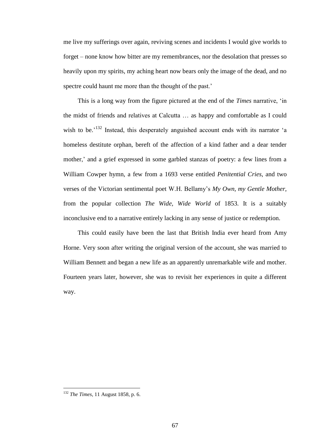me live my sufferings over again, reviving scenes and incidents I would give worlds to forget – none know how bitter are my remembrances, nor the desolation that presses so heavily upon my spirits, my aching heart now bears only the image of the dead, and no spectre could haunt me more than the thought of the past.'

This is a long way from the figure pictured at the end of the *Times* narrative, 'in the midst of friends and relatives at Calcutta … as happy and comfortable as I could wish to be.<sup>'132</sup> Instead, this desperately anguished account ends with its narrator 'a homeless destitute orphan, bereft of the affection of a kind father and a dear tender mother,' and a grief expressed in some garbled stanzas of poetry: a few lines from a William Cowper hymn, a few from a 1693 verse entitled *Penitential Cries*, and two verses of the Victorian sentimental poet W.H. Bellamy's *My Own, my Gentle Mother*, from the popular collection *The Wide, Wide World* of 1853. It is a suitably inconclusive end to a narrative entirely lacking in any sense of justice or redemption.

This could easily have been the last that British India ever heard from Amy Horne. Very soon after writing the original version of the account, she was married to William Bennett and began a new life as an apparently unremarkable wife and mother. Fourteen years later, however, she was to revisit her experiences in quite a different way.

<sup>132</sup> *The Times*, 11 August 1858, p. 6.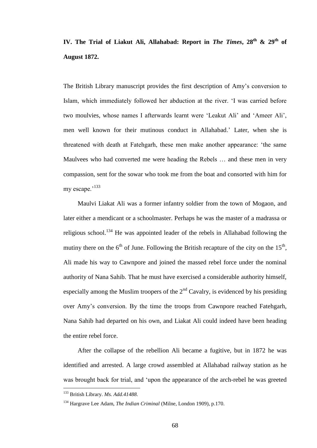# **IV. The Trial of Liakut Ali, Allahabad: Report in** *The Times***, 28th & 29th of August 1872.**

The British Library manuscript provides the first description of Amy's conversion to Islam, which immediately followed her abduction at the river. 'I was carried before two moulvies, whose names I afterwards learnt were 'Leakut Ali' and 'Ameer Ali', men well known for their mutinous conduct in Allahabad.' Later, when she is threatened with death at Fatehgarh, these men make another appearance: 'the same Maulvees who had converted me were heading the Rebels … and these men in very compassion, sent for the sowar who took me from the boat and consorted with him for my escape.<sup>'133</sup>

Maulvi Liakat Ali was a former infantry soldier from the town of Mogaon, and later either a mendicant or a schoolmaster. Perhaps he was the master of a madrassa or religious school.<sup>134</sup> He was appointed leader of the rebels in Allahabad following the mutiny there on the  $6<sup>th</sup>$  of June. Following the British recapture of the city on the  $15<sup>th</sup>$ , Ali made his way to Cawnpore and joined the massed rebel force under the nominal authority of Nana Sahib. That he must have exercised a considerable authority himself, especially among the Muslim troopers of the  $2<sup>nd</sup>$  Cavalry, is evidenced by his presiding over Amy's conversion. By the time the troops from Cawnpore reached Fatehgarh, Nana Sahib had departed on his own, and Liakat Ali could indeed have been heading the entire rebel force.

After the collapse of the rebellion Ali became a fugitive, but in 1872 he was identified and arrested. A large crowd assembled at Allahabad railway station as he was brought back for trial, and 'upon the appearance of the arch-rebel he was greeted

<sup>133</sup> British Library. *Ms. Add.41488.*

<sup>134</sup> Hargrave Lee Adam, *The Indian Criminal* (Milne, London 1909), p.170.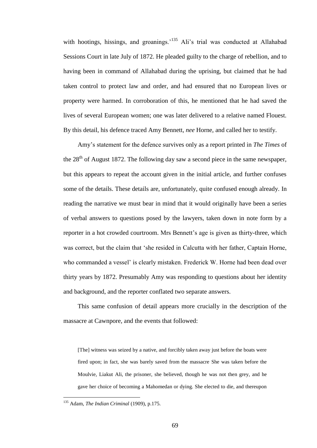with hootings, hissings, and groanings.<sup>135</sup> Ali's trial was conducted at Allahabad Sessions Court in late July of 1872. He pleaded guilty to the charge of rebellion, and to having been in command of Allahabad during the uprising, but claimed that he had taken control to protect law and order, and had ensured that no European lives or property were harmed. In corroboration of this, he mentioned that he had saved the lives of several European women; one was later delivered to a relative named Flouest. By this detail, his defence traced Amy Bennett, *nee* Horne, and called her to testify.

Amy's statement for the defence survives only as a report printed in *The Times* of the  $28<sup>th</sup>$  of August 1872. The following day saw a second piece in the same newspaper, but this appears to repeat the account given in the initial article, and further confuses some of the details. These details are, unfortunately, quite confused enough already. In reading the narrative we must bear in mind that it would originally have been a series of verbal answers to questions posed by the lawyers, taken down in note form by a reporter in a hot crowded courtroom. Mrs Bennett's age is given as thirty-three, which was correct, but the claim that 'she resided in Calcutta with her father, Captain Horne, who commanded a vessel' is clearly mistaken. Frederick W. Horne had been dead over thirty years by 1872. Presumably Amy was responding to questions about her identity and background, and the reporter conflated two separate answers.

This same confusion of detail appears more crucially in the description of the massacre at Cawnpore, and the events that followed:

[The] witness was seized by a native, and forcibly taken away just before the boats were fired upon; in fact, she was barely saved from the massacre She was taken before the Moulvie, Liakut Ali, the prisoner, she believed, though he was not then grey, and he gave her choice of becoming a Mahomedan or dying. She elected to die, and thereupon

<sup>135</sup> Adam, *The Indian Criminal* (1909), p.175.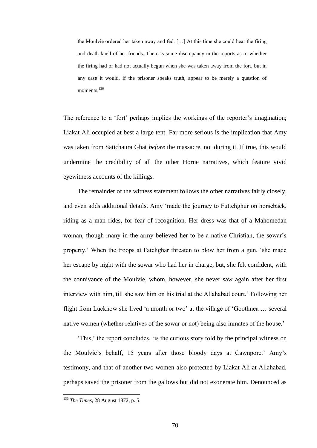the Moulvie ordered her taken away and fed. […] At this time she could hear the firing and death-knell of her friends. There is some discrepancy in the reports as to whether the firing had or had not actually begun when she was taken away from the fort, but in any case it would, if the prisoner speaks truth, appear to be merely a question of moments<sup>136</sup>

The reference to a 'fort' perhaps implies the workings of the reporter's imagination; Liakat Ali occupied at best a large tent. Far more serious is the implication that Amy was taken from Satichaura Ghat *before* the massacre, not during it. If true, this would undermine the credibility of all the other Horne narratives, which feature vivid eyewitness accounts of the killings.

The remainder of the witness statement follows the other narratives fairly closely, and even adds additional details. Amy 'made the journey to Futtehghur on horseback, riding as a man rides, for fear of recognition. Her dress was that of a Mahomedan woman, though many in the army believed her to be a native Christian, the sowar's property.' When the troops at Fatehghar threaten to blow her from a gun, 'she made her escape by night with the sowar who had her in charge, but, she felt confident, with the connivance of the Moulvie, whom, however, she never saw again after her first interview with him, till she saw him on his trial at the Allahabad court.' Following her flight from Lucknow she lived 'a month or two' at the village of 'Goothnea … several native women (whether relatives of the sowar or not) being also inmates of the house.'

'This,' the report concludes, 'is the curious story told by the principal witness on the Moulvie's behalf, 15 years after those bloody days at Cawnpore.' Amy's testimony, and that of another two women also protected by Liakat Ali at Allahabad, perhaps saved the prisoner from the gallows but did not exonerate him. Denounced as

<sup>136</sup> *The Times*, 28 August 1872, p. 5.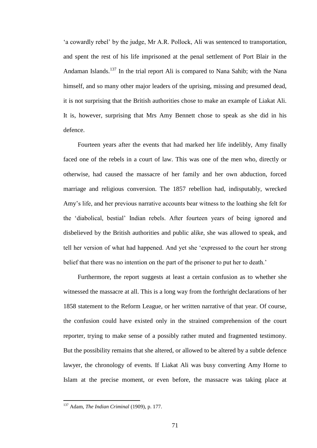'a cowardly rebel' by the judge, Mr A.R. Pollock, Ali was sentenced to transportation, and spent the rest of his life imprisoned at the penal settlement of Port Blair in the Andaman Islands.<sup>137</sup> In the trial report Ali is compared to Nana Sahib; with the Nana himself, and so many other major leaders of the uprising, missing and presumed dead, it is not surprising that the British authorities chose to make an example of Liakat Ali. It is, however, surprising that Mrs Amy Bennett chose to speak as she did in his defence.

Fourteen years after the events that had marked her life indelibly, Amy finally faced one of the rebels in a court of law. This was one of the men who, directly or otherwise, had caused the massacre of her family and her own abduction, forced marriage and religious conversion. The 1857 rebellion had, indisputably, wrecked Amy's life, and her previous narrative accounts bear witness to the loathing she felt for the 'diabolical, bestial' Indian rebels. After fourteen years of being ignored and disbelieved by the British authorities and public alike, she was allowed to speak, and tell her version of what had happened. And yet she 'expressed to the court her strong belief that there was no intention on the part of the prisoner to put her to death.'

Furthermore, the report suggests at least a certain confusion as to whether she witnessed the massacre at all. This is a long way from the forthright declarations of her 1858 statement to the Reform League, or her written narrative of that year. Of course, the confusion could have existed only in the strained comprehension of the court reporter, trying to make sense of a possibly rather muted and fragmented testimony. But the possibility remains that she altered, or allowed to be altered by a subtle defence lawyer, the chronology of events. If Liakat Ali was busy converting Amy Horne to Islam at the precise moment, or even before, the massacre was taking place at

<sup>137</sup> Adam, *The Indian Criminal* (1909), p. 177.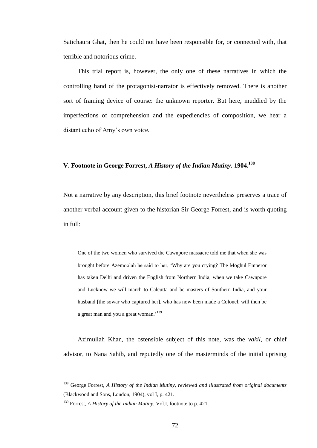Satichaura Ghat, then he could not have been responsible for, or connected with, that terrible and notorious crime.

This trial report is, however, the only one of these narratives in which the controlling hand of the protagonist-narrator is effectively removed. There is another sort of framing device of course: the unknown reporter. But here, muddied by the imperfections of comprehension and the expediencies of composition, we hear a distant echo of Amy's own voice.

### **V. Footnote in George Forrest,** *A History of the Indian Mutiny***. 1904.<sup>138</sup>**

Not a narrative by any description, this brief footnote nevertheless preserves a trace of another verbal account given to the historian Sir George Forrest, and is worth quoting in full:

One of the two women who survived the Cawnpore massacre told me that when she was brought before Azemoolah he said to her, 'Why are you crying? The Moghul Emperor has taken Delhi and driven the English from Northern India; when we take Cawnpore and Lucknow we will march to Calcutta and be masters of Southern India, and your husband [the sowar who captured her], who has now been made a Colonel, will then be a great man and you a great woman.'<sup>139</sup>

Azimullah Khan, the ostensible subject of this note, was the *vakil*, or chief advisor, to Nana Sahib, and reputedly one of the masterminds of the initial uprising

<sup>138</sup> George Forrest, *A History of the Indian Mutiny, reviewed and illustrated from original documents* (Blackwood and Sons, London, 1904), vol I, p. 421.

<sup>139</sup> Forrest, *A History of the Indian Mutiny*, Vol.I, footnote to p. 421.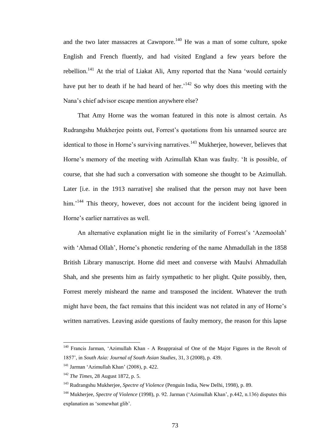and the two later massacres at Cawnpore.<sup>140</sup> He was a man of some culture, spoke English and French fluently, and had visited England a few years before the rebellion.<sup>141</sup> At the trial of Liakat Ali, Amy reported that the Nana 'would certainly have put her to death if he had heard of her.<sup>142</sup> So why does this meeting with the Nana's chief advisor escape mention anywhere else?

That Amy Horne was the woman featured in this note is almost certain. As Rudrangshu Mukherjee points out, Forrest's quotations from his unnamed source are identical to those in Horne's surviving narratives.<sup>143</sup> Mukherjee, however, believes that Horne's memory of the meeting with Azimullah Khan was faulty. 'It is possible, of course, that she had such a conversation with someone she thought to be Azimullah. Later [i.e. in the 1913 narrative] she realised that the person may not have been him.<sup>144</sup> This theory, however, does not account for the incident being ignored in Horne's earlier narratives as well.

An alternative explanation might lie in the similarity of Forrest's 'Azemoolah' with 'Ahmad Ollah', Horne's phonetic rendering of the name Ahmadullah in the 1858 British Library manuscript. Horne did meet and converse with Maulvi Ahmadullah Shah, and she presents him as fairly sympathetic to her plight. Quite possibly, then, Forrest merely misheard the name and transposed the incident. Whatever the truth might have been, the fact remains that this incident was not related in any of Horne's written narratives. Leaving aside questions of faulty memory, the reason for this lapse

<sup>&</sup>lt;sup>140</sup> Francis Jarman, 'Azimullah Khan - A Reappraisal of One of the Major Figures in the Revolt of 1857', in *South Asia: Journal of South Asian Studies*, 31, 3 (2008), p. 439.

 $141$  Jarman 'Azimullah Khan' (2008), p. 422.

<sup>142</sup> *The Times*, 28 August 1872, p. 5.

<sup>143</sup> Rudrangshu Mukherjee, *Spectre of Violence* (Penguin India, New Delhi, 1998), p. 89.

<sup>144</sup> Mukherjee, *Spectre of Violence* (1998), p. 92. Jarman ('Azimullah Khan', p.442, n.136) disputes this explanation as 'somewhat glib'.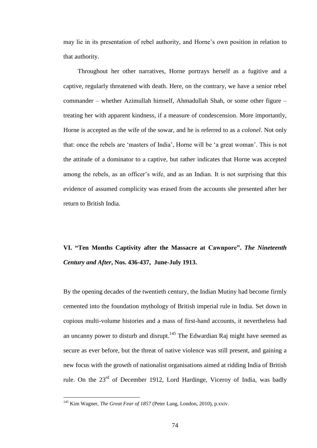may lie in its presentation of rebel authority, and Horne's own position in relation to that authority.

Throughout her other narratives, Horne portrays herself as a fugitive and a captive, regularly threatened with death. Here, on the contrary, we have a senior rebel commander – whether Azimullah himself, Ahmadullah Shah, or some other figure – treating her with apparent kindness, if a measure of condescension. More importantly, Horne is accepted as the wife of the sowar, and he is referred to as a *colonel*. Not only that: once the rebels are 'masters of India', Horne will be 'a great woman'. This is not the attitude of a dominator to a captive, but rather indicates that Horne was accepted among the rebels, as an officer's wife, and as an Indian. It is not surprising that this evidence of assumed complicity was erased from the accounts she presented after her return to British India.

# **VI. "Ten Months Captivity after the Massacre at Cawnpore".** *The Nineteenth Century and After***, Nos. 436-437, June-July 1913.**

By the opening decades of the twentieth century, the Indian Mutiny had become firmly cemented into the foundation mythology of British imperial rule in India. Set down in copious multi-volume histories and a mass of first-hand accounts, it nevertheless had an uncanny power to disturb and disrupt.<sup>145</sup> The Edwardian Raj might have seemed as secure as ever before, but the threat of native violence was still present, and gaining a new focus with the growth of nationalist organisations aimed at ridding India of British rule. On the 23<sup>rd</sup> of December 1912, Lord Hardinge, Viceroy of India, was badly

<sup>145</sup> Kim Wagner, *The Great Fear of 1857* (Peter Lang, London, 2010), p.xxiv.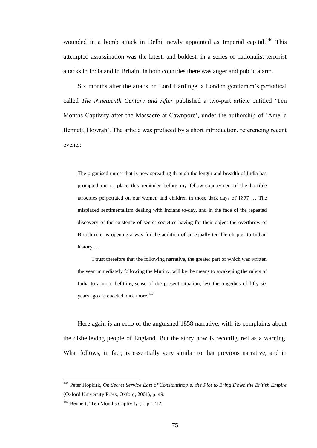wounded in a bomb attack in Delhi, newly appointed as Imperial capital.<sup>146</sup> This attempted assassination was the latest, and boldest, in a series of nationalist terrorist attacks in India and in Britain. In both countries there was anger and public alarm.

Six months after the attack on Lord Hardinge, a London gentlemen's periodical called *The Nineteenth Century and After* published a two-part article entitled 'Ten Months Captivity after the Massacre at Cawnpore', under the authorship of 'Amelia Bennett, Howrah'. The article was prefaced by a short introduction, referencing recent events:

The organised unrest that is now spreading through the length and breadth of India has prompted me to place this reminder before my fellow-countrymen of the horrible atrocities perpetrated on our women and children in those dark days of 1857 … The misplaced sentimentalism dealing with Indians to-day, and in the face of the repeated discovery of the existence of secret societies having for their object the overthrow of British rule, is opening a way for the addition of an equally terrible chapter to Indian history …

I trust therefore that the following narrative, the greater part of which was written the year immediately following the Mutiny, will be the means to awakening the rulers of India to a more befitting sense of the present situation, lest the tragedies of fifty-six years ago are enacted once more.<sup>147</sup>

Here again is an echo of the anguished 1858 narrative, with its complaints about the disbelieving people of England. But the story now is reconfigured as a warning. What follows, in fact, is essentially very similar to that previous narrative, and in

<sup>146</sup> Peter Hopkirk, *On Secret Service East of Constantinople: the Plot to Bring Down the British Empire* (Oxford University Press, Oxford, 2001), p. 49.

<sup>&</sup>lt;sup>147</sup> Bennett, 'Ten Months Captivity', I, p.1212.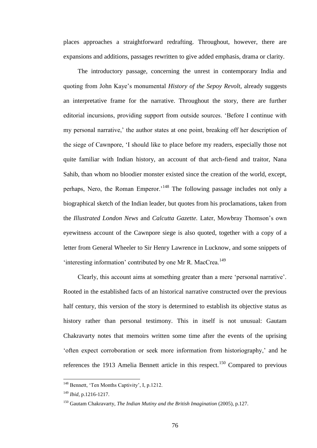places approaches a straightforward redrafting. Throughout, however, there are expansions and additions, passages rewritten to give added emphasis, drama or clarity.

The introductory passage, concerning the unrest in contemporary India and quoting from John Kaye's monumental *History of the Sepoy Revolt*, already suggests an interpretative frame for the narrative. Throughout the story, there are further editorial incursions, providing support from outside sources. 'Before I continue with my personal narrative,' the author states at one point, breaking off her description of the siege of Cawnpore, 'I should like to place before my readers, especially those not quite familiar with Indian history, an account of that arch-fiend and traitor, Nana Sahib, than whom no bloodier monster existed since the creation of the world, except, perhaps, Nero, the Roman Emperor.'<sup>148</sup> The following passage includes not only a biographical sketch of the Indian leader, but quotes from his proclamations, taken from the *Illustrated London News* and *Calcutta Gazette.* Later, Mowbray Thomson's own eyewitness account of the Cawnpore siege is also quoted, together with a copy of a letter from General Wheeler to Sir Henry Lawrence in Lucknow, and some snippets of 'interesting information' contributed by one Mr R. MacCrea.<sup>149</sup>

Clearly, this account aims at something greater than a mere 'personal narrative'. Rooted in the established facts of an historical narrative constructed over the previous half century, this version of the story is determined to establish its objective status as history rather than personal testimony. This in itself is not unusual: Gautam Chakravarty notes that memoirs written some time after the events of the uprising 'often expect corroboration or seek more information from historiography,' and he references the 1913 Amelia Bennett article in this respect.<sup>150</sup> Compared to previous

<sup>148</sup> Bennett, 'Ten Months Captivity', I, p.1212.

<sup>149</sup> *Ibid*, p.1216-1217.

<sup>150</sup> Gautam Chakravarty, *The Indian Mutiny and the British Imagination* (2005), p.127.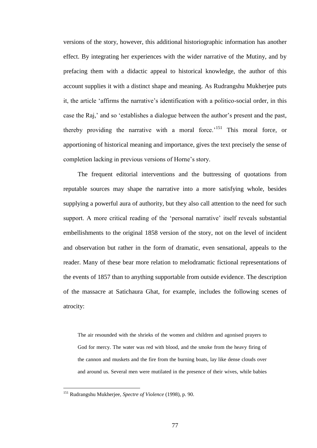versions of the story, however, this additional historiographic information has another effect. By integrating her experiences with the wider narrative of the Mutiny, and by prefacing them with a didactic appeal to historical knowledge, the author of this account supplies it with a distinct shape and meaning. As Rudrangshu Mukherjee puts it, the article 'affirms the narrative's identification with a politico-social order, in this case the Raj,' and so 'establishes a dialogue between the author's present and the past, thereby providing the narrative with a moral force.<sup>'151</sup> This moral force, or apportioning of historical meaning and importance, gives the text precisely the sense of completion lacking in previous versions of Horne's story.

The frequent editorial interventions and the buttressing of quotations from reputable sources may shape the narrative into a more satisfying whole, besides supplying a powerful aura of authority, but they also call attention to the need for such support. A more critical reading of the 'personal narrative' itself reveals substantial embellishments to the original 1858 version of the story, not on the level of incident and observation but rather in the form of dramatic, even sensational, appeals to the reader. Many of these bear more relation to melodramatic fictional representations of the events of 1857 than to anything supportable from outside evidence. The description of the massacre at Satichaura Ghat, for example, includes the following scenes of atrocity:

The air resounded with the shrieks of the women and children and agonised prayers to God for mercy. The water was red with blood, and the smoke from the heavy firing of the cannon and muskets and the fire from the burning boats, lay like dense clouds over and around us. Several men were mutilated in the presence of their wives, while babies

<sup>151</sup> Rudrangshu Mukherjee, *Spectre of Violence* (1998), p. 90.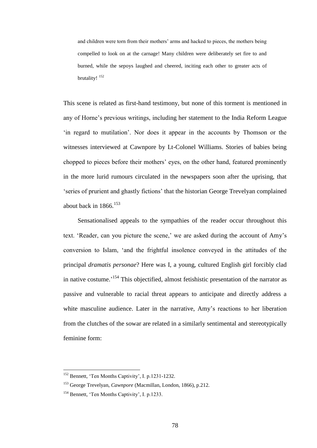and children were torn from their mothers' arms and hacked to pieces, the mothers being compelled to look on at the carnage! Many children were deliberately set fire to and burned, while the sepoys laughed and cheered, inciting each other to greater acts of brutality! <sup>152</sup>

This scene is related as first-hand testimony, but none of this torment is mentioned in any of Horne's previous writings, including her statement to the India Reform League 'in regard to mutilation'. Nor does it appear in the accounts by Thomson or the witnesses interviewed at Cawnpore by Lt-Colonel Williams. Stories of babies being chopped to pieces before their mothers' eyes, on the other hand, featured prominently in the more lurid rumours circulated in the newspapers soon after the uprising, that 'series of prurient and ghastly fictions' that the historian George Trevelyan complained about back in  $1866$ .<sup>153</sup>

Sensationalised appeals to the sympathies of the reader occur throughout this text. 'Reader, can you picture the scene,' we are asked during the account of Amy's conversion to Islam, 'and the frightful insolence conveyed in the attitudes of the principal *dramatis personae*? Here was I, a young, cultured English girl forcibly clad in native costume.<sup>154</sup> This objectified, almost fetishistic presentation of the narrator as passive and vulnerable to racial threat appears to anticipate and directly address a white masculine audience. Later in the narrative, Amy's reactions to her liberation from the clutches of the sowar are related in a similarly sentimental and stereotypically feminine form:

<sup>&</sup>lt;sup>152</sup> Bennett, 'Ten Months Captivity', I. p.1231-1232.

<sup>153</sup> George Trevelyan, *Cawnpore* (Macmillan, London, 1866), p.212.

<sup>154</sup> Bennett, 'Ten Months Captivity', I. p.1233.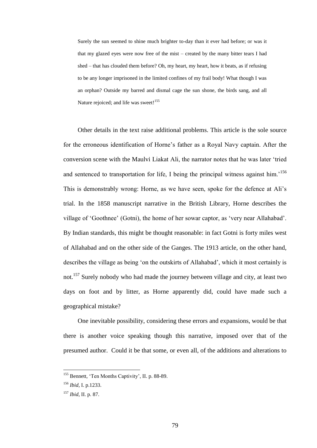Surely the sun seemed to shine much brighter to-day than it ever had before; or was it that my glazed eyes were now free of the mist – created by the many bitter tears I had shed – that has clouded them before? Oh, my heart, my heart, how it beats, as if refusing to be any longer imprisoned in the limited confines of my frail body! What though I was an orphan? Outside my barred and dismal cage the sun shone, the birds sang, and all Nature rejoiced; and life was sweet!<sup>155</sup>

Other details in the text raise additional problems. This article is the sole source for the erroneous identification of Horne's father as a Royal Navy captain. After the conversion scene with the Maulvi Liakat Ali, the narrator notes that he was later 'tried and sentenced to transportation for life. I being the principal witness against him.<sup>156</sup> This is demonstrably wrong: Horne, as we have seen, spoke for the defence at Ali's trial. In the 1858 manuscript narrative in the British Library, Horne describes the village of 'Goothnee' (Gotni), the home of her sowar captor, as 'very near Allahabad'. By Indian standards, this might be thought reasonable: in fact Gotni is forty miles west of Allahabad and on the other side of the Ganges. The 1913 article, on the other hand, describes the village as being 'on the outskirts of Allahabad', which it most certainly is not.<sup>157</sup> Surely nobody who had made the journey between village and city, at least two days on foot and by litter, as Horne apparently did, could have made such a geographical mistake?

One inevitable possibility, considering these errors and expansions, would be that there is another voice speaking though this narrative, imposed over that of the presumed author. Could it be that some, or even all, of the additions and alterations to

<sup>&</sup>lt;sup>155</sup> Bennett, 'Ten Months Captivity', II. p. 88-89.

<sup>156</sup> *Ibid*, I. p.1233.

<sup>157</sup> *Ibid*, II. p. 87.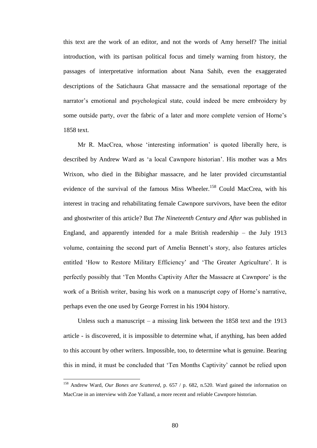this text are the work of an editor, and not the words of Amy herself? The initial introduction, with its partisan political focus and timely warning from history, the passages of interpretative information about Nana Sahib, even the exaggerated descriptions of the Satichaura Ghat massacre and the sensational reportage of the narrator's emotional and psychological state, could indeed be mere embroidery by some outside party, over the fabric of a later and more complete version of Horne's 1858 text.

Mr R. MacCrea, whose 'interesting information' is quoted liberally here, is described by Andrew Ward as 'a local Cawnpore historian'. His mother was a Mrs Wrixon, who died in the Bibighar massacre, and he later provided circumstantial evidence of the survival of the famous Miss Wheeler.<sup>158</sup> Could MacCrea, with his interest in tracing and rehabilitating female Cawnpore survivors, have been the editor and ghostwriter of this article? But *The Nineteenth Century and After* was published in England, and apparently intended for a male British readership – the July 1913 volume, containing the second part of Amelia Bennett's story, also features articles entitled 'How to Restore Military Efficiency' and 'The Greater Agriculture'. It is perfectly possibly that 'Ten Months Captivity After the Massacre at Cawnpore' is the work of a British writer, basing his work on a manuscript copy of Horne's narrative, perhaps even the one used by George Forrest in his 1904 history.

Unless such a manuscript – a missing link between the 1858 text and the 1913 article - is discovered, it is impossible to determine what, if anything, has been added to this account by other writers. Impossible, too, to determine what is genuine. Bearing this in mind, it must be concluded that 'Ten Months Captivity' cannot be relied upon

<sup>158</sup> Andrew Ward, *Our Bones are Scattered*, p. 657 / p. 682, n.520. Ward gained the information on MacCrae in an interview with Zoe Yalland, a more recent and reliable Cawnpore historian.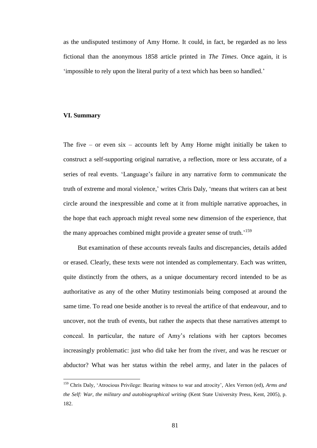as the undisputed testimony of Amy Horne. It could, in fact, be regarded as no less fictional than the anonymous 1858 article printed in *The Times*. Once again, it is 'impossible to rely upon the literal purity of a text which has been so handled.'

## **VI. Summary**

 $\overline{a}$ 

The five – or even  $six$  – accounts left by Amy Horne might initially be taken to construct a self-supporting original narrative, a reflection, more or less accurate, of a series of real events. 'Language's failure in any narrative form to communicate the truth of extreme and moral violence,' writes Chris Daly, 'means that writers can at best circle around the inexpressible and come at it from multiple narrative approaches, in the hope that each approach might reveal some new dimension of the experience, that the many approaches combined might provide a greater sense of truth.<sup>'159</sup>

But examination of these accounts reveals faults and discrepancies, details added or erased. Clearly, these texts were not intended as complementary. Each was written, quite distinctly from the others, as a unique documentary record intended to be as authoritative as any of the other Mutiny testimonials being composed at around the same time. To read one beside another is to reveal the artifice of that endeavour, and to uncover, not the truth of events, but rather the aspects that these narratives attempt to conceal. In particular, the nature of Amy's relations with her captors becomes increasingly problematic: just who did take her from the river, and was he rescuer or abductor? What was her status within the rebel army, and later in the palaces of

<sup>159</sup> Chris Daly, 'Atrocious Privilege: Bearing witness to war and atrocity', Alex Vernon (ed), *Arms and the Self: War, the military and autobiographical writing* (Kent State University Press, Kent, 2005), p. 182.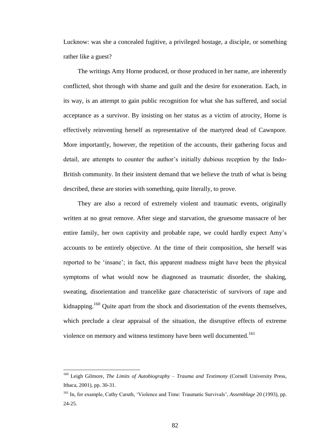Lucknow: was she a concealed fugitive, a privileged hostage, a disciple, or something rather like a guest?

The writings Amy Horne produced, or those produced in her name, are inherently conflicted, shot through with shame and guilt and the desire for exoneration. Each, in its way, is an attempt to gain public recognition for what she has suffered, and social acceptance as a survivor. By insisting on her status as a victim of atrocity, Horne is effectively reinventing herself as representative of the martyred dead of Cawnpore. More importantly, however, the repetition of the accounts, their gathering focus and detail, are attempts to counter the author's initially dubious reception by the Indo-British community. In their insistent demand that we believe the truth of what is being described, these are stories with something, quite literally, to prove.

They are also a record of extremely violent and traumatic events, originally written at no great remove. After siege and starvation, the gruesome massacre of her entire family, her own captivity and probable rape, we could hardly expect Amy's accounts to be entirely objective. At the time of their composition, she herself was reported to be 'insane'; in fact, this apparent madness might have been the physical symptoms of what would now be diagnosed as traumatic disorder, the shaking, sweating, disorientation and trancelike gaze characteristic of survivors of rape and kidnapping.<sup>160</sup> Quite apart from the shock and disorientation of the events themselves, which preclude a clear appraisal of the situation, the disruptive effects of extreme violence on memory and witness testimony have been well documented.<sup>161</sup>

<sup>160</sup> Leigh Gilmore, *The Limits of Autobiography – Trauma and Testimony* (Cornell University Press, Ithaca, 2001), pp. 30-31.

<sup>161</sup> In, for example, Cathy Caruth, 'Violence and Time: Traumatic Survivals', *Assemblage* 20 (1993), pp. 24-25.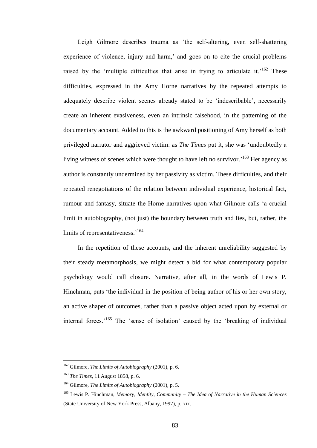Leigh Gilmore describes trauma as 'the self-altering, even self-shattering experience of violence, injury and harm,' and goes on to cite the crucial problems raised by the 'multiple difficulties that arise in trying to articulate it.<sup>162</sup> These difficulties, expressed in the Amy Horne narratives by the repeated attempts to adequately describe violent scenes already stated to be 'indescribable', necessarily create an inherent evasiveness, even an intrinsic falsehood, in the patterning of the documentary account. Added to this is the awkward positioning of Amy herself as both privileged narrator and aggrieved victim: as *The Times* put it, she was 'undoubtedly a living witness of scenes which were thought to have left no survivor.<sup>163</sup> Her agency as author is constantly undermined by her passivity as victim. These difficulties, and their repeated renegotiations of the relation between individual experience, historical fact, rumour and fantasy, situate the Horne narratives upon what Gilmore calls 'a crucial limit in autobiography, (not just) the boundary between truth and lies, but, rather, the limits of representativeness.<sup>'164</sup>

In the repetition of these accounts, and the inherent unreliability suggested by their steady metamorphosis, we might detect a bid for what contemporary popular psychology would call closure. Narrative, after all, in the words of Lewis P. Hinchman, puts 'the individual in the position of being author of his or her own story, an active shaper of outcomes, rather than a passive object acted upon by external or internal forces.<sup>165</sup> The 'sense of isolation' caused by the 'breaking of individual

<sup>162</sup> Gilmore, *The Limits of Autobiography* (2001), p. 6.

<sup>163</sup> *The Times*, 11 August 1858, p. 6.

<sup>164</sup> Gilmore, *The Limits of Autobiography* (2001), p. 5.

<sup>165</sup> Lewis P. Hinchman, *Memory, Identity, Community – The Idea of Narrative in the Human Sciences* (State University of New York Press, Albany, 1997), p. xix.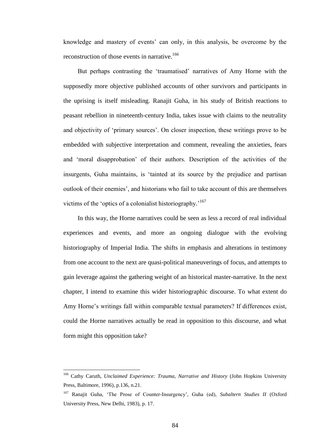knowledge and mastery of events' can only, in this analysis, be overcome by the reconstruction of those events in narrative.<sup>166</sup>

But perhaps contrasting the 'traumatised' narratives of Amy Horne with the supposedly more objective published accounts of other survivors and participants in the uprising is itself misleading. Ranajit Guha, in his study of British reactions to peasant rebellion in nineteenth-century India, takes issue with claims to the neutrality and objectivity of 'primary sources'. On closer inspection, these writings prove to be embedded with subjective interpretation and comment, revealing the anxieties, fears and 'moral disapprobation' of their authors. Description of the activities of the insurgents, Guha maintains, is 'tainted at its source by the prejudice and partisan outlook of their enemies', and historians who fail to take account of this are themselves victims of the 'optics of a colonialist historiography.'<sup>167</sup>

In this way, the Horne narratives could be seen as less a record of real individual experiences and events, and more an ongoing dialogue with the evolving historiography of Imperial India. The shifts in emphasis and alterations in testimony from one account to the next are quasi-political maneuverings of focus, and attempts to gain leverage against the gathering weight of an historical master-narrative. In the next chapter, I intend to examine this wider historiographic discourse. To what extent do Amy Horne's writings fall within comparable textual parameters? If differences exist, could the Horne narratives actually be read in opposition to this discourse, and what form might this opposition take?

<sup>166</sup> Cathy Caruth, *Unclaimed Experience: Trauma, Narrative and History* (John Hopkins University Press, Baltimore, 1996), p.136, n.21.

<sup>167</sup> Ranajit Guha, 'The Prose of Counter-Insurgency', Guha (ed), *Subaltern Studies II* (Oxford University Press, New Delhi, 1983), p. 17.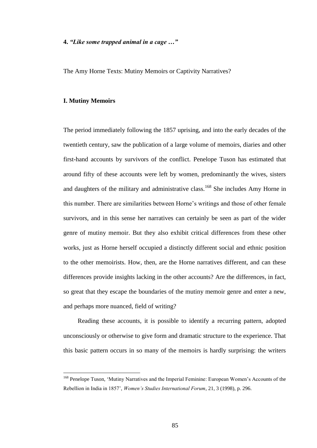### **4.** *"Like some trapped animal in a cage …"*

The Amy Horne Texts: Mutiny Memoirs or Captivity Narratives?

#### **I. Mutiny Memoirs**

 $\overline{a}$ 

The period immediately following the 1857 uprising, and into the early decades of the twentieth century, saw the publication of a large volume of memoirs, diaries and other first-hand accounts by survivors of the conflict. Penelope Tuson has estimated that around fifty of these accounts were left by women, predominantly the wives, sisters and daughters of the military and administrative class.<sup>168</sup> She includes Amy Horne in this number. There are similarities between Horne's writings and those of other female survivors, and in this sense her narratives can certainly be seen as part of the wider genre of mutiny memoir. But they also exhibit critical differences from these other works, just as Horne herself occupied a distinctly different social and ethnic position to the other memoirists. How, then, are the Horne narratives different, and can these differences provide insights lacking in the other accounts? Are the differences, in fact, so great that they escape the boundaries of the mutiny memoir genre and enter a new, and perhaps more nuanced, field of writing?

Reading these accounts, it is possible to identify a recurring pattern, adopted unconsciously or otherwise to give form and dramatic structure to the experience. That this basic pattern occurs in so many of the memoirs is hardly surprising: the writers

<sup>&</sup>lt;sup>168</sup> Penelope Tuson, 'Mutiny Narratives and the Imperial Feminine: European Women's Accounts of the Rebellion in India in 1857', *Women's Studies International Forum*, 21, 3 (1998), p. 296.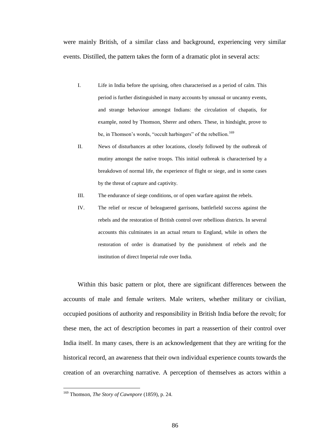were mainly British, of a similar class and background, experiencing very similar events. Distilled, the pattern takes the form of a dramatic plot in several acts:

- I. Life in India before the uprising, often characterised as a period of calm. This period is further distinguished in many accounts by unusual or uncanny events, and strange behaviour amongst Indians: the circulation of chapatis, for example, noted by Thomson, Sherer and others. These, in hindsight, prove to be, in Thomson's words, "occult harbingers" of the rebellion.<sup>169</sup>
- II. News of disturbances at other locations, closely followed by the outbreak of mutiny amongst the native troops. This initial outbreak is characterised by a breakdown of normal life, the experience of flight or siege, and in some cases by the threat of capture and captivity.
- III. The endurance of siege conditions, or of open warfare against the rebels.
- IV. The relief or rescue of beleaguered garrisons, battlefield success against the rebels and the restoration of British control over rebellious districts. In several accounts this culminates in an actual return to England, while in others the restoration of order is dramatised by the punishment of rebels and the institution of direct Imperial rule over India.

Within this basic pattern or plot, there are significant differences between the accounts of male and female writers. Male writers, whether military or civilian, occupied positions of authority and responsibility in British India before the revolt; for these men, the act of description becomes in part a reassertion of their control over India itself. In many cases, there is an acknowledgement that they are writing for the historical record, an awareness that their own individual experience counts towards the creation of an overarching narrative. A perception of themselves as actors within a

<sup>169</sup> Thomson, *The Story of Cawnpore* (1859), p. 24.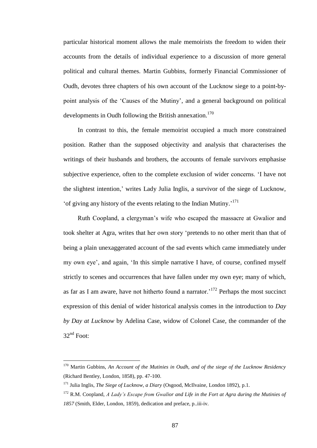particular historical moment allows the male memoirists the freedom to widen their accounts from the details of individual experience to a discussion of more general political and cultural themes. Martin Gubbins, formerly Financial Commissioner of Oudh, devotes three chapters of his own account of the Lucknow siege to a point-bypoint analysis of the 'Causes of the Mutiny', and a general background on political developments in Oudh following the British annexation.<sup>170</sup>

In contrast to this, the female memoirist occupied a much more constrained position. Rather than the supposed objectivity and analysis that characterises the writings of their husbands and brothers, the accounts of female survivors emphasise subjective experience, often to the complete exclusion of wider concerns. 'I have not the slightest intention,' writes Lady Julia Inglis, a survivor of the siege of Lucknow, 'of giving any history of the events relating to the Indian Mutiny.' 171

Ruth Coopland, a clergyman's wife who escaped the massacre at Gwalior and took shelter at Agra, writes that her own story 'pretends to no other merit than that of being a plain unexaggerated account of the sad events which came immediately under my own eye', and again, 'In this simple narrative I have, of course, confined myself strictly to scenes and occurrences that have fallen under my own eye; many of which, as far as I am aware, have not hitherto found a narrator.<sup>172</sup> Perhaps the most succinct expression of this denial of wider historical analysis comes in the introduction to *Day by Day at Lucknow* by Adelina Case, widow of Colonel Case, the commander of the  $32<sup>nd</sup>$  Foot:

<sup>170</sup> Martin Gubbins, *An Account of the Mutinies in Oudh, and of the siege of the Lucknow Residency* (Richard Bentley, London, 1858), pp. 47-100.

<sup>171</sup> Julia Inglis, *The Siege of Lucknow, a Diary* (Osgood, McIlvaine, London 1892), p.1.

<sup>172</sup> R.M. Coopland, *A Lady's Escape from Gwalior and Life in the Fort at Agra during the Mutinies of 1857* (Smith, Elder, London, 1859), dedication and preface, p..iii-iv.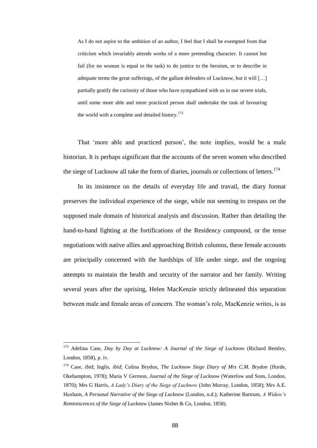As I do not aspire to the ambition of an author, I feel that I shall be exempted from that criticism which invariably attends works of a more pretending character. It cannot but fail (for no woman is equal to the task) to do justice to the heroism, or to describe in adequate terms the great sufferings, of the gallant defenders of Lucknow, but it will […] partially gratify the curiosity of those who have sympathised with us in our severe trials, until some more able and more practiced person shall undertake the task of favouring the world with a complete and detailed history.<sup>173</sup>

That 'more able and practiced person', the note implies, would be a male historian. It is perhaps significant that the accounts of the seven women who described the siege of Lucknow all take the form of diaries, journals or collections of letters.<sup>174</sup>

In its insistence on the details of everyday life and travail, the diary format preserves the individual experience of the siege, while not seeming to trespass on the supposed male domain of historical analysis and discussion. Rather than detailing the hand-to-hand fighting at the fortifications of the Residency compound, or the tense negotiations with native allies and approaching British columns, these female accounts are principally concerned with the hardships of life under siege, and the ongoing attempts to maintain the health and security of the narrator and her family. Writing several years after the uprising, Helen MacKenzie strictly delineated this separation between male and female areas of concern. The woman's role, MacKenzie writes, is as

<sup>173</sup> Adelina Case, *Day by Day at Lucknow: A Journal of the Siege of Lucknow* (Richard Bentley, London, 1858), p. iv.

<sup>174</sup> Case, *ibid*; Inglis, *ibid*; Colina Brydon, *The Lucknow Siege Diary of Mrs C.M. Brydon* (fforde, Okehampton, 1978); Maria V Germon, *Journal of the Siege of Lucknow* (Waterlow and Sons, London, 1870); Mrs G Harris, *A Lady's Diary of the Siege of Lucknow* (John Murray, London, 1858); Mrs A.E. Huxham, *A Personal Narrative of the Siege of Lucknow* (London, n.d.); Katherine Bartrum, *A Widow's Reminiscences of the Siege of Lucknow* (James Nisbet & Co, London, 1858).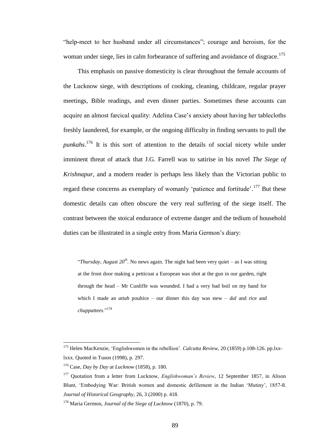"help-meet to her husband under all circumstances"; courage and heroism, for the woman under siege, lies in calm forbearance of suffering and avoidance of disgrace.<sup>175</sup>

This emphasis on passive domesticity is clear throughout the female accounts of the Lucknow siege, with descriptions of cooking, cleaning, childcare, regular prayer meetings, Bible readings, and even dinner parties. Sometimes these accounts can acquire an almost farcical quality: Adelina Case's anxiety about having her tablecloths freshly laundered, for example, or the ongoing difficulty in finding servants to pull the *punkahs*. <sup>176</sup> It is this sort of attention to the details of social nicety while under imminent threat of attack that J.G. Farrell was to satirise in his novel *The Siege of Krishnapur*, and a modern reader is perhaps less likely than the Victorian public to regard these concerns as exemplary of womanly 'patience and fortitude'.<sup>177</sup> But these domestic details can often obscure the very real suffering of the siege itself. The contrast between the stoical endurance of extreme danger and the tedium of household duties can be illustrated in a single entry from Maria Germon's diary:

"*Thursday, August 20<sup>th</sup>*. No news again. The night had been very quiet – as I was sitting at the front door making a petticoat a European was shot at the gun in our garden, right through the head – Mr Cunliffe was wounded. I had a very bad boil on my hand for which I made an *attah* poultice – our dinner this day was stew – *dal* and rice and *chuppattees*."<sup>178</sup>

<sup>175</sup> Helen MacKenzie, 'Englishwomen in the rebellion'. *Calcutta Review*, 20 (1859) p.108-126. pp.lxxlxxx. Quoted in Tuson (1998), p. 297.

<sup>176</sup> Case, *Day by Day at Lucknow* (1858), p. 180.

<sup>&</sup>lt;sup>177</sup> Quotation from a letter from Lucknow, *Englishwoman's Review*, 12 September 1857, in Alison Blunt, 'Embodying War: British women and domestic defilement in the Indian 'Mutiny', 1857-8. *Journal of Historical Geography*, 26, 3 (2000) p. 418.

<sup>178</sup> Maria Germon, *Journal of the Siege of Lucknow* (1870), p. 79.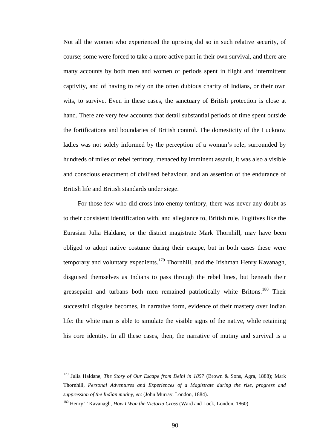Not all the women who experienced the uprising did so in such relative security, of course; some were forced to take a more active part in their own survival, and there are many accounts by both men and women of periods spent in flight and intermittent captivity, and of having to rely on the often dubious charity of Indians, or their own wits, to survive. Even in these cases, the sanctuary of British protection is close at hand. There are very few accounts that detail substantial periods of time spent outside the fortifications and boundaries of British control. The domesticity of the Lucknow ladies was not solely informed by the perception of a woman's role; surrounded by hundreds of miles of rebel territory, menaced by imminent assault, it was also a visible and conscious enactment of civilised behaviour, and an assertion of the endurance of British life and British standards under siege.

For those few who did cross into enemy territory, there was never any doubt as to their consistent identification with, and allegiance to, British rule. Fugitives like the Eurasian Julia Haldane, or the district magistrate Mark Thornhill, may have been obliged to adopt native costume during their escape, but in both cases these were temporary and voluntary expedients.<sup>179</sup> Thornhill, and the Irishman Henry Kavanagh, disguised themselves as Indians to pass through the rebel lines, but beneath their greasepaint and turbans both men remained patriotically white Britons.<sup>180</sup> Their successful disguise becomes, in narrative form, evidence of their mastery over Indian life: the white man is able to simulate the visible signs of the native, while retaining his core identity. In all these cases, then, the narrative of mutiny and survival is a

<sup>179</sup> Julia Haldane, *The Story of Our Escape from Delhi in 1857* (Brown & Sons, Agra, 1888); Mark Thornhill, *Personal Adventures and Experiences of a Magistrate during the rise, progress and suppression of the Indian mutiny, etc* (John Murray, London, 1884).

<sup>180</sup> Henry T Kavanagh, *How I Won the Victoria Cross* (Ward and Lock, London, 1860).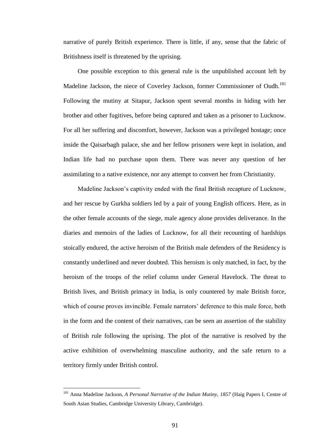narrative of purely British experience. There is little, if any, sense that the fabric of Britishness itself is threatened by the uprising.

One possible exception to this general rule is the unpublished account left by Madeline Jackson, the niece of Coverley Jackson, former Commissioner of Oudh.<sup>181</sup> Following the mutiny at Sitapur, Jackson spent several months in hiding with her brother and other fugitives, before being captured and taken as a prisoner to Lucknow. For all her suffering and discomfort, however, Jackson was a privileged hostage; once inside the Qaisarbagh palace, she and her fellow prisoners were kept in isolation, and Indian life had no purchase upon them. There was never any question of her assimilating to a native existence, nor any attempt to convert her from Christianity.

Madeline Jackson's captivity ended with the final British recapture of Lucknow, and her rescue by Gurkha soldiers led by a pair of young English officers. Here, as in the other female accounts of the siege, male agency alone provides deliverance. In the diaries and memoirs of the ladies of Lucknow, for all their recounting of hardships stoically endured, the active heroism of the British male defenders of the Residency is constantly underlined and never doubted. This heroism is only matched, in fact, by the heroism of the troops of the relief column under General Havelock. The threat to British lives, and British primacy in India, is only countered by male British force, which of course proves invincible. Female narrators' deference to this male force, both in the form and the content of their narratives, can be seen an assertion of the stability of British rule following the uprising. The plot of the narrative is resolved by the active exhibition of overwhelming masculine authority, and the safe return to a territory firmly under British control.

<sup>181</sup> Anna Madeline Jackson, *A Personal Narrative of the Indian Mutiny, 1857* (Haig Papers I, Centre of South Asian Studies, Cambridge University Library, Cambridge).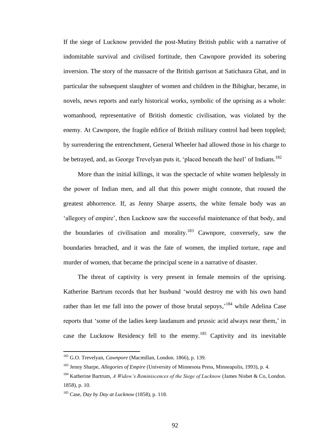If the siege of Lucknow provided the post-Mutiny British public with a narrative of indomitable survival and civilised fortitude, then Cawnpore provided its sobering inversion. The story of the massacre of the British garrison at Satichaura Ghat, and in particular the subsequent slaughter of women and children in the Bibighar, became, in novels, news reports and early historical works, symbolic of the uprising as a whole: womanhood, representative of British domestic civilisation, was violated by the enemy. At Cawnpore, the fragile edifice of British military control had been toppled; by surrendering the entrenchment, General Wheeler had allowed those in his charge to be betrayed, and, as George Trevelyan puts it, 'placed beneath the heel' of Indians.<sup>182</sup>

More than the initial killings, it was the spectacle of white women helplessly in the power of Indian men, and all that this power might connote, that roused the greatest abhorrence. If, as Jenny Sharpe asserts, the white female body was an 'allegory of empire', then Lucknow saw the successful maintenance of that body, and the boundaries of civilisation and morality.<sup>183</sup> Cawnpore, conversely, saw the boundaries breached, and it was the fate of women, the implied torture, rape and murder of women, that became the principal scene in a narrative of disaster.

The threat of captivity is very present in female memoirs of the uprising. Katherine Bartrum records that her husband 'would destroy me with his own hand rather than let me fall into the power of those brutal sepoys,<sup>184</sup> while Adelina Case reports that 'some of the ladies keep laudanum and prussic acid always near them,' in case the Lucknow Residency fell to the enemy.<sup>185</sup> Captivity and its inevitable

<sup>182</sup> G.O. Trevelyan, *Cawnpore* (Macmillan, London. 1866), p. 139.

<sup>183</sup> Jenny Sharpe, *Allegories of Empire* (University of Minnesota Press, Minneapolis, 1993), p. 4.

<sup>184</sup> Katherine Bartrum, *A Widow's Reminiscences of the Siege of Lucknow* (James Nisbet & Co, London. 1858), p. 10.

<sup>185</sup> Case, *Day by Day at Lucknow* (1858), p. 118.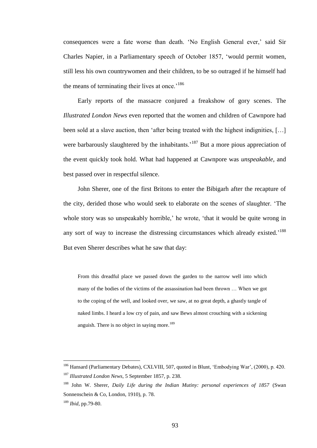consequences were a fate worse than death. 'No English General ever,' said Sir Charles Napier, in a Parliamentary speech of October 1857, 'would permit women, still less his own countrywomen and their children, to be so outraged if he himself had the means of terminating their lives at once.<sup>186</sup>

Early reports of the massacre conjured a freakshow of gory scenes. The *Illustrated London News* even reported that the women and children of Cawnpore had been sold at a slave auction, then 'after being treated with the highest indignities, […] were barbarously slaughtered by the inhabitants.<sup>187</sup> But a more pious appreciation of the event quickly took hold. What had happened at Cawnpore was *unspeakable*, and best passed over in respectful silence.

John Sherer, one of the first Britons to enter the Bibigarh after the recapture of the city, derided those who would seek to elaborate on the scenes of slaughter. 'The whole story was so unspeakably horrible,' he wrote, 'that it would be quite wrong in any sort of way to increase the distressing circumstances which already existed.<sup>188</sup> But even Sherer describes what he saw that day:

From this dreadful place we passed down the garden to the narrow well into which many of the bodies of the victims of the assassination had been thrown … When we got to the coping of the well, and looked over, we saw, at no great depth, a ghastly tangle of naked limbs. I heard a low cry of pain, and saw Bews almost crouching with a sickening anguish. There is no object in saying more.<sup>189</sup>

<sup>&</sup>lt;sup>186</sup> Hansard (Parliamentary Debates), CXLVIII, 507, quoted in Blunt, 'Embodying War', (2000), p. 420. <sup>187</sup> *Illustrated London News*, 5 September 1857, p. 238.

<sup>188</sup> John W. Sherer, *Daily Life during the Indian Mutiny: personal experiences of 1857* (Swan Sonnenschein & Co, London, 1910), p. 78.

<sup>189</sup> *Ibid*, pp.79-80.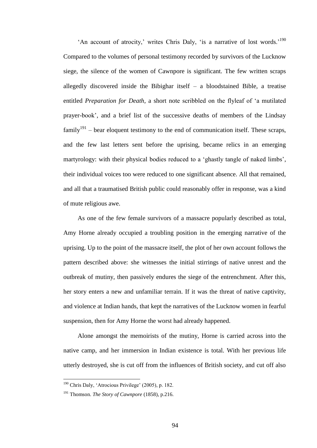'An account of atrocity,' writes Chris Daly, 'is a narrative of lost words.'<sup>190</sup> Compared to the volumes of personal testimony recorded by survivors of the Lucknow siege, the silence of the women of Cawnpore is significant. The few written scraps allegedly discovered inside the Bibighar itself  $-$  a bloodstained Bible, a treatise entitled *Preparation for Death*, a short note scribbled on the flyleaf of 'a mutilated prayer-book', and a brief list of the successive deaths of members of the Lindsay family<sup>191</sup> – bear eloquent testimony to the end of communication itself. These scraps, and the few last letters sent before the uprising, became relics in an emerging martyrology: with their physical bodies reduced to a 'ghastly tangle of naked limbs', their individual voices too were reduced to one significant absence. All that remained, and all that a traumatised British public could reasonably offer in response, was a kind of mute religious awe.

As one of the few female survivors of a massacre popularly described as total, Amy Horne already occupied a troubling position in the emerging narrative of the uprising. Up to the point of the massacre itself, the plot of her own account follows the pattern described above: she witnesses the initial stirrings of native unrest and the outbreak of mutiny, then passively endures the siege of the entrenchment. After this, her story enters a new and unfamiliar terrain. If it was the threat of native captivity, and violence at Indian hands, that kept the narratives of the Lucknow women in fearful suspension, then for Amy Horne the worst had already happened.

Alone amongst the memoirists of the mutiny, Horne is carried across into the native camp, and her immersion in Indian existence is total. With her previous life utterly destroyed, she is cut off from the influences of British society, and cut off also

<sup>190</sup> Chris Daly, 'Atrocious Privilege' (2005), p. 182.

<sup>191</sup> Thomson. *The Story of Cawnpore* (1858), p.216.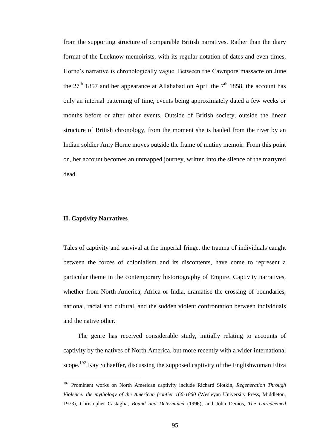from the supporting structure of comparable British narratives. Rather than the diary format of the Lucknow memoirists, with its regular notation of dates and even times, Horne's narrative is chronologically vague. Between the Cawnpore massacre on June the  $27<sup>th</sup>$  1857 and her appearance at Allahabad on April the  $7<sup>th</sup>$  1858, the account has only an internal patterning of time, events being approximately dated a few weeks or months before or after other events. Outside of British society, outside the linear structure of British chronology, from the moment she is hauled from the river by an Indian soldier Amy Horne moves outside the frame of mutiny memoir. From this point on, her account becomes an unmapped journey, written into the silence of the martyred dead.

# **II. Captivity Narratives**

 $\overline{a}$ 

Tales of captivity and survival at the imperial fringe, the trauma of individuals caught between the forces of colonialism and its discontents, have come to represent a particular theme in the contemporary historiography of Empire. Captivity narratives, whether from North America, Africa or India, dramatise the crossing of boundaries, national, racial and cultural, and the sudden violent confrontation between individuals and the native other.

The genre has received considerable study, initially relating to accounts of captivity by the natives of North America, but more recently with a wider international scope.<sup>192</sup> Kay Schaeffer, discussing the supposed captivity of the Englishwoman Eliza

<sup>192</sup> Prominent works on North American captivity include Richard Slotkin, *Regeneration Through Violence: the mythology of the American frontier 166-1860* (Wesleyan University Press, Middleton, 1973), Christopher Castaglia, *Bound and Determined* (1996), and John Demos, *The Unredeemed*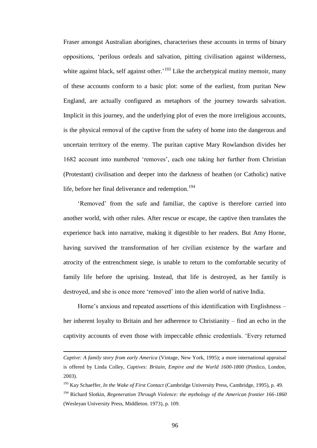Fraser amongst Australian aborigines, characterises these accounts in terms of binary oppositions, 'perilous ordeals and salvation, pitting civilisation against wilderness, white against black, self against other.<sup>193</sup> Like the archetypical mutiny memoir, many of these accounts conform to a basic plot: some of the earliest, from puritan New England, are actually configured as metaphors of the journey towards salvation. Implicit in this journey, and the underlying plot of even the more irreligious accounts, is the physical removal of the captive from the safety of home into the dangerous and uncertain territory of the enemy. The puritan captive Mary Rowlandson divides her 1682 account into numbered 'removes', each one taking her further from Christian (Protestant) civilisation and deeper into the darkness of heathen (or Catholic) native life, before her final deliverance and redemption.<sup>194</sup>

'Removed' from the safe and familiar, the captive is therefore carried into another world, with other rules. After rescue or escape, the captive then translates the experience back into narrative, making it digestible to her readers. But Amy Horne, having survived the transformation of her civilian existence by the warfare and atrocity of the entrenchment siege, is unable to return to the comfortable security of family life before the uprising. Instead, that life is destroyed, as her family is destroyed, and she is once more 'removed' into the alien world of native India.

Horne's anxious and repeated assertions of this identification with Englishness – her inherent loyalty to Britain and her adherence to Christianity – find an echo in the captivity accounts of even those with impeccable ethnic credentials. 'Every returned

 $\overline{a}$ 

<sup>193</sup> Kay Schaeffer, *In the Wake of First Contact* (Cambridge University Press, Cambridge, 1995), p. 49.

*Captive: A family story from early America* (Vintage, New York, 1995); a more international appraisal is offered by Linda Colley, *Captives: Britain, Empire and the World 1600-1800* (Pimlico, London, 2003).

<sup>194</sup> Richard Slotkin, *Regeneration Through Violence: the mythology of the American frontier 166-1860* (Wesleyan University Press, Middleton. 1973), p. 109.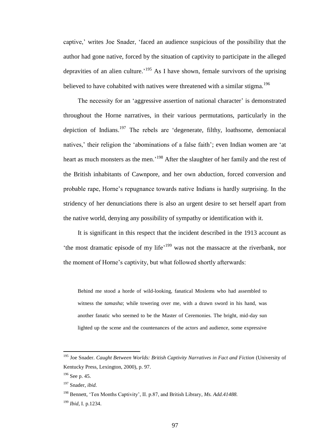captive,' writes Joe Snader, 'faced an audience suspicious of the possibility that the author had gone native, forced by the situation of captivity to participate in the alleged depravities of an alien culture.<sup>195</sup> As I have shown, female survivors of the uprising believed to have cohabited with natives were threatened with a similar stigma.<sup>196</sup>

The necessity for an 'aggressive assertion of national character' is demonstrated throughout the Horne narratives, in their various permutations, particularly in the depiction of Indians.<sup>197</sup> The rebels are 'degenerate, filthy, loathsome, demoniacal natives,' their religion the 'abominations of a false faith'; even Indian women are 'at heart as much monsters as the men.<sup>198</sup> After the slaughter of her family and the rest of the British inhabitants of Cawnpore, and her own abduction, forced conversion and probable rape, Horne's repugnance towards native Indians is hardly surprising. In the stridency of her denunciations there is also an urgent desire to set herself apart from the native world, denying any possibility of sympathy or identification with it.

It is significant in this respect that the incident described in the 1913 account as the most dramatic episode of my life<sup>,199</sup> was not the massacre at the riverbank, nor the moment of Horne's captivity, but what followed shortly afterwards:

Behind me stood a horde of wild-looking, fanatical Moslems who had assembled to witness the *tamasha*; while towering over me, with a drawn sword in his hand, was another fanatic who seemed to be the Master of Ceremonies. The bright, mid-day sun lighted up the scene and the countenances of the actors and audience, some expressive

<sup>195</sup> Joe Snader. *Caught Between Worlds: British Captivity Narratives in Fact and Fiction* (University of Kentucky Press, Lexington, 2000), p. 97.

 $196$  See p. 45.

<sup>197</sup> Snader, *ibid.*

<sup>198</sup> Bennett, 'Ten Months Captivity', II. p.87, and British Library, *Ms. Add.41488.*

<sup>199</sup> *Ibid*, I. p.1234.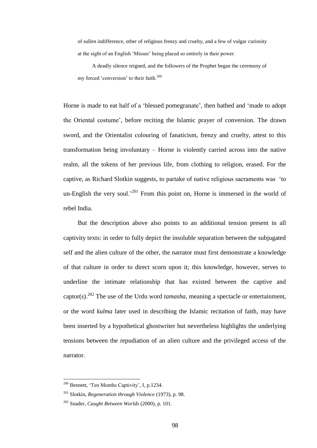of sullen indifference, other of religious frenzy and cruelty, and a few of vulgar curiosity at the sight of an English 'Missee' being placed so entirely in their power.

A deadly silence reigned, and the followers of the Prophet began the ceremony of my forced 'conversion' to their faith.<sup>200</sup>

Horne is made to eat half of a 'blessed pomegranate', then bathed and 'made to adopt the Oriental costume', before reciting the Islamic prayer of conversion. The drawn sword, and the Orientalist colouring of fanaticism, frenzy and cruelty, attest to this transformation being involuntary – Horne is violently carried across into the native realm, all the tokens of her previous life, from clothing to religion, erased. For the captive, as Richard Slotkin suggests, to partake of native religious sacraments was 'to un-English the very soul.<sup>201</sup> From this point on, Horne is immersed in the world of rebel India.

But the description above also points to an additional tension present in all captivity texts: in order to fully depict the insoluble separation between the subjugated self and the alien culture of the other, the narrator must first demonstrate a knowledge of that culture in order to direct scorn upon it; this knowledge, however, serves to underline the intimate relationship that has existed between the captive and captor(s).<sup>202</sup> The use of the Urdu word *tamasha*, meaning a spectacle or entertainment, or the word *kulma* later used in describing the Islamic recitation of faith, may have been inserted by a hypothetical ghostwriter but nevertheless highlights the underlying tensions between the repudiation of an alien culture and the privileged access of the narrator.

<sup>200</sup> Bennett, 'Ten Months Captivity', I, p.1234.

<sup>201</sup> Slotkin, *Regeneration through Violence* (1973), p. 98.

<sup>202</sup> Snader, *Caught Between Worlds* (2000), p. 101.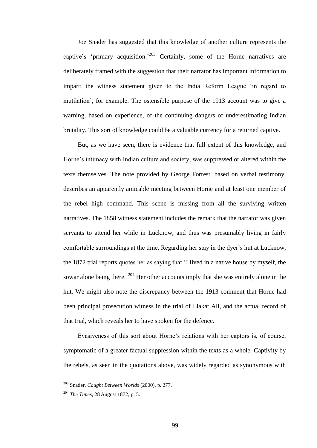Joe Snader has suggested that this knowledge of another culture represents the captive's 'primary acquisition.<sup>203</sup> Certainly, some of the Horne narratives are deliberately framed with the suggestion that their narrator has important information to impart: the witness statement given to the India Reform League 'in regard to mutilation', for example. The ostensible purpose of the 1913 account was to give a warning, based on experience, of the continuing dangers of underestimating Indian brutality. This sort of knowledge could be a valuable currency for a returned captive.

But, as we have seen, there is evidence that full extent of this knowledge, and Horne's intimacy with Indian culture and society, was suppressed or altered within the texts themselves. The note provided by George Forrest, based on verbal testimony, describes an apparently amicable meeting between Horne and at least one member of the rebel high command. This scene is missing from all the surviving written narratives. The 1858 witness statement includes the remark that the narrator was given servants to attend her while in Lucknow, and thus was presumably living in fairly comfortable surroundings at the time. Regarding her stay in the dyer's hut at Lucknow, the 1872 trial reports quotes her as saying that 'I lived in a native house by myself, the sowar alone being there.<sup>204</sup> Her other accounts imply that she was entirely alone in the hut. We might also note the discrepancy between the 1913 comment that Horne had been principal prosecution witness in the trial of Liakat Ali, and the actual record of that trial, which reveals her to have spoken for the defence.

Evasiveness of this sort about Horne's relations with her captors is, of course, symptomatic of a greater factual suppression within the texts as a whole. Captivity by the rebels, as seen in the quotations above, was widely regarded as synonymous with

<sup>203</sup> Snader. *Caught Between Worlds* (2000), p. 277.

<sup>204</sup> *The Times*, 28 August 1872, p. 5.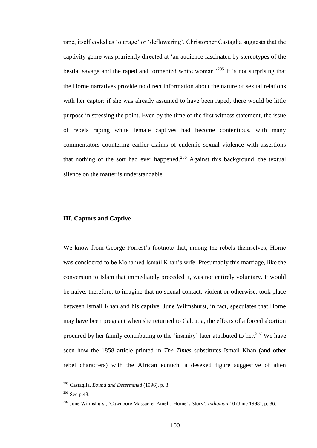rape, itself coded as 'outrage' or 'deflowering'. Christopher Castaglia suggests that the captivity genre was pruriently directed at 'an audience fascinated by stereotypes of the bestial savage and the raped and tormented white woman.<sup>205</sup> It is not surprising that the Horne narratives provide no direct information about the nature of sexual relations with her captor: if she was already assumed to have been raped, there would be little purpose in stressing the point. Even by the time of the first witness statement, the issue of rebels raping white female captives had become contentious, with many commentators countering earlier claims of endemic sexual violence with assertions that nothing of the sort had ever happened.<sup>206</sup> Against this background, the textual silence on the matter is understandable.

## **III. Captors and Captive**

We know from George Forrest's footnote that, among the rebels themselves, Horne was considered to be Mohamed Ismail Khan's wife. Presumably this marriage, like the conversion to Islam that immediately preceded it, was not entirely voluntary. It would be naive, therefore, to imagine that no sexual contact, violent or otherwise, took place between Ismail Khan and his captive. June Wilmshurst, in fact, speculates that Horne may have been pregnant when she returned to Calcutta, the effects of a forced abortion procured by her family contributing to the 'insanity' later attributed to her.<sup>207</sup> We have seen how the 1858 article printed in *The Times* substitutes Ismail Khan (and other rebel characters) with the African eunuch, a desexed figure suggestive of alien

<sup>205</sup> Castaglia, *Bound and Determined* (1996), p. 3.

<sup>206</sup> See p.43.

<sup>207</sup> June Wilmshurst, 'Cawnpore Massacre: Amelia Horne's Story', *Indiaman* 10 (June 1998), p. 36.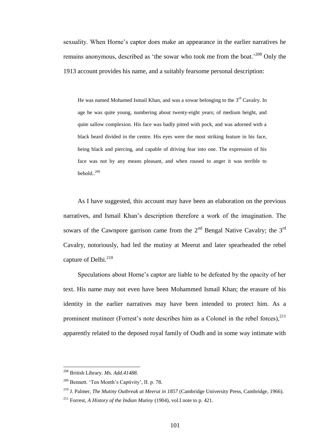sexuality. When Horne's captor does make an appearance in the earlier narratives he remains anonymous, described as 'the sowar who took me from the boat.<sup>'208</sup> Only the 1913 account provides his name, and a suitably fearsome personal description:

He was named Mohamed Ismail Khan, and was a sowar belonging to the  $3<sup>rd</sup>$  Cavalry. In age he was quite young, numbering about twenty-eight years; of medium height, and quite sallow complexion. His face was badly pitted with pock, and was adorned with a black beard divided in the centre. His eyes were the most striking feature in his face, being black and piercing, and capable of driving fear into one. The expression of his face was not by any means pleasant, and when roused to anger it was terrible to behold  $^{209}$ 

As I have suggested, this account may have been an elaboration on the previous narratives, and Ismail Khan's description therefore a work of the imagination. The sowars of the Cawnpore garrison came from the  $2<sup>nd</sup>$  Bengal Native Cavalry; the  $3<sup>rd</sup>$ Cavalry, notoriously, had led the mutiny at Meerut and later spearheaded the rebel capture of Delhi.<sup>210</sup>

Speculations about Horne's captor are liable to be defeated by the opacity of her text. His name may not even have been Mohammed Ismail Khan; the erasure of his identity in the earlier narratives may have been intended to protect him. As a prominent mutineer (Forrest's note describes him as a Colonel in the rebel forces), $^{211}$ apparently related to the deposed royal family of Oudh and in some way intimate with

<sup>208</sup> British Library. *Ms. Add.41488.*

<sup>209</sup> Bennett. 'Ten Month's Captivity', II. p. 78.

<sup>210</sup> J. Palmer, *The Mutiny Outbreak at Meerut in 1857* (Cambridge University Press, Cambridge, 1966).

<sup>211</sup> Forrest, *A History of the Indian Mutiny* (1904), vol.I note to p. 421.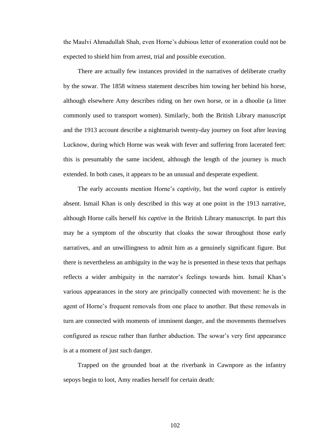the Maulvi Ahmadullah Shah, even Horne's dubious letter of exoneration could not be expected to shield him from arrest, trial and possible execution.

There are actually few instances provided in the narratives of deliberate cruelty by the sowar. The 1858 witness statement describes him towing her behind his horse, although elsewhere Amy describes riding on her own horse, or in a dhoolie (a litter commonly used to transport women). Similarly, both the British Library manuscript and the 1913 account describe a nightmarish twenty-day journey on foot after leaving Lucknow, during which Horne was weak with fever and suffering from lacerated feet: this is presumably the same incident, although the length of the journey is much extended. In both cases, it appears to be an unusual and desperate expedient.

The early accounts mention Horne's *captivity*, but the word *captor* is entirely absent. Ismail Khan is only described in this way at one point in the 1913 narrative, although Horne calls herself *his captive* in the British Library manuscript. In part this may be a symptom of the obscurity that cloaks the sowar throughout those early narratives, and an unwillingness to admit him as a genuinely significant figure. But there is nevertheless an ambiguity in the way he is presented in these texts that perhaps reflects a wider ambiguity in the narrator's feelings towards him. Ismail Khan's various appearances in the story are principally connected with movement: he is the agent of Horne's frequent removals from one place to another. But these removals in turn are connected with moments of imminent danger, and the movements themselves configured as rescue rather than further abduction. The sowar's very first appearance is at a moment of just such danger.

Trapped on the grounded boat at the riverbank in Cawnpore as the infantry sepoys begin to loot, Amy readies herself for certain death:

102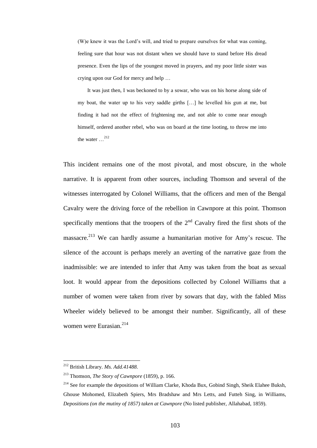(W)e knew it was the Lord's will, and tried to prepare ourselves for what was coming, feeling sure that hour was not distant when we should have to stand before His dread presence. Even the lips of the youngest moved in prayers, and my poor little sister was crying upon our God for mercy and help …

It was just then, I was beckoned to by a sowar, who was on his horse along side of my boat, the water up to his very saddle girths […] he levelled his gun at me, but finding it had not the effect of frightening me, and not able to come near enough himself, ordered another rebel, who was on board at the time looting, to throw me into the water  $12$ 

This incident remains one of the most pivotal, and most obscure, in the whole narrative. It is apparent from other sources, including Thomson and several of the witnesses interrogated by Colonel Williams, that the officers and men of the Bengal Cavalry were the driving force of the rebellion in Cawnpore at this point. Thomson specifically mentions that the troopers of the  $2<sup>nd</sup>$  Cavalry fired the first shots of the massacre.<sup>213</sup> We can hardly assume a humanitarian motive for Amy's rescue. The silence of the account is perhaps merely an averting of the narrative gaze from the inadmissible: we are intended to infer that Amy was taken from the boat as sexual loot. It would appear from the depositions collected by Colonel Williams that a number of women were taken from river by sowars that day, with the fabled Miss Wheeler widely believed to be amongst their number. Significantly, all of these women were Eurasian.<sup>214</sup>

<sup>212</sup> British Library. *Ms. Add.41488.*

<sup>213</sup> Thomson, *The Story of Cawnpore* (1859), p. 166.

<sup>&</sup>lt;sup>214</sup> See for example the depositions of William Clarke, Khoda Bux, Gobind Singh, Sheik Elahee Buksh, Ghouse Mohomed, Elizabeth Spiers, Mrs Bradshaw and Mrs Letts, and Futteh Sing, in Williams, *Depositions (on the mutiny of 1857) taken at Cawnpore* (No listed publisher, Allahabad, 1859).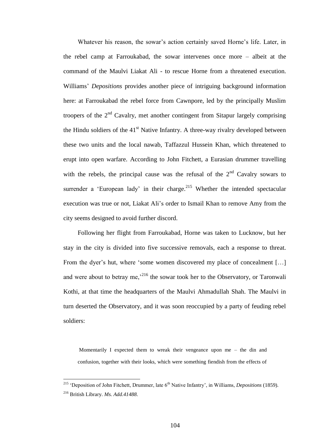Whatever his reason, the sowar's action certainly saved Horne's life. Later, in the rebel camp at Farroukabad, the sowar intervenes once more – albeit at the command of the Maulvi Liakat Ali - to rescue Horne from a threatened execution. Williams' *Depositions* provides another piece of intriguing background information here: at Farroukabad the rebel force from Cawnpore, led by the principally Muslim troopers of the  $2<sup>nd</sup>$  Cavalry, met another contingent from Sitapur largely comprising the Hindu soldiers of the  $41<sup>st</sup>$  Native Infantry. A three-way rivalry developed between these two units and the local nawab, Taffazzul Hussein Khan, which threatened to erupt into open warfare. According to John Fitchett, a Eurasian drummer travelling with the rebels, the principal cause was the refusal of the  $2<sup>nd</sup>$  Cavalry sowars to surrender a 'European lady' in their charge.<sup>215</sup> Whether the intended spectacular execution was true or not, Liakat Ali's order to Ismail Khan to remove Amy from the city seems designed to avoid further discord.

Following her flight from Farroukabad, Horne was taken to Lucknow, but her stay in the city is divided into five successive removals, each a response to threat. From the dyer's hut, where 'some women discovered my place of concealment [...] and were about to betray me,<sup>216</sup> the sowar took her to the Observatory, or Taronwali Kothi, at that time the headquarters of the Maulvi Ahmadullah Shah. The Maulvi in turn deserted the Observatory, and it was soon reoccupied by a party of feuding rebel soldiers:

Momentarily I expected them to wreak their vengeance upon me – the din and confusion, together with their looks, which were something fiendish from the effects of

<sup>&</sup>lt;sup>215</sup> 'Deposition of John Fitchett, Drummer, late 6<sup>th</sup> Native Infantry', in Williams, *Depositions* (1859).

<sup>216</sup> British Library. *Ms. Add.41488.*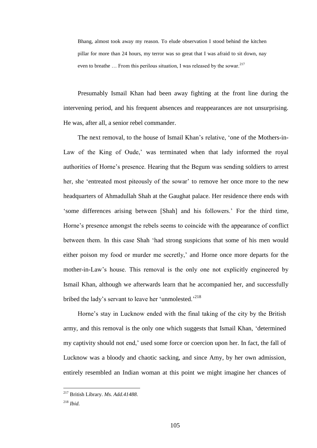Bhang, almost took away my reason. To elude observation I stood behind the kitchen pillar for more than 24 hours, my terror was so great that I was afraid to sit down, nay even to breathe  $\ldots$  From this perilous situation. I was released by the sowar.<sup>217</sup>

Presumably Ismail Khan had been away fighting at the front line during the intervening period, and his frequent absences and reappearances are not unsurprising. He was, after all, a senior rebel commander.

The next removal, to the house of Ismail Khan's relative, 'one of the Mothers-in-Law of the King of Oude,' was terminated when that lady informed the royal authorities of Horne's presence. Hearing that the Begum was sending soldiers to arrest her, she 'entreated most piteously of the sowar' to remove her once more to the new headquarters of Ahmadullah Shah at the Gaughat palace. Her residence there ends with 'some differences arising between [Shah] and his followers.' For the third time, Horne's presence amongst the rebels seems to coincide with the appearance of conflict between them. In this case Shah 'had strong suspicions that some of his men would either poison my food or murder me secretly,' and Horne once more departs for the mother-in-Law's house. This removal is the only one not explicitly engineered by Ismail Khan, although we afterwards learn that he accompanied her, and successfully bribed the lady's servant to leave her 'unmolested.'<sup>218</sup>

Horne's stay in Lucknow ended with the final taking of the city by the British army, and this removal is the only one which suggests that Ismail Khan, 'determined my captivity should not end,' used some force or coercion upon her. In fact, the fall of Lucknow was a bloody and chaotic sacking, and since Amy, by her own admission, entirely resembled an Indian woman at this point we might imagine her chances of

<sup>217</sup> British Library. *Ms. Add.41488.*

<sup>218</sup> *Ibid.*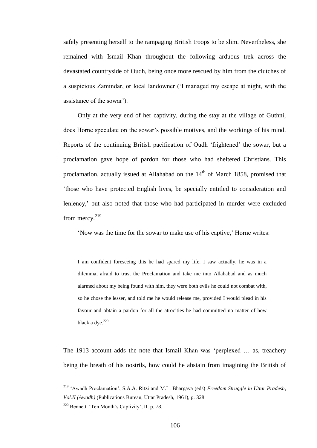safely presenting herself to the rampaging British troops to be slim. Nevertheless, she remained with Ismail Khan throughout the following arduous trek across the devastated countryside of Oudh, being once more rescued by him from the clutches of a suspicious Zamindar, or local landowner ('I managed my escape at night, with the assistance of the sowar').

Only at the very end of her captivity, during the stay at the village of Guthni, does Horne speculate on the sowar's possible motives, and the workings of his mind. Reports of the continuing British pacification of Oudh 'frightened' the sowar, but a proclamation gave hope of pardon for those who had sheltered Christians. This proclamation, actually issued at Allahabad on the  $14<sup>th</sup>$  of March 1858, promised that 'those who have protected English lives, be specially entitled to consideration and leniency,' but also noted that those who had participated in murder were excluded from mercy.<sup>219</sup>

'Now was the time for the sowar to make use of his captive,' Horne writes:

I am confident foreseeing this he had spared my life. I saw actually, he was in a dilemma, afraid to trust the Proclamation and take me into Allahabad and as much alarmed about my being found with him, they were both evils he could not combat with, so he chose the lesser, and told me he would release me, provided I would plead in his favour and obtain a pardon for all the atrocities he had committed no matter of how black a dye. $220$ 

The 1913 account adds the note that Ismail Khan was 'perplexed … as, treachery being the breath of his nostrils, how could he abstain from imagining the British of

<sup>219</sup> 'Awadh Proclamation', S.A.A. Ritzi and M.L. Bhargava (eds) *Freedom Struggle in Uttar Pradesh, Vol.II (Awadh)* (Publications Bureau, Uttar Pradesh, 1961), p. 328.

<sup>220</sup> Bennett. 'Ten Month's Captivity', II. p. 78.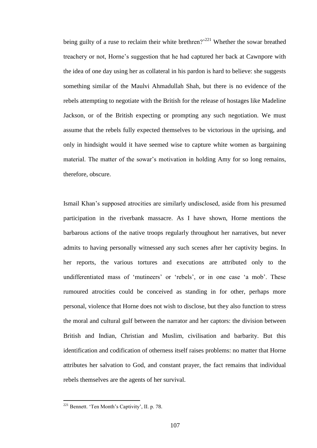being guilty of a ruse to reclaim their white brethren?<sup>221</sup> Whether the sowar breathed treachery or not, Horne's suggestion that he had captured her back at Cawnpore with the idea of one day using her as collateral in his pardon is hard to believe: she suggests something similar of the Maulvi Ahmadullah Shah, but there is no evidence of the rebels attempting to negotiate with the British for the release of hostages like Madeline Jackson, or of the British expecting or prompting any such negotiation. We must assume that the rebels fully expected themselves to be victorious in the uprising, and only in hindsight would it have seemed wise to capture white women as bargaining material. The matter of the sowar's motivation in holding Amy for so long remains, therefore, obscure.

Ismail Khan's supposed atrocities are similarly undisclosed, aside from his presumed participation in the riverbank massacre. As I have shown, Horne mentions the barbarous actions of the native troops regularly throughout her narratives, but never admits to having personally witnessed any such scenes after her captivity begins. In her reports, the various tortures and executions are attributed only to the undifferentiated mass of 'mutineers' or 'rebels', or in one case 'a mob'. These rumoured atrocities could be conceived as standing in for other, perhaps more personal, violence that Horne does not wish to disclose, but they also function to stress the moral and cultural gulf between the narrator and her captors: the division between British and Indian, Christian and Muslim, civilisation and barbarity. But this identification and codification of otherness itself raises problems: no matter that Horne attributes her salvation to God, and constant prayer, the fact remains that individual rebels themselves are the agents of her survival.

 $221$  Bennett. 'Ten Month's Captivity', II. p. 78.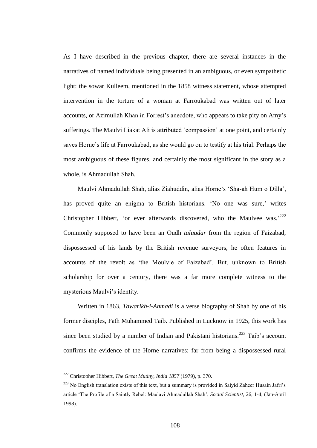As I have described in the previous chapter, there are several instances in the narratives of named individuals being presented in an ambiguous, or even sympathetic light: the sowar Kulleem, mentioned in the 1858 witness statement, whose attempted intervention in the torture of a woman at Farroukabad was written out of later accounts, or Azimullah Khan in Forrest's anecdote, who appears to take pity on Amy's sufferings. The Maulvi Liakat Ali is attributed 'compassion' at one point, and certainly saves Horne's life at Farroukabad, as she would go on to testify at his trial. Perhaps the most ambiguous of these figures, and certainly the most significant in the story as a whole, is Ahmadullah Shah.

Maulvi Ahmadullah Shah, alias Ziahuddin, alias Horne's 'Sha-ah Hum o Dilla', has proved quite an enigma to British historians. 'No one was sure,' writes Christopher Hibbert, 'or ever afterwards discovered, who the Maulvee was.<sup>2222</sup> Commonly supposed to have been an Oudh *taluqdar* from the region of Faizabad, dispossessed of his lands by the British revenue surveyors, he often features in accounts of the revolt as 'the Moulvie of Faizabad'. But, unknown to British scholarship for over a century, there was a far more complete witness to the mysterious Maulvi's identity.

Written in 1863, *Tawarikh-i-Ahmadi* is a verse biography of Shah by one of his former disciples, Fath Muhammed Taib. Published in Lucknow in 1925, this work has since been studied by a number of Indian and Pakistani historians.<sup>223</sup> Taib's account confirms the evidence of the Horne narratives: far from being a dispossessed rural

<sup>222</sup> Christopher Hibbert, *The Great Mutiny, India 1857* (1979), p. 370.

<sup>&</sup>lt;sup>223</sup> No English translation exists of this text, but a summary is provided in Saiyid Zaheer Husain Jafri's article 'The Profile of a Saintly Rebel: Maulavi Ahmadullah Shah', *Social Scientist*, 26, 1-4, (Jan-April 1998).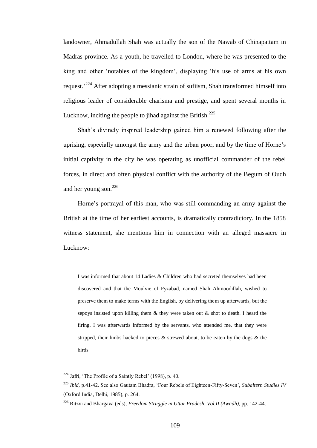landowner, Ahmadullah Shah was actually the son of the Nawab of Chinapattam in Madras province. As a youth, he travelled to London, where he was presented to the king and other 'notables of the kingdom', displaying 'his use of arms at his own request.<sup>224</sup> After adopting a messianic strain of sufiism, Shah transformed himself into religious leader of considerable charisma and prestige, and spent several months in Lucknow, inciting the people to jihad against the British.<sup>225</sup>

Shah's divinely inspired leadership gained him a renewed following after the uprising, especially amongst the army and the urban poor, and by the time of Horne's initial captivity in the city he was operating as unofficial commander of the rebel forces, in direct and often physical conflict with the authority of the Begum of Oudh and her young son.<sup>226</sup>

Horne's portrayal of this man, who was still commanding an army against the British at the time of her earliest accounts, is dramatically contradictory. In the 1858 witness statement, she mentions him in connection with an alleged massacre in Lucknow:

I was informed that about 14 Ladies & Children who had secreted themselves had been discovered and that the Moulvie of Fyzabad, named Shah Ahmoodillah, wished to preserve them to make terms with the English, by delivering them up afterwards, but the sepoys insisted upon killing them & they were taken out & shot to death. I heard the firing. I was afterwards informed by the servants, who attended me, that they were stripped, their limbs hacked to pieces & strewed about, to be eaten by the dogs & the birds.

 $224$  Jafri, 'The Profile of a Saintly Rebel' (1998), p. 40.

<sup>225</sup> *Ibid*, p.41-42. See also Gautam Bhadra, 'Four Rebels of Eighteen-Fifty-Seven', *Subaltern Studies IV* (Oxford India, Delhi, 1985), p. 264.

<sup>226</sup> Ritzvi and Bhargava (eds), *Freedom Struggle in Uttar Pradesh*, *Vol.II (Awadh)*, pp. 142-44.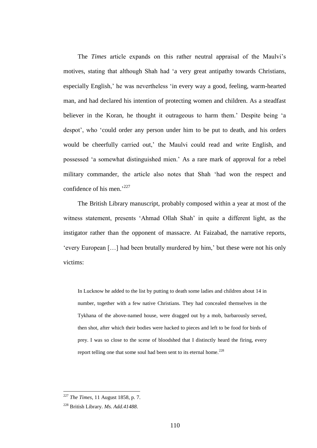The *Times* article expands on this rather neutral appraisal of the Maulvi's motives, stating that although Shah had 'a very great antipathy towards Christians, especially English,' he was nevertheless 'in every way a good, feeling, warm-hearted man, and had declared his intention of protecting women and children. As a steadfast believer in the Koran, he thought it outrageous to harm them.' Despite being 'a despot', who 'could order any person under him to be put to death, and his orders would be cheerfully carried out,' the Maulvi could read and write English, and possessed 'a somewhat distinguished mien.' As a rare mark of approval for a rebel military commander, the article also notes that Shah 'had won the respect and confidence of his men.<sup>227</sup>

The British Library manuscript, probably composed within a year at most of the witness statement, presents 'Ahmad Ollah Shah' in quite a different light, as the instigator rather than the opponent of massacre. At Faizabad, the narrative reports, 'every European […] had been brutally murdered by him,' but these were not his only victims:

In Lucknow he added to the list by putting to death some ladies and children about 14 in number, together with a few native Christians. They had concealed themselves in the Tykhana of the above-named house, were dragged out by a mob, barbarously served, then shot, after which their bodies were hacked to pieces and left to be food for birds of prey. I was so close to the scene of bloodshed that I distinctly heard the firing, every report telling one that some soul had been sent to its eternal home.<sup>228</sup>

<sup>227</sup> *The Times*, 11 August 1858, p. 7.

<sup>228</sup> British Library. *Ms. Add.41488.*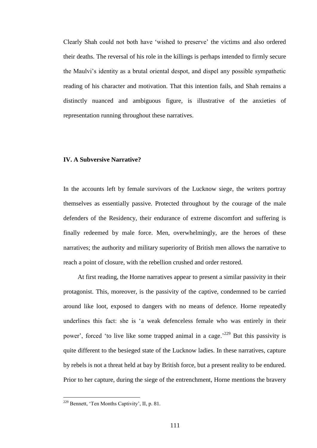Clearly Shah could not both have 'wished to preserve' the victims and also ordered their deaths. The reversal of his role in the killings is perhaps intended to firmly secure the Maulvi's identity as a brutal oriental despot, and dispel any possible sympathetic reading of his character and motivation. That this intention fails, and Shah remains a distinctly nuanced and ambiguous figure, is illustrative of the anxieties of representation running throughout these narratives.

## **IV. A Subversive Narrative?**

In the accounts left by female survivors of the Lucknow siege, the writers portray themselves as essentially passive. Protected throughout by the courage of the male defenders of the Residency, their endurance of extreme discomfort and suffering is finally redeemed by male force. Men, overwhelmingly, are the heroes of these narratives; the authority and military superiority of British men allows the narrative to reach a point of closure, with the rebellion crushed and order restored.

At first reading, the Horne narratives appear to present a similar passivity in their protagonist. This, moreover, is the passivity of the captive, condemned to be carried around like loot, exposed to dangers with no means of defence. Horne repeatedly underlines this fact: she is 'a weak defenceless female who was entirely in their power', forced 'to live like some trapped animal in a cage.<sup>229</sup> But this passivity is quite different to the besieged state of the Lucknow ladies. In these narratives, capture by rebels is not a threat held at bay by British force, but a present reality to be endured. Prior to her capture, during the siege of the entrenchment, Horne mentions the bravery

<sup>229</sup> Bennett, 'Ten Months Captivity', II, p. 81.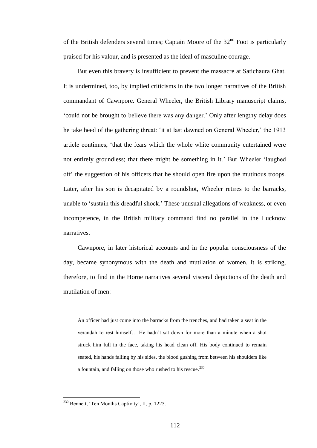of the British defenders several times; Captain Moore of the  $32<sup>nd</sup>$  Foot is particularly praised for his valour, and is presented as the ideal of masculine courage.

But even this bravery is insufficient to prevent the massacre at Satichaura Ghat. It is undermined, too, by implied criticisms in the two longer narratives of the British commandant of Cawnpore. General Wheeler, the British Library manuscript claims, 'could not be brought to believe there was any danger.' Only after lengthy delay does he take heed of the gathering threat: 'it at last dawned on General Wheeler,' the 1913 article continues, 'that the fears which the whole white community entertained were not entirely groundless; that there might be something in it.' But Wheeler 'laughed off' the suggestion of his officers that he should open fire upon the mutinous troops. Later, after his son is decapitated by a roundshot, Wheeler retires to the barracks, unable to 'sustain this dreadful shock.' These unusual allegations of weakness, or even incompetence, in the British military command find no parallel in the Lucknow narratives.

Cawnpore, in later historical accounts and in the popular consciousness of the day, became synonymous with the death and mutilation of women. It is striking, therefore, to find in the Horne narratives several visceral depictions of the death and mutilation of men:

An officer had just come into the barracks from the trenches, and had taken a seat in the verandah to rest himself… He hadn't sat down for more than a minute when a shot struck him full in the face, taking his head clean off. His body continued to remain seated, his hands falling by his sides, the blood gushing from between his shoulders like a fountain, and falling on those who rushed to his rescue.<sup>230</sup>

 $230$  Bennett, 'Ten Months Captivity', II, p. 1223.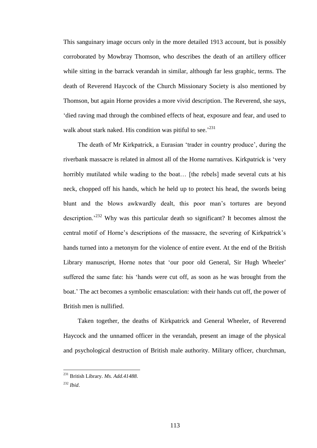This sanguinary image occurs only in the more detailed 1913 account, but is possibly corroborated by Mowbray Thomson, who describes the death of an artillery officer while sitting in the barrack verandah in similar, although far less graphic, terms. The death of Reverend Haycock of the Church Missionary Society is also mentioned by Thomson, but again Horne provides a more vivid description. The Reverend, she says, 'died raving mad through the combined effects of heat, exposure and fear, and used to walk about stark naked. His condition was pitiful to see.<sup>231</sup>

The death of Mr Kirkpatrick, a Eurasian 'trader in country produce', during the riverbank massacre is related in almost all of the Horne narratives. Kirkpatrick is 'very horribly mutilated while wading to the boat... [the rebels] made several cuts at his neck, chopped off his hands, which he held up to protect his head, the swords being blunt and the blows awkwardly dealt, this poor man's tortures are beyond description.'<sup>232</sup> Why was this particular death so significant? It becomes almost the central motif of Horne's descriptions of the massacre, the severing of Kirkpatrick's hands turned into a metonym for the violence of entire event. At the end of the British Library manuscript, Horne notes that 'our poor old General, Sir Hugh Wheeler' suffered the same fate: his 'hands were cut off, as soon as he was brought from the boat.' The act becomes a symbolic emasculation: with their hands cut off, the power of British men is nullified.

Taken together, the deaths of Kirkpatrick and General Wheeler, of Reverend Haycock and the unnamed officer in the verandah, present an image of the physical and psychological destruction of British male authority. Military officer, churchman,

<sup>231</sup> British Library. *Ms. Add.41488.*

<sup>232</sup> *Ibid*.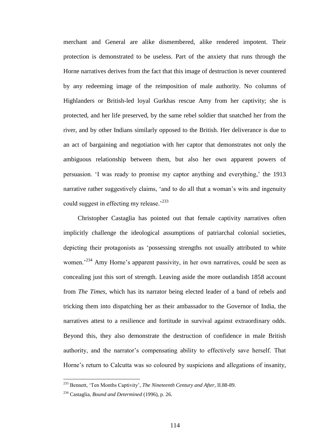merchant and General are alike dismembered, alike rendered impotent. Their protection is demonstrated to be useless. Part of the anxiety that runs through the Horne narratives derives from the fact that this image of destruction is never countered by any redeeming image of the reimposition of male authority. No columns of Highlanders or British-led loyal Gurkhas rescue Amy from her captivity; she is protected, and her life preserved, by the same rebel soldier that snatched her from the river, and by other Indians similarly opposed to the British. Her deliverance is due to an act of bargaining and negotiation with her captor that demonstrates not only the ambiguous relationship between them, but also her own apparent powers of persuasion. 'I was ready to promise my captor anything and everything,' the 1913 narrative rather suggestively claims, 'and to do all that a woman's wits and ingenuity could suggest in effecting my release.<sup>233</sup>

Christopher Castaglia has pointed out that female captivity narratives often implicitly challenge the ideological assumptions of patriarchal colonial societies, depicting their protagonists as 'possessing strengths not usually attributed to white women.<sup>234</sup> Amy Horne's apparent passivity, in her own narratives, could be seen as concealing just this sort of strength. Leaving aside the more outlandish 1858 account from *The Times*, which has its narrator being elected leader of a band of rebels and tricking them into dispatching her as their ambassador to the Governor of India, the narratives attest to a resilience and fortitude in survival against extraordinary odds. Beyond this, they also demonstrate the destruction of confidence in male British authority, and the narrator's compensating ability to effectively save herself. That Horne's return to Calcutta was so coloured by suspicions and allegations of insanity,

<sup>233</sup> Bennett, 'Ten Months Captivity', *The Nineteenth Century and After*, II.88-89.

<sup>234</sup> Castaglia, *Bound and Determined* (1996), p. 26.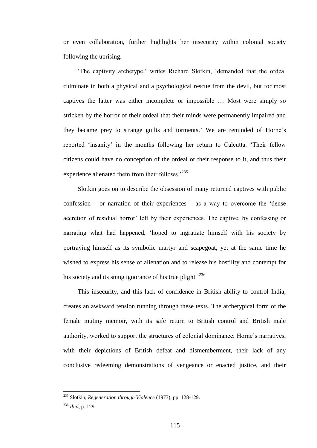or even collaboration, further highlights her insecurity within colonial society following the uprising.

'The captivity archetype,' writes Richard Slotkin, 'demanded that the ordeal culminate in both a physical and a psychological rescue from the devil, but for most captives the latter was either incomplete or impossible … Most were simply so stricken by the horror of their ordeal that their minds were permanently impaired and they became prey to strange guilts and torments.' We are reminded of Horne's reported 'insanity' in the months following her return to Calcutta. 'Their fellow citizens could have no conception of the ordeal or their response to it, and thus their experience alienated them from their fellows.<sup>235</sup>

Slotkin goes on to describe the obsession of many returned captives with public confession – or narration of their experiences – as a way to overcome the 'dense accretion of residual horror' left by their experiences. The captive, by confessing or narrating what had happened, 'hoped to ingratiate himself with his society by portraying himself as its symbolic martyr and scapegoat, yet at the same time he wished to express his sense of alienation and to release his hostility and contempt for his society and its smug ignorance of his true plight.<sup> $236$ </sup>

This insecurity, and this lack of confidence in British ability to control India, creates an awkward tension running through these texts. The archetypical form of the female mutiny memoir, with its safe return to British control and British male authority, worked to support the structures of colonial dominance; Horne's narratives, with their depictions of British defeat and dismemberment, their lack of any conclusive redeeming demonstrations of vengeance or enacted justice, and their

<sup>235</sup> Slotkin, *Regeneration through Violence* (1973), pp. 128-129.

<sup>236</sup> *Ibid*, p. 129.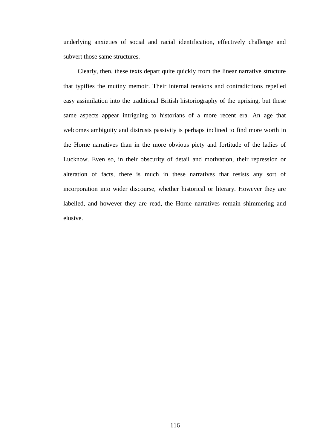underlying anxieties of social and racial identification, effectively challenge and subvert those same structures.

Clearly, then, these texts depart quite quickly from the linear narrative structure that typifies the mutiny memoir. Their internal tensions and contradictions repelled easy assimilation into the traditional British historiography of the uprising, but these same aspects appear intriguing to historians of a more recent era. An age that welcomes ambiguity and distrusts passivity is perhaps inclined to find more worth in the Horne narratives than in the more obvious piety and fortitude of the ladies of Lucknow. Even so, in their obscurity of detail and motivation, their repression or alteration of facts, there is much in these narratives that resists any sort of incorporation into wider discourse, whether historical or literary. However they are labelled, and however they are read, the Horne narratives remain shimmering and elusive.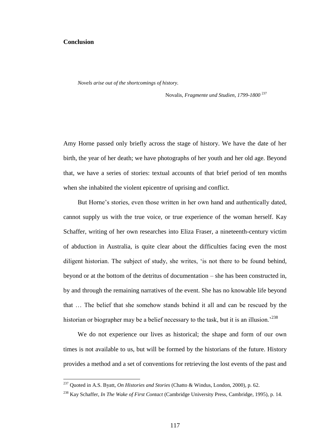# **Conclusion**

 $\overline{a}$ 

*Novels arise out of the shortcomings of history.*

Novalis, *Fragmente und Studien*, *1799-1800* <sup>237</sup>

Amy Horne passed only briefly across the stage of history. We have the date of her birth, the year of her death; we have photographs of her youth and her old age. Beyond that, we have a series of stories: textual accounts of that brief period of ten months when she inhabited the violent epicentre of uprising and conflict.

But Horne's stories, even those written in her own hand and authentically dated, cannot supply us with the true voice, or true experience of the woman herself. Kay Schaffer, writing of her own researches into Eliza Fraser, a nineteenth-century victim of abduction in Australia, is quite clear about the difficulties facing even the most diligent historian. The subject of study, she writes, 'is not there to be found behind, beyond or at the bottom of the detritus of documentation – she has been constructed in, by and through the remaining narratives of the event. She has no knowable life beyond that … The belief that she somehow stands behind it all and can be rescued by the historian or biographer may be a belief necessary to the task, but it is an illusion.<sup>238</sup>

We do not experience our lives as historical; the shape and form of our own times is not available to us, but will be formed by the historians of the future. History provides a method and a set of conventions for retrieving the lost events of the past and

<sup>237</sup> Quoted in A.S. Byatt, *On Histories and Stories* (Chatto & Windus, London, 2000), p. 62.

<sup>238</sup> Kay Schaffer, *In The Wake of First Contact* (Cambridge University Press, Cambridge, 1995), p. 14.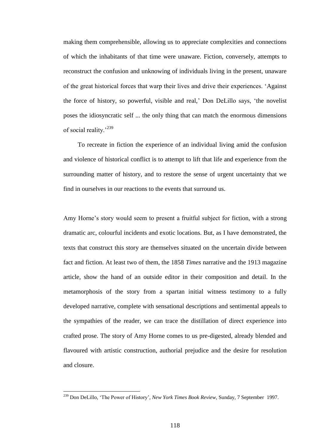making them comprehensible, allowing us to appreciate complexities and connections of which the inhabitants of that time were unaware. Fiction, conversely, attempts to reconstruct the confusion and unknowing of individuals living in the present, unaware of the great historical forces that warp their lives and drive their experiences. 'Against the force of history, so powerful, visible and real,' Don DeLillo says, 'the novelist poses the idiosyncratic self ... the only thing that can match the enormous dimensions of social reality.<sup>'239</sup>

To recreate in fiction the experience of an individual living amid the confusion and violence of historical conflict is to attempt to lift that life and experience from the surrounding matter of history, and to restore the sense of urgent uncertainty that we find in ourselves in our reactions to the events that surround us.

Amy Horne's story would seem to present a fruitful subject for fiction, with a strong dramatic arc, colourful incidents and exotic locations. But, as I have demonstrated, the texts that construct this story are themselves situated on the uncertain divide between fact and fiction. At least two of them, the 1858 *Times* narrative and the 1913 magazine article, show the hand of an outside editor in their composition and detail. In the metamorphosis of the story from a spartan initial witness testimony to a fully developed narrative, complete with sensational descriptions and sentimental appeals to the sympathies of the reader, we can trace the distillation of direct experience into crafted prose. The story of Amy Horne comes to us pre-digested, already blended and flavoured with artistic construction, authorial prejudice and the desire for resolution and closure.

<sup>239</sup> Don DeLillo, 'The Power of History', *New York Times Book Review,* Sunday, 7 September 1997.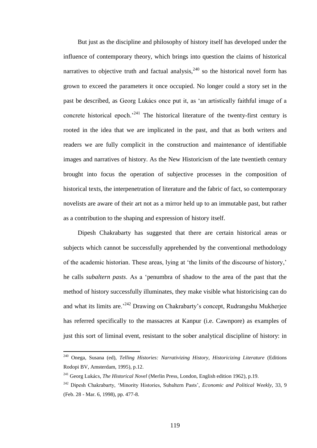But just as the discipline and philosophy of history itself has developed under the influence of contemporary theory, which brings into question the claims of historical narratives to objective truth and factual analysis,  $240$  so the historical novel form has grown to exceed the parameters it once occupied. No longer could a story set in the past be described, as Georg Lukács once put it, as 'an artistically faithful image of a concrete historical epoch.<sup>241</sup> The historical literature of the twenty-first century is rooted in the idea that we are implicated in the past, and that as both writers and readers we are fully complicit in the construction and maintenance of identifiable images and narratives of history. As the New Historicism of the late twentieth century brought into focus the operation of subjective processes in the composition of historical texts, the interpenetration of literature and the fabric of fact, so contemporary novelists are aware of their art not as a mirror held up to an immutable past, but rather as a contribution to the shaping and expression of history itself.

Dipesh Chakrabarty has suggested that there are certain historical areas or subjects which cannot be successfully apprehended by the conventional methodology of the academic historian. These areas, lying at 'the limits of the discourse of history,' he calls *subaltern pasts*. As a 'penumbra of shadow to the area of the past that the method of history successfully illuminates, they make visible what historicising can do and what its limits are.'<sup>242</sup> Drawing on Chakrabarty's concept, Rudrangshu Mukherjee has referred specifically to the massacres at Kanpur (i.e. Cawnpore) as examples of just this sort of liminal event, resistant to the sober analytical discipline of history: in

<sup>240</sup> Onega, Susana (ed), *Telling Histories: Narrativizing History, Historicizing Literature* (Editions Rodopi BV, Amsterdam, 1995), p.12.

<sup>241</sup> Georg Lukács, *The Historical Novel* (Merlin Press, London, English edition 1962), p.19.

<sup>242</sup> Dipesh Chakrabarty, 'Minority Histories, Subaltern Pasts', *Economic and Political Weekly*, 33, 9 (Feb. 28 - Mar. 6, 1998), pp. 477-8.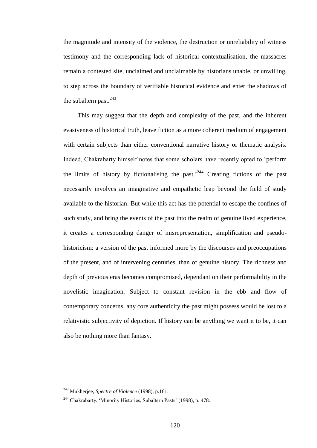the magnitude and intensity of the violence, the destruction or unreliability of witness testimony and the corresponding lack of historical contextualisation, the massacres remain a contested site, unclaimed and unclaimable by historians unable, or unwilling, to step across the boundary of verifiable historical evidence and enter the shadows of the subaltern past. $243$ 

This may suggest that the depth and complexity of the past, and the inherent evasiveness of historical truth, leave fiction as a more coherent medium of engagement with certain subjects than either conventional narrative history or thematic analysis. Indeed, Chakrabarty himself notes that some scholars have recently opted to 'perform the limits of history by fictionalising the past.<sup>244</sup> Creating fictions of the past necessarily involves an imaginative and empathetic leap beyond the field of study available to the historian. But while this act has the potential to escape the confines of such study, and bring the events of the past into the realm of genuine lived experience, it creates a corresponding danger of misrepresentation, simplification and pseudohistoricism: a version of the past informed more by the discourses and preoccupations of the present, and of intervening centuries, than of genuine history. The richness and depth of previous eras becomes compromised, dependant on their performability in the novelistic imagination. Subject to constant revision in the ebb and flow of contemporary concerns, any core authenticity the past might possess would be lost to a relativistic subjectivity of depiction. If history can be anything we want it to be, it can also be nothing more than fantasy.

<sup>243</sup> Mukherjee, *Spectre of Violence* (1998), p.161.

<sup>244</sup> Chakrabarty, 'Minority Histories, Subaltern Pasts' (1998), p. 478.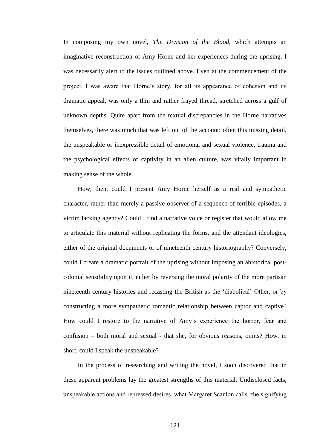In composing my own novel, *The Division of the Blood*, which attempts an imaginative reconstruction of Amy Horne and her experiences during the uprising, I was necessarily alert to the issues outlined above. Even at the commencement of the project, I was aware that Horne's story, for all its appearance of cohesion and its dramatic appeal, was only a thin and rather frayed thread, stretched across a gulf of unknown depths. Quite apart from the textual discrepancies in the Horne narratives themselves, there was much that was left out of the account: often this missing detail, the unspeakable or inexpressible detail of emotional and sexual violence, trauma and the psychological effects of captivity in an alien culture, was vitally important in making sense of the whole.

How, then, could I present Amy Horne herself as a real and sympathetic character, rather than merely a passive observer of a sequence of terrible episodes, a victim lacking agency? Could I find a narrative voice or register that would allow me to articulate this material without replicating the forms, and the attendant ideologies, either of the original documents or of nineteenth century historiography? Conversely, could I create a dramatic portrait of the uprising without imposing an ahistorical postcolonial sensibility upon it, either by reversing the moral polarity of the more partisan nineteenth century histories and recasting the British as the 'diabolical' Other, or by constructing a more sympathetic romantic relationship between captor and captive? How could I restore to the narrative of Amy's experience the horror, fear and confusion – both moral and sexual - that she, for obvious reasons, omits? How, in short, could I speak the unspeakable?

In the process of researching and writing the novel, I soon discovered that in these apparent problems lay the greatest strengths of this material. Undisclosed facts, unspeakable actions and repressed desires, what Margaret Scanlon calls 'the signifying

121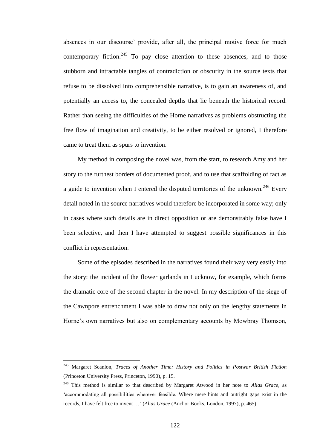absences in our discourse' provide, after all, the principal motive force for much contemporary fiction. $245$  To pay close attention to these absences, and to those stubborn and intractable tangles of contradiction or obscurity in the source texts that refuse to be dissolved into comprehensible narrative, is to gain an awareness of, and potentially an access to, the concealed depths that lie beneath the historical record. Rather than seeing the difficulties of the Horne narratives as problems obstructing the free flow of imagination and creativity, to be either resolved or ignored, I therefore came to treat them as spurs to invention.

My method in composing the novel was, from the start, to research Amy and her story to the furthest borders of documented proof, and to use that scaffolding of fact as a guide to invention when I entered the disputed territories of the unknown.<sup>246</sup> Every detail noted in the source narratives would therefore be incorporated in some way; only in cases where such details are in direct opposition or are demonstrably false have I been selective, and then I have attempted to suggest possible significances in this conflict in representation.

Some of the episodes described in the narratives found their way very easily into the story: the incident of the flower garlands in Lucknow, for example, which forms the dramatic core of the second chapter in the novel. In my description of the siege of the Cawnpore entrenchment I was able to draw not only on the lengthy statements in Horne's own narratives but also on complementary accounts by Mowbray Thomson,

<sup>245</sup> Margaret Scanlon, *Traces of Another Time: History and Politics in Postwar British Fiction* (Princeton University Press, Princeton, 1990), p. 15.

<sup>246</sup> This method is similar to that described by Margaret Atwood in her note to *Alias Grace*, as 'accommodating all possibilities wherever feasible. Where mere hints and outright gaps exist in the records, I have felt free to invent …' (*Alias Grace* (Anchor Books, London, 1997), p. 465).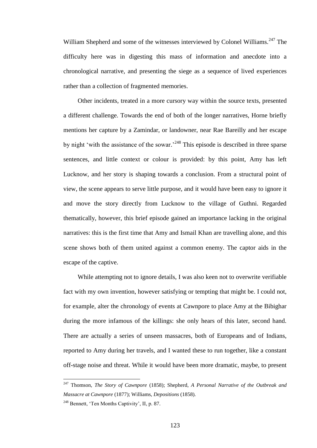William Shepherd and some of the witnesses interviewed by Colonel Williams.<sup>247</sup> The difficulty here was in digesting this mass of information and anecdote into a chronological narrative, and presenting the siege as a sequence of lived experiences rather than a collection of fragmented memories.

Other incidents, treated in a more cursory way within the source texts, presented a different challenge. Towards the end of both of the longer narratives, Horne briefly mentions her capture by a Zamindar, or landowner, near Rae Bareilly and her escape by night 'with the assistance of the sowar.<sup>248</sup> This episode is described in three sparse sentences, and little context or colour is provided: by this point, Amy has left Lucknow, and her story is shaping towards a conclusion. From a structural point of view, the scene appears to serve little purpose, and it would have been easy to ignore it and move the story directly from Lucknow to the village of Guthni. Regarded thematically, however, this brief episode gained an importance lacking in the original narratives: this is the first time that Amy and Ismail Khan are travelling alone, and this scene shows both of them united against a common enemy. The captor aids in the escape of the captive.

While attempting not to ignore details, I was also keen not to overwrite verifiable fact with my own invention, however satisfying or tempting that might be. I could not, for example, alter the chronology of events at Cawnpore to place Amy at the Bibighar during the more infamous of the killings: she only hears of this later, second hand. There are actually a series of unseen massacres, both of Europeans and of Indians, reported to Amy during her travels, and I wanted these to run together, like a constant off-stage noise and threat. While it would have been more dramatic, maybe, to present

<sup>247</sup> Thomson, *The Story of Cawnpore* (1858); Shepherd, *A Personal Narrative of the Outbreak and Massacre at Cawnpore* (1877); Williams, *Depositions* (1858).

<sup>248</sup> Bennett, 'Ten Months Captivity', II, p. 87.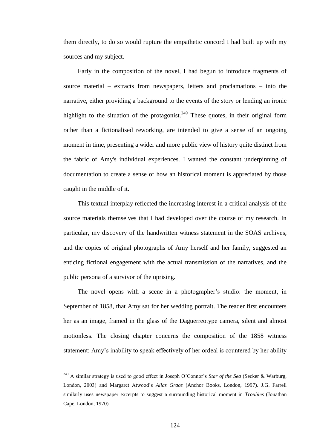them directly, to do so would rupture the empathetic concord I had built up with my sources and my subject.

Early in the composition of the novel, I had begun to introduce fragments of source material – extracts from newspapers, letters and proclamations – into the narrative, either providing a background to the events of the story or lending an ironic highlight to the situation of the protagonist.<sup>249</sup> These quotes, in their original form rather than a fictionalised reworking, are intended to give a sense of an ongoing moment in time, presenting a wider and more public view of history quite distinct from the fabric of Amy's individual experiences. I wanted the constant underpinning of documentation to create a sense of how an historical moment is appreciated by those caught in the middle of it.

This textual interplay reflected the increasing interest in a critical analysis of the source materials themselves that I had developed over the course of my research. In particular, my discovery of the handwritten witness statement in the SOAS archives, and the copies of original photographs of Amy herself and her family, suggested an enticing fictional engagement with the actual transmission of the narratives, and the public persona of a survivor of the uprising.

The novel opens with a scene in a photographer's studio: the moment, in September of 1858, that Amy sat for her wedding portrait. The reader first encounters her as an image, framed in the glass of the Daguerreotype camera, silent and almost motionless. The closing chapter concerns the composition of the 1858 witness statement: Amy's inability to speak effectively of her ordeal is countered by her ability

<sup>249</sup> A similar strategy is used to good effect in Joseph O'Connor's *Star of the Sea* (Secker & Warburg, London, 2003) and Margaret Atwood's *Alias Grace* (Anchor Books, London, 1997). J.G. Farrell similarly uses newspaper excerpts to suggest a surrounding historical moment in *Troubles* (Jonathan Cape, London, 1970).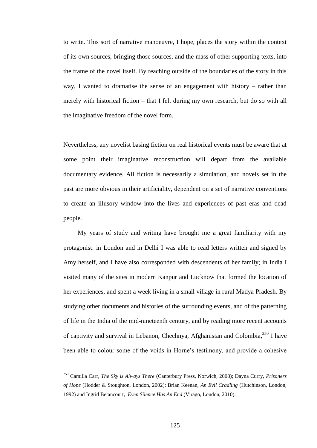to write. This sort of narrative manoeuvre, I hope, places the story within the context of its own sources, bringing those sources, and the mass of other supporting texts, into the frame of the novel itself. By reaching outside of the boundaries of the story in this way, I wanted to dramatise the sense of an engagement with history – rather than merely with historical fiction – that I felt during my own research, but do so with all the imaginative freedom of the novel form.

Nevertheless, any novelist basing fiction on real historical events must be aware that at some point their imaginative reconstruction will depart from the available documentary evidence. All fiction is necessarily a simulation, and novels set in the past are more obvious in their artificiality, dependent on a set of narrative conventions to create an illusory window into the lives and experiences of past eras and dead people.

My years of study and writing have brought me a great familiarity with my protagonist: in London and in Delhi I was able to read letters written and signed by Amy herself, and I have also corresponded with descendents of her family; in India I visited many of the sites in modern Kanpur and Lucknow that formed the location of her experiences, and spent a week living in a small village in rural Madya Pradesh. By studying other documents and histories of the surrounding events, and of the patterning of life in the India of the mid-nineteenth century, and by reading more recent accounts of captivity and survival in Lebanon, Chechnya, Afghanistan and Colombia,<sup>250</sup> I have been able to colour some of the voids in Horne's testimony, and provide a cohesive

<sup>250</sup> Camilla Carr, *The Sky is Always There* (Canterbury Press, Norwich, 2008); Dayna Curry, *Prisoners of Hope* (Hodder & Stoughton, London, 2002); Brian Keenan, *An Evil Cradling* (Hutchinson, London, 1992) and Ingrid Betancourt, *Even Silence Has An End* (Virago, London, 2010).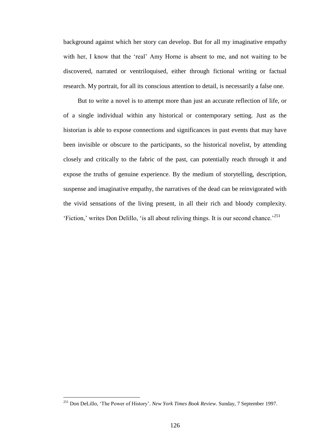background against which her story can develop. But for all my imaginative empathy with her, I know that the 'real' Amy Horne is absent to me, and not waiting to be discovered, narrated or ventriloquised, either through fictional writing or factual research. My portrait, for all its conscious attention to detail, is necessarily a false one.

But to write a novel is to attempt more than just an accurate reflection of life, or of a single individual within any historical or contemporary setting. Just as the historian is able to expose connections and significances in past events that may have been invisible or obscure to the participants, so the historical novelist, by attending closely and critically to the fabric of the past, can potentially reach through it and expose the truths of genuine experience. By the medium of storytelling, description, suspense and imaginative empathy, the narratives of the dead can be reinvigorated with the vivid sensations of the living present, in all their rich and bloody complexity. 'Fiction,' writes Don Delillo, 'is all about reliving things. It is our second chance.<sup>251</sup>

<sup>251</sup> Don DeLillo, 'The Power of History'. *New York Times Book Review*. Sunday, 7 September 1997.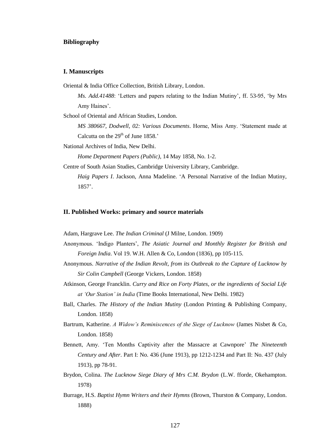# **Bibliography**

#### **I. Manuscripts**

Oriental & India Office Collection, British Library, London.

*Ms. Add.41488*: 'Letters and papers relating to the Indian Mutiny', ff. 53-95, 'by Mrs Amy Haines'.

School of Oriental and African Studies, London.

*MS 380667, Dodwell, 02: Various Documents*. Horne, Miss Amy. 'Statement made at Calcutta on the  $29<sup>th</sup>$  of June 1858.'

National Archives of India, New Delhi.

*Home Department Papers (Public),* 14 May 1858, No. 1-2.

Centre of South Asian Studies, Cambridge University Library, Cambridge.

*Haig Papers I*. Jackson, Anna Madeline. 'A Personal Narrative of the Indian Mutiny, 1857'.

#### **II. Published Works: primary and source materials**

Adam, Hargrave Lee. *The Indian Criminal* (J Milne, London. 1909)

- Anonymous. 'Indigo Planters', *The Asiatic Journal and Monthly Register for British and Foreign India*. Vol 19. W.H. Allen & Co, London (1836), pp 105-115.
- Anonymous. *Narrative of the Indian Revolt, from its Outbreak to the Capture of Lucknow by Sir Colin Campbell* (George Vickers, London. 1858)
- Atkinson, George Francklin. *Curry and Rice on Forty Plates, or the ingredients of Social Life at 'Our Station' in India* (Time Books International, New Delhi. 1982)
- Ball, Charles. *The History of the Indian Mutiny* (London Printing & Publishing Company, London. 1858)
- Bartrum, Katherine. *A Widow's Reminiscences of the Siege of Lucknow* (James Nisbet & Co, London. 1858)
- Bennett, Amy. 'Ten Months Captivity after the Massacre at Cawnpore' *The Nineteenth Century and After*. Part I: No. 436 (June 1913), pp 1212-1234 and Part II: No. 437 (July 1913), pp 78-91.
- Brydon, Colina. *The Lucknow Siege Diary of Mrs C.M. Brydon* (L.W. fforde, Okehampton. 1978)
- Burrage, H.S. *Baptist Hymn Writers and their Hymns* (Brown, Thurston & Company, London. 1888)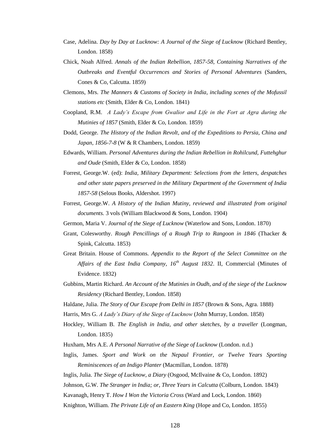- Case, Adelina. *Day by Day at Lucknow: A Journal of the Siege of Lucknow* (Richard Bentley, London. 1858)
- Chick, Noah Alfred. *Annals of the Indian Rebellion, 1857-58, Containing Narratives of the Outbreaks and Eventful Occurrences and Stories of Personal Adventures* (Sanders, Cones & Co, Calcutta. 1859)
- Clemons, Mrs. *The Manners & Customs of Society in India, including scenes of the Mofussil stations etc* (Smith, Elder & Co, London. 1841)
- Coopland, R.M. *A Lady's Escape from Gwalior and Life in the Fort at Agra during the Mutinies of 1857* (Smith, Elder & Co, London. 1859)
- Dodd, George. *The History of the Indian Revolt, and of the Expeditions to Persia, China and Japan, 1856-7-8* (W & R Chambers, London. 1859)
- Edwards, William. *Personal Adventures during the Indian Rebellion in Rohilcund, Futtehghur and Oude* (Smith, Elder & Co, London. 1858)
- Forrest, George.W. (ed): *India, Military Department: Selections from the letters, despatches and other state papers preserved in the Military Department of the Government of India 1857-58* (Selous Books, Aldershot. 1997)
- Forrest, George.W. *A History of the Indian Mutiny, reviewed and illustrated from original documents.* 3 vols (William Blackwood & Sons, London. 1904)
- Germon, Maria V. *Journal of the Siege of Lucknow* (Waterlow and Sons, London. 1870)
- Grant, Colesworthy. *Rough Pencillings of a Rough Trip to Rangoon in 1846* (Thacker & Spink, Calcutta. 1853)
- Great Britain. House of Commons. *Appendix to the Report of the Select Committee on the Affairs of the East India Company, 16th August 1832*. II, Commercial (Minutes of Evidence. 1832)
- Gubbins, Martin Richard. *An Account of the Mutinies in Oudh, and of the siege of the Lucknow Residency* (Richard Bentley, London. 1858)
- Haldane, Julia. *The Story of Our Escape from Delhi in 1857* (Brown & Sons, Agra. 1888)
- Harris, Mrs G. *A Lady's Diary of the Siege of Lucknow* (John Murray, London. 1858)
- Hockley, William B. *The English in India, and other sketches, by a traveller* (Longman, London. 1835)
- Huxham, Mrs A.E. *A Personal Narrative of the Siege of Lucknow* (London. n.d.)
- Inglis, James. *Sport and Work on the Nepaul Frontier, or Twelve Years Sporting Reminiscences of an Indigo Planter* (Macmillan, London. 1878)
- Inglis, Julia. *The Siege of Lucknow, a Diary* (Osgood, McIlvaine & Co, London. 1892)
- Johnson, G.W. *The Stranger in India; or, Three Years in Calcutta* (Colburn, London. 1843)
- Kavanagh, Henry T. *How I Won the Victoria Cross* (Ward and Lock, London. 1860)
- Knighton, William. *The Private Life of an Eastern King* (Hope and Co, London. 1855)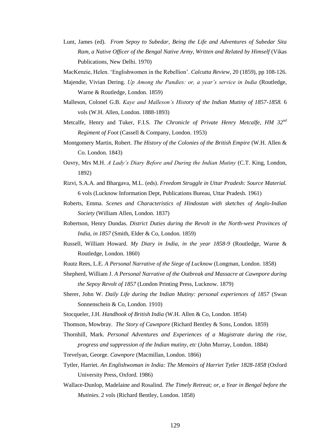- Lunt, James (ed). *From Sepoy to Subedar, Being the Life and Adventures of Subedar Sita Ram, a Native Officer of the Bengal Native Army, Written and Related by Himself* (Vikas Publications, New Delhi. 1970)
- MacKenzie, Helen. 'Englishwomen in the Rebellion'. *Calcutta Review*, 20 (1859), pp 108-126.
- Majendie, Vivian Dering. *Up Among the Pandies: or, a year's service in India* (Routledge, Warne & Routledge, London. 1859)
- Malleson, Colonel G.B. *Kaye and Malleson's History of the Indian Mutiny of 1857-1858.* 6 vols (W.H. Allen, London. 1888-1893)
- Metcalfe, Henry and Tuker, F.I.S. *The Chronicle of Private Henry Metcalfe, HM 32nd Regiment of Foot* (Cassell & Company, London. 1953)
- Montgomery Martin, Robert. *The History of the Colonies of the British Empire* (W.H. Allen & Co. London. 1843)
- Ouvry, Mrs M.H. *A Lady's Diary Before and During the Indian Mutiny* (C.T. King, London, 1892)
- Rizvi, S.A.A. and Bhargava, M.L. (eds). *Freedom Struggle in Uttar Pradesh: Source Material.* 6 vols (Lucknow Information Dept, Publications Bureau, Uttar Pradesh. 1961)
- Roberts, Emma. *Scenes and Characteristics of Hindostan with sketches of Anglo-Indian Society* (William Allen, London. 1837)
- Robertson, Henry Dundas. *District Duties during the Revolt in the North-west Provinces of India, in 1857* (Smith, Elder & Co, London. 1859)
- Russell, William Howard. *My Diary in India, in the year 1858-9* (Routledge, Warne & Routledge, London. 1860)
- Ruutz Rees, L.E. *A Personal Narrative of the Siege of Lucknow* (Longman, London. 1858)
- Shepherd, William J. *A Personal Narrative of the Outbreak and Massacre at Cawnpore during the Sepoy Revolt of 1857* (London Printing Press, Lucknow. 1879)
- Sherer, John W. *Daily Life during the Indian Mutiny: personal experiences of 1857* (Swan Sonnenschein & Co, London. 1910)
- Stocqueler, J.H. *Handbook of British India* (W.H. Allen & Co, London. 1854)
- Thomson, Mowbray. *The Story of Cawnpore* (Richard Bentley & Sons, London. 1859)
- Thornhill, Mark. *Personal Adventures and Experiences of a Magistrate during the rise, progress and suppression of the Indian mutiny, etc* (John Murray, London. 1884)
- Trevelyan, George. *Cawnpore* (Macmillan, London. 1866)
- Tytler, Harriet. *An Englishwoman in India: The Memoirs of Harriet Tytler 1828-1858* (Oxford University Press, Oxford. 1986)
- Wallace-Dunlop, Madelaine and Rosalind. *The Timely Retreat; or, a Year in Bengal before the Mutinies.* 2 vols (Richard Bentley, London. 1858)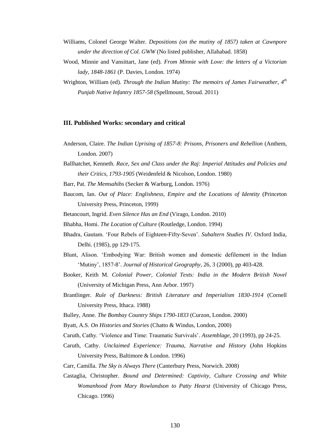- Williams, Colonel George Walter. *Depositions (on the mutiny of 1857) taken at Cawnpore under the direction of Col. GWW* (No listed publisher, Allahabad. 1858)
- Wood, Minnie and Vansittart, Jane (ed). *From Minnie with Love: the letters of a Victorian lady, 1848-1861* (P. Davies, London. 1974)
- Wrighton, William (ed). *Through the Indian Mutiny: The memoirs of James Fairweather, 4th Punjab Native Infantry 1857-58* (Spellmount, Stroud. 2011)

## **III. Published Works: secondary and critical**

- Anderson, Claire. *The Indian Uprising of 1857-8: Prisons, Prisoners and Rebellion* (Anthem, London. 2007)
- Ballhatchet, Kenneth. *Race, Sex and Class under the Raj: Imperial Attitudes and Policies and their Critics, 1793-1905* (Weidenfeld & Nicolson, London. 1980)
- Barr, Pat. *The Memsahibs* (Secker & Warburg, London. 1976)
- Baucom, Ian. *Out of Place: Englishness, Empire and the Locations of Identity* (Princeton University Press, Princeton, 1999)
- Betancourt, Ingrid. *Even Silence Has an End* (Virago, London. 2010)
- Bhabha, Homi. *The Location of Culture* (Routledge, London. 1994)
- Bhadra, Gautam. 'Four Rebels of Eighteen-Fifty-Seven'. *Subaltern Studies IV*. Oxford India, Delhi. (1985), pp 129-175.
- Blunt, Alison. 'Embodying War: British women and domestic defilement in the Indian 'Mutiny', 1857-8'. *Journal of Historical Geography*, 26, 3 (2000), pp 403-428.
- Booker, Keith M. *Colonial Power, Colonial Texts: India in the Modern British Novel* (University of Michigan Press, Ann Arbor. 1997)
- Brantlinger. *Rule of Darkness: British Literature and Imperialism 1830-1914* (Cornell University Press, Ithaca. 1988)
- Bulley, Anne. *The Bombay Country Ships 1790-1833* (Curzon, London. 2000)
- Byatt, A.S. *On Histories and Stories* (Chatto & Windus, London, 2000)
- Caruth, Cathy. 'Violence and Time: Traumatic Survivals'. *Assemblage*, 20 (1993), pp 24-25.
- Caruth, Cathy. *Unclaimed Experience: Trauma, Narrative and History* (John Hopkins University Press, Baltimore & London. 1996)
- Carr, Camilla. *The Sky is Always There* (Canterbury Press, Norwich. 2008)
- Castaglia, Christopher. *Bound and Determined: Captivity, Culture Crossing and White Womanhood from Mary Rowlandson to Patty Hearst* (University of Chicago Press, Chicago. 1996)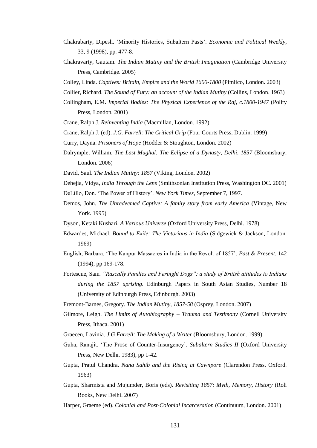- Chakrabarty, Dipesh. 'Minority Histories, Subaltern Pasts'. *Economic and Political Weekly*, 33, 9 (1998), pp. 477-8.
- Chakravarty, Gautam. *The Indian Mutiny and the British Imagination* (Cambridge University Press, Cambridge. 2005)
- Colley, Linda. *Captives: Britain, Empire and the World 1600-1800* (Pimlico, London. 2003)
- Collier, Richard. *The Sound of Fury: an account of the Indian Mutiny* (Collins, London. 1963)
- Collingham, E.M. *Imperial Bodies: The Physical Experience of the Raj, c.1800-1947* (Polity Press, London. 2001)
- Crane, Ralph J. *Reinventing India* (Macmillan, London. 1992)
- Crane, Ralph J. (ed). *J.G. Farrell: The Critical Grip* (Four Courts Press, Dublin. 1999)
- Curry, Dayna. *Prisoners of Hope* (Hodder & Stoughton, London. 2002)
- Dalrymple, William. *The Last Mughal: The Eclipse of a Dynasty, Delhi, 1857* (Bloomsbury, London. 2006)
- David, Saul. *The Indian Mutiny: 1857* (Viking, London. 2002)
- Dehejia, Vidya, *India Through the Lens* (Smithsonian Institution Press, Washington DC. 2001)
- DeLillo, Don. 'The Power of History'. *New York Times*, September 7, 1997.
- Demos, John. *The Unredeemed Captive: A family story from early America* (Vintage, New York. 1995)
- Dyson, Ketaki Kushari. *A Various Universe* (Oxford University Press, Delhi. 1978)
- Edwardes, Michael. *Bound to Exile: The Victorians in India* (Sidgewick & Jackson, London. 1969)
- English, Barbara. 'The Kanpur Massacres in India in the Revolt of 1857'. *Past & Present*, 142 (1994), pp 169-178.
- Fortescue, Sam*. "Rascally Pandies and Feringhi Dogs": a study of British attitudes to Indians during the 1857 uprising*. Edinburgh Papers in South Asian Studies, Number 18 (University of Edinburgh Press, Edinburgh. 2003)
- Fremont-Barnes, Gregory. *The Indian Mutiny, 1857-58* (Osprey, London. 2007)
- Gilmore, Leigh. *The Limits of Autobiography – Trauma and Testimony* (Cornell University Press, Ithaca. 2001)
- Graecen, Lavinia. *J.G Farrell: The Making of a Writer* (Bloomsbury, London. 1999)
- Guha, Ranajit. 'The Prose of Counter-Insurgency'. *Subaltern Studies II* (Oxford University Press, New Delhi. 1983), pp 1-42.
- Gupta, Pratul Chandra. *Nana Sahib and the Rising at Cawnpore* (Clarendon Press, Oxford. 1963)
- Gupta, Sharmista and Mujumder, Boris (eds). *Revisiting 1857: Myth, Memory, History* (Roli Books, New Delhi. 2007)
- Harper, Graeme (ed). *Colonial and Post-Colonial Incarceration* (Continuum, London. 2001)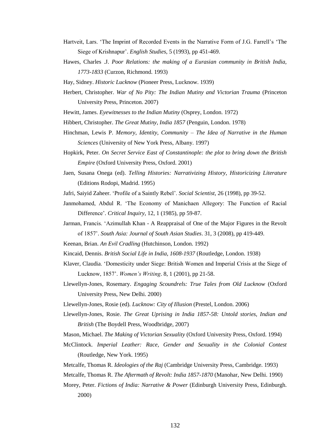- Hartveit, Lars. 'The Imprint of Recorded Events in the Narrative Form of J.G. Farrell's 'The Siege of Krishnapur'. *English Studies*, 5 (1993), pp 451-469.
- Hawes, Charles .J. *Poor Relations: the making of a Eurasian community in British India, 1773-1833* (Curzon, Richmond. 1993)
- Hay, Sidney. *Historic Lucknow* (Pioneer Press, Lucknow. 1939)
- Herbert, Christopher. *War of No Pity: The Indian Mutiny and Victorian Trauma* (Princeton University Press, Princeton. 2007)
- Hewitt, James. *Eyewitnesses to the Indian Mutiny* (Osprey, London. 1972)
- Hibbert, Christopher. *The Great Mutiny, India 1857* (Penguin, London. 1978)
- Hinchman, Lewis P. *Memory, Identity, Community – The Idea of Narrative in the Human Sciences* (University of New York Press, Albany. 1997)
- Hopkirk, Peter. *On Secret Service East of Constantinople: the plot to bring down the British Empire* (Oxford University Press, Oxford. 2001)
- Jaen, Susana Onega (ed). *Telling Histories: Narrativizing History, Historicizing Literature* (Editions Rodopi, Madrid. 1995)
- Jafri, Saiyid Zaheer. 'Profile of a Saintly Rebel'. *Social Scientist,* 26 (1998), pp 39-52.
- Janmohamed, Abdul R. 'The Economy of Manichaen Allegory: The Function of Racial Difference'. *Critical Inquiry,* 12, 1 (1985), pp 59-87.
- Jarman, Francis. 'Azimullah Khan A Reappraisal of One of the Major Figures in the Revolt of 1857'. *South Asia: Journal of South Asian Studies*. 31, 3 (2008), pp 419-449.
- Keenan, Brian. *An Evil Cradling* (Hutchinson, London. 1992)
- Kincaid, Dennis. *British Social Life in India, 1608-1937* (Routledge, London. 1938)
- Klaver, Claudia. 'Domesticity under Siege: British Women and Imperial Crisis at the Siege of Lucknow, 1857'. *Women's Writing*. 8, 1 (2001), pp 21-58.
- Llewellyn-Jones, Rosemary. *Engaging Scoundrels: True Tales from Old Lucknow* (Oxford University Press, New Delhi. 2000)
- Llewellyn-Jones, Rosie (ed)*. Lucknow: City of Illusion* (Prestel, London. 2006)
- Llewellyn-Jones, Rosie. *The Great Uprising in India 1857-58: Untold stories, Indian and British* (The Boydell Press, Woodbridge, 2007)
- Mason, Michael. *The Making of Victorian Sexuality* (Oxford University Press, Oxford. 1994)
- McClintock. *Imperial Leather: Race, Gender and Sexuality in the Colonial Contest* (Routledge, New York. 1995)
- Metcalfe, Thomas R. *Ideologies of the Raj* (Cambridge University Press, Cambridge. 1993)
- Metcalfe, Thomas R. *The Aftermath of Revolt: India 1857-1870* (Manohar, New Delhi. 1990)
- Morey, Peter. *Fictions of India: Narrative & Power* (Edinburgh University Press, Edinburgh. 2000)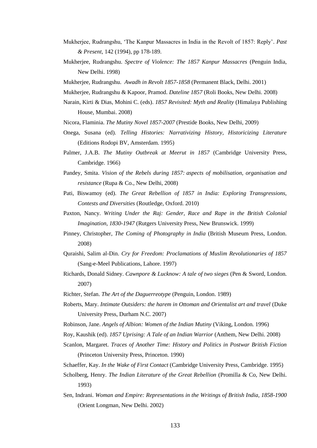- Mukherjee, Rudrangshu, 'The Kanpur Massacres in India in the Revolt of 1857: Reply'. *Past & Present*, 142 (1994), pp 178-189.
- Mukherjee, Rudrangshu. *Spectre of Violence: The 1857 Kanpur Massacres* (Penguin India, New Delhi. 1998)
- Mukherjee, Rudrangshu. *Awadh in Revolt 1857-1858* (Permanent Black, Delhi. 2001)
- Mukherjee, Rudrangshu & Kapoor, Pramod. *Dateline 1857* (Roli Books, New Delhi. 2008)
- Narain, Kirti & Dias, Mohini C. (eds). *1857 Revisited: Myth and Reality* (Himalaya Publishing House, Mumbai. 2008)
- Nicora, Flaminia. *The Mutiny Novel 1857-2007* (Prestide Books, New Delhi, 2009)
- Onega, Susana (ed). *Telling Histories: Narrativizing History, Historicizing Literature* (Editions Rodopi BV, Amsterdam. 1995)
- Palmer, J.A.B. *The Mutiny Outbreak at Meerut in 1857* (Cambridge University Press, Cambridge. 1966)
- Pandey, Smita. *Vision of the Rebels during 1857: aspects of mobilisation, organisation and resistance* (Rupa & Co., New Delhi, 2008)
- Pati, Biswamoy (ed). *The Great Rebellion of 1857 in India: Exploring Transgressions, Contests and Diversities* (Routledge, Oxford. 2010)
- Paxton, Nancy. *Writing Under the Raj: Gender, Race and Rape in the British Colonial Imagination, 1830-1947* (Rutgers University Press, New Brunswick. 1999)
- Pinney, Christopher, *The Coming of Photography in India* (British Museum Press, London. 2008)
- Quraishi, Salim al-Din. *Cry for Freedom: Proclamations of Muslim Revolutionaries of 1857* (Sang-e-Meel Publications, Lahore. 1997)
- Richards, Donald Sidney. *Cawnpore & Lucknow: A tale of two sieges* (Pen & Sword, London. 2007)
- Richter, Stefan. *The Art of the Daguerreotype* (Penguin, London. 1989)
- Roberts, Mary. *Intimate Outsiders: the harem in Ottoman and Orientalist art and travel* (Duke University Press, Durham N.C. 2007)
- Robinson, Jane. *Angels of Albion: Women of the Indian Mutiny* (Viking, London. 1996)
- Roy, Kaushik (ed). *1857 Uprising: A Tale of an Indian Warrior* (Anthem, New Delhi. 2008)
- Scanlon, Margaret. *Traces of Another Time: History and Politics in Postwar British Fiction* (Princeton University Press, Princeton. 1990)
- Schaeffer, Kay. *In the Wake of First Contact* (Cambridge University Press, Cambridge. 1995)
- Scholberg, Henry. *The Indian Literature of the Great Rebellion* (Promilla & Co, New Delhi. 1993)
- Sen, Indrani. *Woman and Empire: Representations in the Writings of British India, 1858-1900* (Orient Longman, New Delhi. 2002)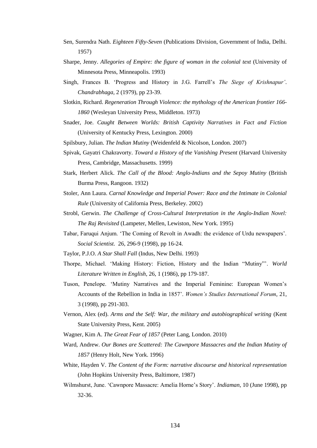- Sen, Surendra Nath. *Eighteen Fifty-Seven* (Publications Division, Government of India, Delhi. 1957)
- Sharpe, Jenny. *Allegories of Empire: the figure of woman in the colonial text* (University of Minnesota Press, Minneapolis. 1993)
- Singh, Frances B. 'Progress and History in J.G. Farrell's *The Siege of Krishnapur'*. *Chandrabhaga,* 2 (1979), pp 23-39.
- Slotkin, Richard. *Regeneration Through Violence: the mythology of the American frontier 166- 1860* (Wesleyan University Press, Middleton. 1973)
- Snader, Joe. *Caught Between Worlds: British Captivity Narratives in Fact and Fiction* (University of Kentucky Press, Lexington. 2000)
- Spilsbury, Julian. *The Indian Mutiny* (Weidenfeld & Nicolson, London. 2007)
- Spivak, Gayatri Chakravorty. *Toward a History of the Vanishing Present* (Harvard University Press, Cambridge, Massachusetts. 1999)
- Stark, Herbert Alick. *The Call of the Blood: Anglo-Indians and the Sepoy Mutiny* (British Burma Press, Rangoon. 1932)
- Stoler, Ann Laura. *Carnal Knowledge and Imperial Power: Race and the Intimate in Colonial Rule* (University of California Press, Berkeley. 2002)
- Strobl, Gerwin. *The Challenge of Cross-Cultural Interpretation in the Anglo-Indian Novel: The Raj Revisited* (Lampeter, Mellen, Lewiston, New York. 1995)
- Tabar, Faruqui Anjum. 'The Coming of Revolt in Awadh: the evidence of Urdu newspapers'. *Social Scientist.* 26, 296-9 (1998), pp 16-24.
- Taylor, P.J.O. *A Star Shall Fall* (Indus, New Delhi. 1993)
- Thorpe, Michael. 'Making History: Fiction, History and the Indian "Mutiny"'. *World Literature Written in English*, 26, 1 (1986), pp 179-187.
- Tuson, Penelope. 'Mutiny Narratives and the Imperial Feminine: European Women's Accounts of the Rebellion in India in 1857'. *Women's Studies International Forum*, 21, 3 (1998), pp 291-303.
- Vernon, Alex (ed). *Arms and the Self: War, the military and autobiographical writing* (Kent State University Press, Kent. 2005)
- Wagner, Kim A. *The Great Fear of 1857* (Peter Lang, London. 2010)
- Ward, Andrew. *Our Bones are Scattered: The Cawnpore Massacres and the Indian Mutiny of 1857* (Henry Holt, New York. 1996)
- White, Hayden V. *The Content of the Form: narrative discourse and historical representation* (John Hopkins University Press, Baltimore, 1987)
- Wilmshurst, June. 'Cawnpore Massacre: Amelia Horne's Story'. *Indiaman*, 10 (June 1998), pp 32-36.